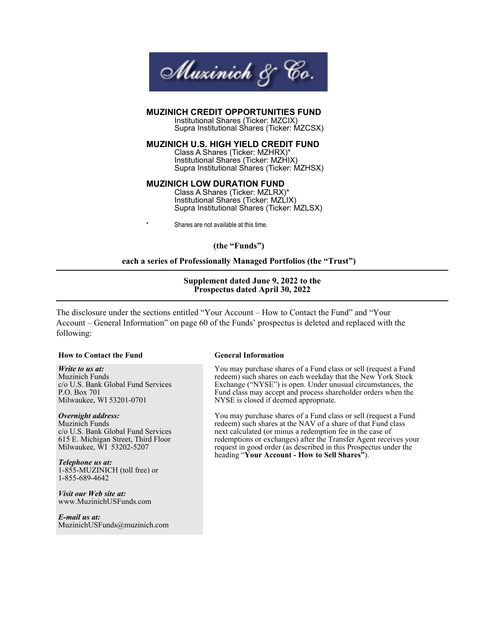

#### **MUZINICH CREDIT OPPORTUNITIES FUND**

 Institutional Shares (Ticker: MZCIX) Supra Institutional Shares (Ticker: MZCSX)

**MUZINICH U.S. HIGH YIELD CREDIT FUND**

 Class A Shares (Ticker: MZHRX)\* Institutional Shares (Ticker: MZHIX) Supra Institutional Shares (Ticker: MZHSX)

#### **MUZINICH LOW DURATION FUND**

 Class A Shares (Ticker: MZLRX)\* Institutional Shares (Ticker: MZLIX) Supra Institutional Shares (Ticker: MZLSX)

Shares are not available at this time.

**(the "Funds")**

#### **each a series of Professionally Managed Portfolios (the "Trust")**

#### **Supplement dated June 9, 2022 to the Prospectus dated April 30, 2022**

The disclosure under the sections entitled "Your Account – How to Contact the Fund" and "Your Account – General Information" on page 60 of the Funds' prospectus is deleted and replaced with the following:

#### **How to Contact the Fund General Information**

*Write to us at:* Muzinich Funds c/o U.S. Bank Global Fund Services P.O. Box 701 Milwaukee, WI 53201-0701

#### *Overnight address:*

Muzinich Funds c/o U.S. Bank Global Fund Services 615 E. Michigan Street, Third Floor Milwaukee, WI 53202-5207

*Telephone us at:* 1-855-MUZINICH (toll free) or 1-855-689-4642

*Visit our Web site at:* www.MuzinichUSFunds.com

*E-mail us at:* MuzinichUSFunds@muzinich.com

You may purchase shares of a Fund class or sell (request a Fund redeem) such shares on each weekday that the New York Stock Exchange ("NYSE") is open. Under unusual circumstances, the Fund class may accept and process shareholder orders when the NYSE is closed if deemed appropriate.

You may purchase shares of a Fund class or sell (request a Fund redeem) such shares at the NAV of a share of that Fund class next calculated (or minus a redemption fee in the case of redemptions or exchanges) after the Transfer Agent receives your request in good order (as described in this Prospectus under the heading "**Your Account - How to Sell Shares"**).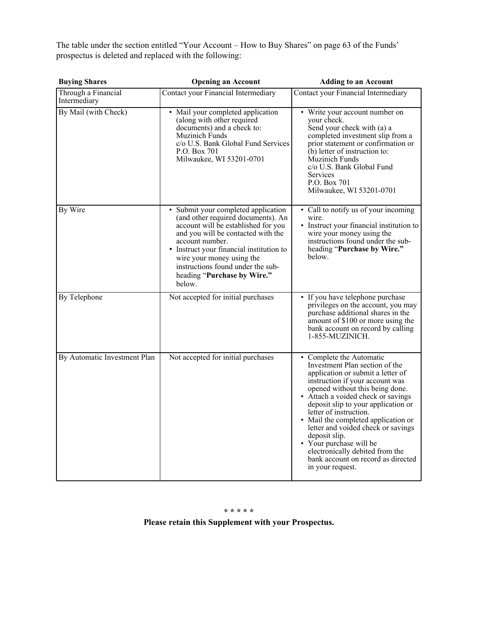The table under the section entitled "Your Account – How to Buy Shares" on page 63 of the Funds' prospectus is deleted and replaced with the following:

| <b>Buying Shares</b>                | <b>Opening an Account</b>                                                                                                                                                                                                                                                                                                        | <b>Adding to an Account</b>                                                                                                                                                                                                                                                                                                                                                                                                                                                                        |
|-------------------------------------|----------------------------------------------------------------------------------------------------------------------------------------------------------------------------------------------------------------------------------------------------------------------------------------------------------------------------------|----------------------------------------------------------------------------------------------------------------------------------------------------------------------------------------------------------------------------------------------------------------------------------------------------------------------------------------------------------------------------------------------------------------------------------------------------------------------------------------------------|
| Through a Financial<br>Intermediary | Contact your Financial Intermediary                                                                                                                                                                                                                                                                                              | Contact your Financial Intermediary                                                                                                                                                                                                                                                                                                                                                                                                                                                                |
| By Mail (with Check)                | • Mail your completed application<br>(along with other required<br>documents) and a check to:<br>Muzinich Funds<br>c/o U.S. Bank Global Fund Services<br>P.O. Box 701<br>Milwaukee, WI 53201-0701                                                                                                                                | • Write your account number on<br>your check.<br>Send your check with (a) a<br>completed investment slip from a<br>prior statement or confirmation or<br>$(b)$ letter of instruction to:<br>Muzinich Funds<br>c/o U.S. Bank Global Fund<br>Services<br>P.O. Box 701<br>Milwaukee, WI 53201-0701                                                                                                                                                                                                    |
| By Wire                             | • Submit your completed application<br>(and other required documents). An<br>account will be established for you<br>and you will be contacted with the<br>account number.<br>• Instruct your financial institution to<br>wire your money using the<br>instructions found under the sub-<br>heading "Purchase by Wire."<br>below. | • Call to notify us of your incoming<br>wire.<br>• Instruct your financial institution to<br>wire your money using the<br>instructions found under the sub-<br>heading "Purchase by Wire."<br>below.                                                                                                                                                                                                                                                                                               |
| By Telephone                        | Not accepted for initial purchases                                                                                                                                                                                                                                                                                               | • If you have telephone purchase<br>privileges on the account, you may<br>purchase additional shares in the<br>amount of \$100 or more using the<br>bank account on record by calling<br>1-855-MUZINICH.                                                                                                                                                                                                                                                                                           |
| By Automatic Investment Plan        | Not accepted for initial purchases                                                                                                                                                                                                                                                                                               | • Complete the Automatic<br>Investment Plan section of the<br>application or submit a letter of<br>instruction if your account was<br>opened without this being done.<br>• Attach a voided check or savings<br>deposit slip to your application or<br>letter of instruction.<br>• Mail the completed application or<br>letter and voided check or savings<br>deposit slip.<br>• Your purchase will be<br>electronically debited from the<br>bank account on record as directed<br>in your request. |

#### **\* \* \* \* \***

**Please retain this Supplement with your Prospectus.**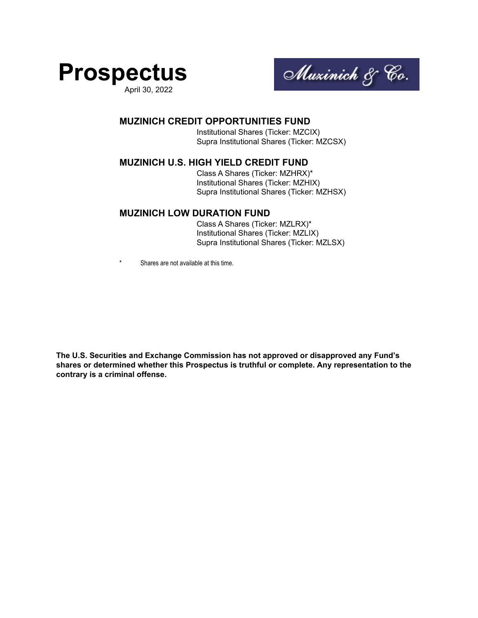

April 30, 2022



#### **MUZINICH CREDIT OPPORTUNITIES FUND**

 Institutional Shares (Ticker: MZCIX) Supra Institutional Shares (Ticker: MZCSX)

#### **MUZINICH U.S. HIGH YIELD CREDIT FUND**

 Class A Shares (Ticker: MZHRX)\* Institutional Shares (Ticker: MZHIX) Supra Institutional Shares (Ticker: MZHSX)

#### **MUZINICH LOW DURATION FUND**

 Class A Shares (Ticker: MZLRX)\* Institutional Shares (Ticker: MZLIX) Supra Institutional Shares (Ticker: MZLSX)

Shares are not available at this time.

**The U.S. Securities and Exchange Commission has not approved or disapproved any Fund's shares or determined whether this Prospectus is truthful or complete. Any representation to the contrary is a criminal offense.**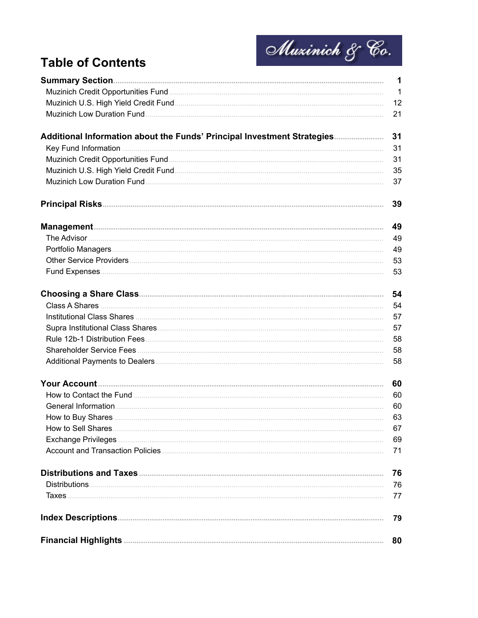

# **Table of Contents**

|                                                                         | 12 |
|-------------------------------------------------------------------------|----|
|                                                                         | 21 |
| Additional Information about the Funds' Principal Investment Strategies | 31 |
|                                                                         | 31 |
|                                                                         | 31 |
|                                                                         | 35 |
|                                                                         | 37 |
|                                                                         | 39 |
|                                                                         | 49 |
|                                                                         | 49 |
|                                                                         | 49 |
|                                                                         | 53 |
|                                                                         | 53 |
|                                                                         |    |
|                                                                         | 54 |
|                                                                         | 57 |
|                                                                         | 57 |
|                                                                         | 58 |
|                                                                         | 58 |
|                                                                         | 58 |
|                                                                         | 60 |
|                                                                         | 60 |
|                                                                         | 60 |
|                                                                         | 63 |
| How to Sell Shares.                                                     | 67 |
|                                                                         | 69 |
|                                                                         | 71 |
|                                                                         | 76 |
|                                                                         | 76 |
|                                                                         | 77 |
|                                                                         | 79 |
|                                                                         | 80 |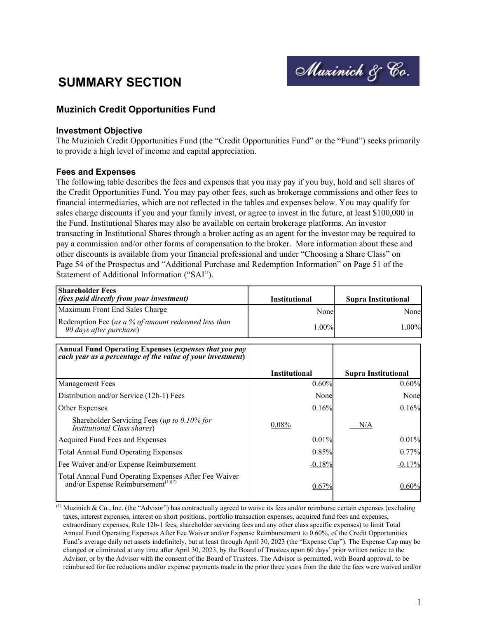

# <span id="page-4-0"></span>**SUMMARY SECTION**

# **Muzinich Credit Opportunities Fund**

#### **Investment Objective**

The Muzinich Credit Opportunities Fund (the "Credit Opportunities Fund" or the "Fund") seeks primarily to provide a high level of income and capital appreciation.

#### **Fees and Expenses**

The following table describes the fees and expenses that you may pay if you buy, hold and sell shares of the Credit Opportunities Fund. You may pay other fees, such as brokerage commissions and other fees to financial intermediaries, which are not reflected in the tables and expenses below. You may qualify for sales charge discounts if you and your family invest, or agree to invest in the future, at least \$100,000 in the Fund. Institutional Shares may also be available on certain brokerage platforms. An investor transacting in Institutional Shares through a broker acting as an agent for the investor may be required to pay a commission and/or other forms of compensation to the broker. More information about these and other discounts is available from your financial professional and under "Choosing a Share Class" on Page 54 of the Prospectus and "Additional Purchase and Redemption Information" on Page 51 of the Statement of Additional Information ("SAI").

| <b>Shareholder Fees</b><br>(fees paid directly from your investment)                                                       | <b>Institutional</b> | <b>Supra Institutional</b> |
|----------------------------------------------------------------------------------------------------------------------------|----------------------|----------------------------|
| Maximum Front End Sales Charge                                                                                             | Nonel                | None                       |
| Redemption Fee (as a % of amount redeemed less than<br>90 days after purchase)                                             | $1.00\%$             | 1.00%                      |
| <b>Annual Fund Operating Expenses (expenses that you pay</b><br>each year as a percentage of the value of your investment) | <b>Institutional</b> | <b>Supra Institutional</b> |
| <b>Management Fees</b>                                                                                                     | 0.60%                | 0.60%                      |
| Distribution and/or Service (12b-1) Fees                                                                                   | Nonel                | None                       |
| Other Expenses                                                                                                             | 0.16%                | 0.16%                      |
| Shareholder Servicing Fees (up to 0.10% for<br>Institutional Class shares)                                                 | 0.08%                | N/A                        |
| Acquired Fund Fees and Expenses                                                                                            | 0.01%                | 0.01%                      |
| <b>Total Annual Fund Operating Expenses</b>                                                                                | 0.85%                | 0.77%                      |
| Fee Waiver and/or Expense Reimbursement                                                                                    | $-0.18%$             | $-0.17%$                   |
| Total Annual Fund Operating Expenses After Fee Waiver<br>and/or Expense Reimbursement <sup>(1)(2)</sup>                    | 0.67%                | 0.60%                      |

 $^{(1)}$  Muzinich & Co., Inc. (the "Advisor") has contractually agreed to waive its fees and/or reimburse certain expenses (excluding taxes, interest expenses, interest on short positions, portfolio transaction expenses, acquired fund fees and expenses, extraordinary expenses, Rule 12b-1 fees, shareholder servicing fees and any other class specific expenses) to limit Total Annual Fund Operating Expenses After Fee Waiver and/or Expense Reimbursement to 0.60%, of the Credit Opportunities Fund's average daily net assets indefinitely, but at least through April 30, 2023 (the "Expense Cap"). The Expense Cap may be changed or eliminated at any time after April 30, 2023, by the Board of Trustees upon 60 days' prior written notice to the Advisor, or by the Advisor with the consent of the Board of Trustees. The Advisor is permitted, with Board approval, to be reimbursed for fee reductions and/or expense payments made in the prior three years from the date the fees were waived and/or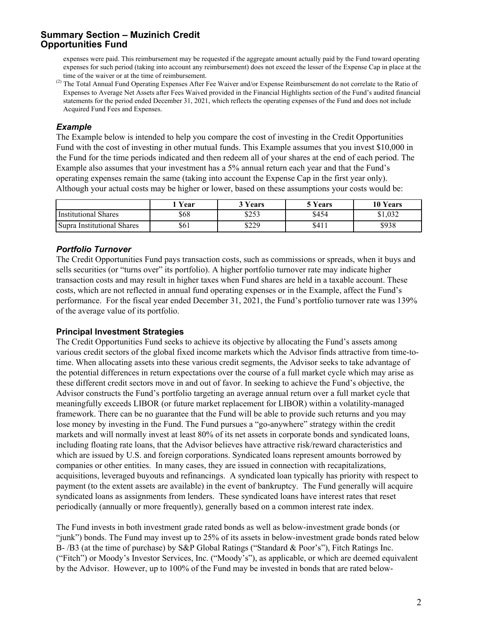expenses were paid. This reimbursement may be requested if the aggregate amount actually paid by the Fund toward operating expenses for such period (taking into account any reimbursement) does not exceed the lesser of the Expense Cap in place at the time of the waiver or at the time of reimbursement.

<sup>(2)</sup> The Total Annual Fund Operating Expenses After Fee Waiver and/or Expense Reimbursement do not correlate to the Ratio of Expenses to Average Net Assets after Fees Waived provided in the Financial Highlights section of the Fund's audited financial statements for the period ended December 31, 2021, which reflects the operating expenses of the Fund and does not include Acquired Fund Fees and Expenses.

#### *Example*

The Example below is intended to help you compare the cost of investing in the Credit Opportunities Fund with the cost of investing in other mutual funds. This Example assumes that you invest \$10,000 in the Fund for the time periods indicated and then redeem all of your shares at the end of each period. The Example also assumes that your investment has a 5% annual return each year and that the Fund's operating expenses remain the same (taking into account the Expense Cap in the first year only). Although your actual costs may be higher or lower, based on these assumptions your costs would be:

|                            | Vear | <sup>2</sup> Years | <sup>5</sup> Years | 10 Years |
|----------------------------|------|--------------------|--------------------|----------|
| Institutional Shares       | \$68 | 0.52<br>ن رے م     | \$454              | \$1,032  |
| Supra Institutional Shares | \$61 | \$229              | \$411              | \$938    |

# *Portfolio Turnover*

The Credit Opportunities Fund pays transaction costs, such as commissions or spreads, when it buys and sells securities (or "turns over" its portfolio). A higher portfolio turnover rate may indicate higher transaction costs and may result in higher taxes when Fund shares are held in a taxable account. These costs, which are not reflected in annual fund operating expenses or in the Example, affect the Fund's performance. For the fiscal year ended December 31, 2021, the Fund's portfolio turnover rate was 139% of the average value of its portfolio.

#### **Principal Investment Strategies**

The Credit Opportunities Fund seeks to achieve its objective by allocating the Fund's assets among various credit sectors of the global fixed income markets which the Advisor finds attractive from time-totime. When allocating assets into these various credit segments, the Advisor seeks to take advantage of the potential differences in return expectations over the course of a full market cycle which may arise as these different credit sectors move in and out of favor. In seeking to achieve the Fund's objective, the Advisor constructs the Fund's portfolio targeting an average annual return over a full market cycle that meaningfully exceeds LIBOR (or future market replacement for LIBOR) within a volatility-managed framework. There can be no guarantee that the Fund will be able to provide such returns and you may lose money by investing in the Fund. The Fund pursues a "go-anywhere" strategy within the credit markets and will normally invest at least 80% of its net assets in corporate bonds and syndicated loans, including floating rate loans, that the Advisor believes have attractive risk/reward characteristics and which are issued by U.S. and foreign corporations. Syndicated loans represent amounts borrowed by companies or other entities. In many cases, they are issued in connection with recapitalizations, acquisitions, leveraged buyouts and refinancings. A syndicated loan typically has priority with respect to payment (to the extent assets are available) in the event of bankruptcy. The Fund generally will acquire syndicated loans as assignments from lenders. These syndicated loans have interest rates that reset periodically (annually or more frequently), generally based on a common interest rate index.

The Fund invests in both investment grade rated bonds as well as below-investment grade bonds (or "junk") bonds. The Fund may invest up to 25% of its assets in below-investment grade bonds rated below B- /B3 (at the time of purchase) by S&P Global Ratings ("Standard & Poor's"), Fitch Ratings Inc. ("Fitch") or Moody's Investor Services, Inc. ("Moody's"), as applicable, or which are deemed equivalent by the Advisor. However, up to 100% of the Fund may be invested in bonds that are rated below-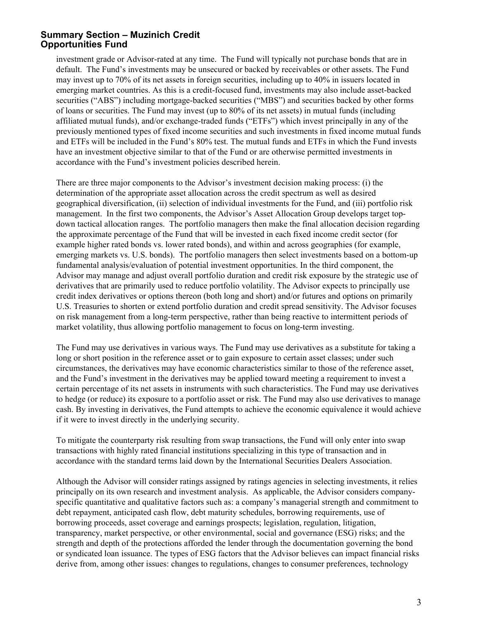investment grade or Advisor-rated at any time. The Fund will typically not purchase bonds that are in default. The Fund's investments may be unsecured or backed by receivables or other assets. The Fund may invest up to 70% of its net assets in foreign securities, including up to 40% in issuers located in emerging market countries. As this is a credit-focused fund, investments may also include asset-backed securities ("ABS") including mortgage-backed securities ("MBS") and securities backed by other forms of loans or securities. The Fund may invest (up to 80% of its net assets) in mutual funds (including affiliated mutual funds), and/or exchange-traded funds ("ETFs") which invest principally in any of the previously mentioned types of fixed income securities and such investments in fixed income mutual funds and ETFs will be included in the Fund's 80% test. The mutual funds and ETFs in which the Fund invests have an investment objective similar to that of the Fund or are otherwise permitted investments in accordance with the Fund's investment policies described herein.

There are three major components to the Advisor's investment decision making process: (i) the determination of the appropriate asset allocation across the credit spectrum as well as desired geographical diversification, (ii) selection of individual investments for the Fund, and (iii) portfolio risk management. In the first two components, the Advisor's Asset Allocation Group develops target topdown tactical allocation ranges. The portfolio managers then make the final allocation decision regarding the approximate percentage of the Fund that will be invested in each fixed income credit sector (for example higher rated bonds vs. lower rated bonds), and within and across geographies (for example, emerging markets vs. U.S. bonds). The portfolio managers then select investments based on a bottom-up fundamental analysis/evaluation of potential investment opportunities. In the third component, the Advisor may manage and adjust overall portfolio duration and credit risk exposure by the strategic use of derivatives that are primarily used to reduce portfolio volatility. The Advisor expects to principally use credit index derivatives or options thereon (both long and short) and/or futures and options on primarily U.S. Treasuries to shorten or extend portfolio duration and credit spread sensitivity. The Advisor focuses on risk management from a long-term perspective, rather than being reactive to intermittent periods of market volatility, thus allowing portfolio management to focus on long-term investing.

The Fund may use derivatives in various ways. The Fund may use derivatives as a substitute for taking a long or short position in the reference asset or to gain exposure to certain asset classes; under such circumstances, the derivatives may have economic characteristics similar to those of the reference asset, and the Fund's investment in the derivatives may be applied toward meeting a requirement to invest a certain percentage of its net assets in instruments with such characteristics. The Fund may use derivatives to hedge (or reduce) its exposure to a portfolio asset or risk. The Fund may also use derivatives to manage cash. By investing in derivatives, the Fund attempts to achieve the economic equivalence it would achieve if it were to invest directly in the underlying security.

To mitigate the counterparty risk resulting from swap transactions, the Fund will only enter into swap transactions with highly rated financial institutions specializing in this type of transaction and in accordance with the standard terms laid down by the International Securities Dealers Association.

Although the Advisor will consider ratings assigned by ratings agencies in selecting investments, it relies principally on its own research and investment analysis. As applicable, the Advisor considers companyspecific quantitative and qualitative factors such as: a company's managerial strength and commitment to debt repayment, anticipated cash flow, debt maturity schedules, borrowing requirements, use of borrowing proceeds, asset coverage and earnings prospects; legislation, regulation, litigation, transparency, market perspective, or other environmental, social and governance (ESG) risks; and the strength and depth of the protections afforded the lender through the documentation governing the bond or syndicated loan issuance. The types of ESG factors that the Advisor believes can impact financial risks derive from, among other issues: changes to regulations, changes to consumer preferences, technology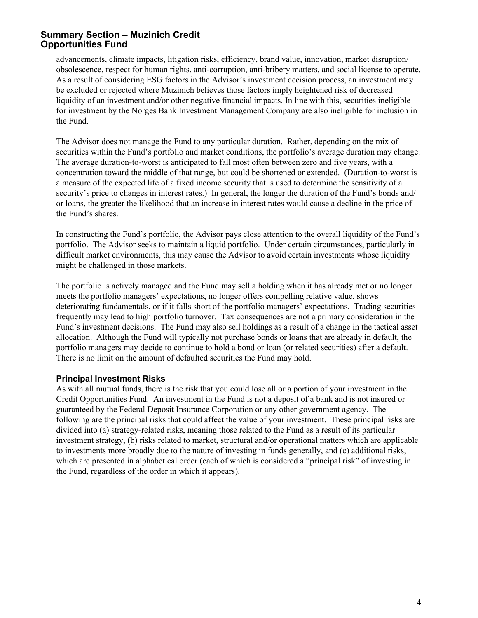advancements, climate impacts, litigation risks, efficiency, brand value, innovation, market disruption/ obsolescence, respect for human rights, anti-corruption, anti-bribery matters, and social license to operate. As a result of considering ESG factors in the Advisor's investment decision process, an investment may be excluded or rejected where Muzinich believes those factors imply heightened risk of decreased liquidity of an investment and/or other negative financial impacts. In line with this, securities ineligible for investment by the Norges Bank Investment Management Company are also ineligible for inclusion in the Fund.

The Advisor does not manage the Fund to any particular duration. Rather, depending on the mix of securities within the Fund's portfolio and market conditions, the portfolio's average duration may change. The average duration-to-worst is anticipated to fall most often between zero and five years, with a concentration toward the middle of that range, but could be shortened or extended. (Duration-to-worst is a measure of the expected life of a fixed income security that is used to determine the sensitivity of a security's price to changes in interest rates.) In general, the longer the duration of the Fund's bonds and/ or loans, the greater the likelihood that an increase in interest rates would cause a decline in the price of the Fund's shares.

In constructing the Fund's portfolio, the Advisor pays close attention to the overall liquidity of the Fund's portfolio. The Advisor seeks to maintain a liquid portfolio. Under certain circumstances, particularly in difficult market environments, this may cause the Advisor to avoid certain investments whose liquidity might be challenged in those markets.

The portfolio is actively managed and the Fund may sell a holding when it has already met or no longer meets the portfolio managers' expectations, no longer offers compelling relative value, shows deteriorating fundamentals, or if it falls short of the portfolio managers' expectations. Trading securities frequently may lead to high portfolio turnover. Tax consequences are not a primary consideration in the Fund's investment decisions. The Fund may also sell holdings as a result of a change in the tactical asset allocation. Although the Fund will typically not purchase bonds or loans that are already in default, the portfolio managers may decide to continue to hold a bond or loan (or related securities) after a default. There is no limit on the amount of defaulted securities the Fund may hold.

#### **Principal Investment Risks**

As with all mutual funds, there is the risk that you could lose all or a portion of your investment in the Credit Opportunities Fund. An investment in the Fund is not a deposit of a bank and is not insured or guaranteed by the Federal Deposit Insurance Corporation or any other government agency. The following are the principal risks that could affect the value of your investment. These principal risks are divided into (a) strategy-related risks, meaning those related to the Fund as a result of its particular investment strategy, (b) risks related to market, structural and/or operational matters which are applicable to investments more broadly due to the nature of investing in funds generally, and (c) additional risks, which are presented in alphabetical order (each of which is considered a "principal risk" of investing in the Fund, regardless of the order in which it appears).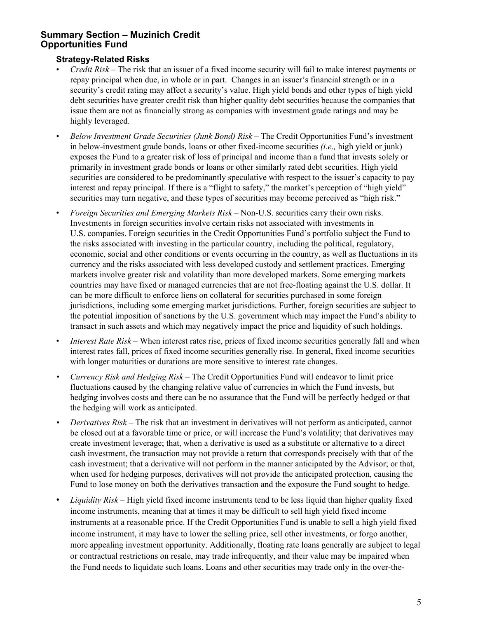#### **Strategy-Related Risks**

- *Credit Risk* The risk that an issuer of a fixed income security will fail to make interest payments or repay principal when due, in whole or in part. Changes in an issuer's financial strength or in a security's credit rating may affect a security's value. High yield bonds and other types of high yield debt securities have greater credit risk than higher quality debt securities because the companies that issue them are not as financially strong as companies with investment grade ratings and may be highly leveraged.
- *Below Investment Grade Securities (Junk Bond) Risk* The Credit Opportunities Fund's investment in below-investment grade bonds, loans or other fixed-income securities *(i.e.,* high yield or junk) exposes the Fund to a greater risk of loss of principal and income than a fund that invests solely or primarily in investment grade bonds or loans or other similarly rated debt securities. High yield securities are considered to be predominantly speculative with respect to the issuer's capacity to pay interest and repay principal. If there is a "flight to safety," the market's perception of "high yield" securities may turn negative, and these types of securities may become perceived as "high risk."
- *Foreign Securities and Emerging Markets Risk* Non-U.S. securities carry their own risks. Investments in foreign securities involve certain risks not associated with investments in U.S. companies. Foreign securities in the Credit Opportunities Fund's portfolio subject the Fund to the risks associated with investing in the particular country, including the political, regulatory, economic, social and other conditions or events occurring in the country, as well as fluctuations in its currency and the risks associated with less developed custody and settlement practices. Emerging markets involve greater risk and volatility than more developed markets. Some emerging markets countries may have fixed or managed currencies that are not free-floating against the U.S. dollar. It can be more difficult to enforce liens on collateral for securities purchased in some foreign jurisdictions, including some emerging market jurisdictions. Further, foreign securities are subject to the potential imposition of sanctions by the U.S. government which may impact the Fund's ability to transact in such assets and which may negatively impact the price and liquidity of such holdings.
- *Interest Rate Risk* When interest rates rise, prices of fixed income securities generally fall and when interest rates fall, prices of fixed income securities generally rise. In general, fixed income securities with longer maturities or durations are more sensitive to interest rate changes.
- *• Currency Risk and Hedging Risk* The Credit Opportunities Fund will endeavor to limit price fluctuations caused by the changing relative value of currencies in which the Fund invests, but hedging involves costs and there can be no assurance that the Fund will be perfectly hedged or that the hedging will work as anticipated.
- *Derivatives Risk The risk that an investment in derivatives will not perform as anticipated, cannot* be closed out at a favorable time or price, or will increase the Fund's volatility; that derivatives may create investment leverage; that, when a derivative is used as a substitute or alternative to a direct cash investment, the transaction may not provide a return that corresponds precisely with that of the cash investment; that a derivative will not perform in the manner anticipated by the Advisor; or that, when used for hedging purposes, derivatives will not provide the anticipated protection, causing the Fund to lose money on both the derivatives transaction and the exposure the Fund sought to hedge.
- *Liquidity Risk* High yield fixed income instruments tend to be less liquid than higher quality fixed income instruments, meaning that at times it may be difficult to sell high yield fixed income instruments at a reasonable price. If the Credit Opportunities Fund is unable to sell a high yield fixed income instrument, it may have to lower the selling price, sell other investments, or forgo another, more appealing investment opportunity. Additionally, floating rate loans generally are subject to legal or contractual restrictions on resale, may trade infrequently, and their value may be impaired when the Fund needs to liquidate such loans. Loans and other securities may trade only in the over-the-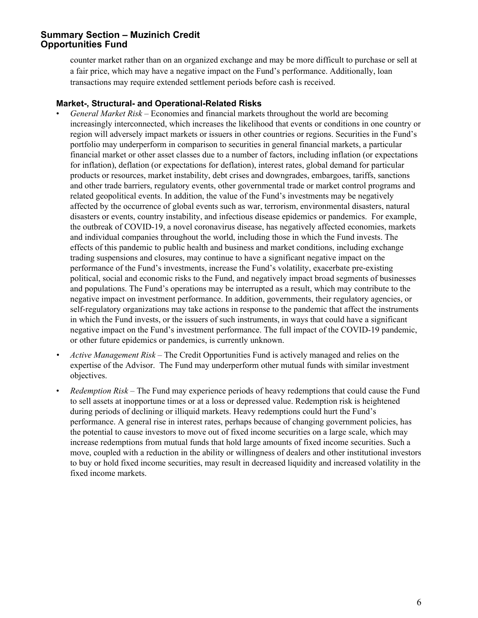counter market rather than on an organized exchange and may be more difficult to purchase or sell at a fair price, which may have a negative impact on the Fund's performance. Additionally, loan transactions may require extended settlement periods before cash is received.

#### **Market-, Structural- and Operational-Related Risks**

- *General Market Risk –* Economies and financial markets throughout the world are becoming increasingly interconnected, which increases the likelihood that events or conditions in one country or region will adversely impact markets or issuers in other countries or regions. Securities in the Fund's portfolio may underperform in comparison to securities in general financial markets, a particular financial market or other asset classes due to a number of factors, including inflation (or expectations for inflation), deflation (or expectations for deflation), interest rates, global demand for particular products or resources, market instability, debt crises and downgrades, embargoes, tariffs, sanctions and other trade barriers, regulatory events, other governmental trade or market control programs and related geopolitical events. In addition, the value of the Fund's investments may be negatively affected by the occurrence of global events such as war, terrorism, environmental disasters, natural disasters or events, country instability, and infectious disease epidemics or pandemics. For example, the outbreak of COVID-19, a novel coronavirus disease, has negatively affected economies, markets and individual companies throughout the world, including those in which the Fund invests. The effects of this pandemic to public health and business and market conditions, including exchange trading suspensions and closures, may continue to have a significant negative impact on the performance of the Fund's investments, increase the Fund's volatility, exacerbate pre-existing political, social and economic risks to the Fund, and negatively impact broad segments of businesses and populations. The Fund's operations may be interrupted as a result, which may contribute to the negative impact on investment performance. In addition, governments, their regulatory agencies, or self-regulatory organizations may take actions in response to the pandemic that affect the instruments in which the Fund invests, or the issuers of such instruments, in ways that could have a significant negative impact on the Fund's investment performance. The full impact of the COVID-19 pandemic, or other future epidemics or pandemics, is currently unknown.
- *• Active Management Risk* The Credit Opportunities Fund is actively managed and relies on the expertise of the Advisor. The Fund may underperform other mutual funds with similar investment objectives.
- *Redemption Risk* The Fund may experience periods of heavy redemptions that could cause the Fund to sell assets at inopportune times or at a loss or depressed value. Redemption risk is heightened during periods of declining or illiquid markets. Heavy redemptions could hurt the Fund's performance. A general rise in interest rates, perhaps because of changing government policies, has the potential to cause investors to move out of fixed income securities on a large scale, which may increase redemptions from mutual funds that hold large amounts of fixed income securities. Such a move, coupled with a reduction in the ability or willingness of dealers and other institutional investors to buy or hold fixed income securities, may result in decreased liquidity and increased volatility in the fixed income markets.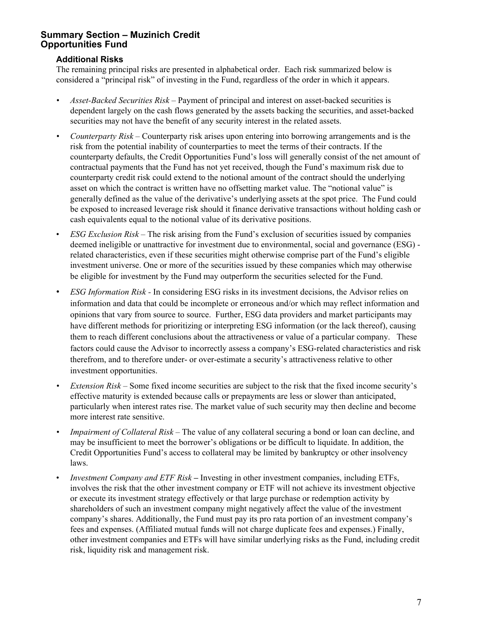#### **Additional Risks**

The remaining principal risks are presented in alphabetical order. Each risk summarized below is considered a "principal risk" of investing in the Fund, regardless of the order in which it appears.

- *Asset-Backed Securities Risk* Payment of principal and interest on asset-backed securities is dependent largely on the cash flows generated by the assets backing the securities, and asset-backed securities may not have the benefit of any security interest in the related assets.
- *• Counterparty Risk* Counterparty risk arises upon entering into borrowing arrangements and is the risk from the potential inability of counterparties to meet the terms of their contracts. If the counterparty defaults, the Credit Opportunities Fund's loss will generally consist of the net amount of contractual payments that the Fund has not yet received, though the Fund's maximum risk due to counterparty credit risk could extend to the notional amount of the contract should the underlying asset on which the contract is written have no offsetting market value. The "notional value" is generally defined as the value of the derivative's underlying assets at the spot price. The Fund could be exposed to increased leverage risk should it finance derivative transactions without holding cash or cash equivalents equal to the notional value of its derivative positions.
- *ESG Exclusion Risk* The risk arising from the Fund's exclusion of securities issued by companies deemed ineligible or unattractive for investment due to environmental, social and governance (ESG) related characteristics, even if these securities might otherwise comprise part of the Fund's eligible investment universe. One or more of the securities issued by these companies which may otherwise be eligible for investment by the Fund may outperform the securities selected for the Fund.
- *ESG Information Risk -* In considering ESG risks in its investment decisions, the Advisor relies on information and data that could be incomplete or erroneous and/or which may reflect information and opinions that vary from source to source. Further, ESG data providers and market participants may have different methods for prioritizing or interpreting ESG information (or the lack thereof), causing them to reach different conclusions about the attractiveness or value of a particular company. These factors could cause the Advisor to incorrectly assess a company's ESG-related characteristics and risk therefrom, and to therefore under- or over-estimate a security's attractiveness relative to other investment opportunities.
- *• Extension Risk* Some fixed income securities are subject to the risk that the fixed income security's effective maturity is extended because calls or prepayments are less or slower than anticipated, particularly when interest rates rise. The market value of such security may then decline and become more interest rate sensitive.
- *Impairment of Collateral Risk* The value of any collateral securing a bond or loan can decline, and may be insufficient to meet the borrower's obligations or be difficult to liquidate. In addition, the Credit Opportunities Fund's access to collateral may be limited by bankruptcy or other insolvency laws.
- *Investment Company and ETF Risk* Investing in other investment companies, including ETFs, involves the risk that the other investment company or ETF will not achieve its investment objective or execute its investment strategy effectively or that large purchase or redemption activity by shareholders of such an investment company might negatively affect the value of the investment company's shares. Additionally, the Fund must pay its pro rata portion of an investment company's fees and expenses. (Affiliated mutual funds will not charge duplicate fees and expenses.) Finally, other investment companies and ETFs will have similar underlying risks as the Fund, including credit risk, liquidity risk and management risk.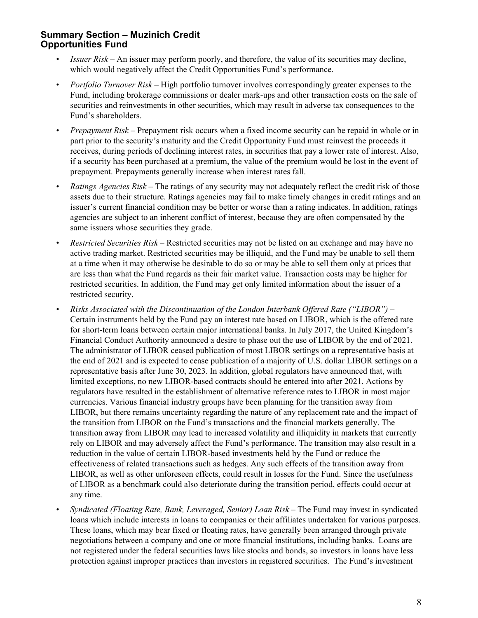- *Issuer Risk* An issuer may perform poorly, and therefore, the value of its securities may decline, which would negatively affect the Credit Opportunities Fund's performance.
- *Portfolio Turnover Risk* High portfolio turnover involves correspondingly greater expenses to the Fund, including brokerage commissions or dealer mark-ups and other transaction costs on the sale of securities and reinvestments in other securities, which may result in adverse tax consequences to the Fund's shareholders.
- *Prepayment Risk*  Prepayment risk occurs when a fixed income security can be repaid in whole or in part prior to the security's maturity and the Credit Opportunity Fund must reinvest the proceeds it receives, during periods of declining interest rates, in securities that pay a lower rate of interest. Also, if a security has been purchased at a premium, the value of the premium would be lost in the event of prepayment. Prepayments generally increase when interest rates fall.
- *Ratings Agencies Risk* The ratings of any security may not adequately reflect the credit risk of those assets due to their structure. Ratings agencies may fail to make timely changes in credit ratings and an issuer's current financial condition may be better or worse than a rating indicates. In addition, ratings agencies are subject to an inherent conflict of interest, because they are often compensated by the same issuers whose securities they grade.
- *Restricted Securities Risk* Restricted securities may not be listed on an exchange and may have no active trading market. Restricted securities may be illiquid, and the Fund may be unable to sell them at a time when it may otherwise be desirable to do so or may be able to sell them only at prices that are less than what the Fund regards as their fair market value. Transaction costs may be higher for restricted securities. In addition, the Fund may get only limited information about the issuer of a restricted security.
- *Risks Associated with the Discontinuation of the London Interbank Offered Rate ("LIBOR") –* Certain instruments held by the Fund pay an interest rate based on LIBOR, which is the offered rate for short-term loans between certain major international banks. In July 2017, the United Kingdom's Financial Conduct Authority announced a desire to phase out the use of LIBOR by the end of 2021. The administrator of LIBOR ceased publication of most LIBOR settings on a representative basis at the end of 2021 and is expected to cease publication of a majority of U.S. dollar LIBOR settings on a representative basis after June 30, 2023. In addition, global regulators have announced that, with limited exceptions, no new LIBOR-based contracts should be entered into after 2021. Actions by regulators have resulted in the establishment of alternative reference rates to LIBOR in most major currencies. Various financial industry groups have been planning for the transition away from LIBOR, but there remains uncertainty regarding the nature of any replacement rate and the impact of the transition from LIBOR on the Fund's transactions and the financial markets generally. The transition away from LIBOR may lead to increased volatility and illiquidity in markets that currently rely on LIBOR and may adversely affect the Fund's performance. The transition may also result in a reduction in the value of certain LIBOR-based investments held by the Fund or reduce the effectiveness of related transactions such as hedges. Any such effects of the transition away from LIBOR, as well as other unforeseen effects, could result in losses for the Fund. Since the usefulness of LIBOR as a benchmark could also deteriorate during the transition period, effects could occur at any time.
- *Syndicated (Floating Rate, Bank, Leveraged, Senior) Loan Risk*  The Fund may invest in syndicated loans which include interests in loans to companies or their affiliates undertaken for various purposes. These loans, which may bear fixed or floating rates, have generally been arranged through private negotiations between a company and one or more financial institutions, including banks. Loans are not registered under the federal securities laws like stocks and bonds, so investors in loans have less protection against improper practices than investors in registered securities. The Fund's investment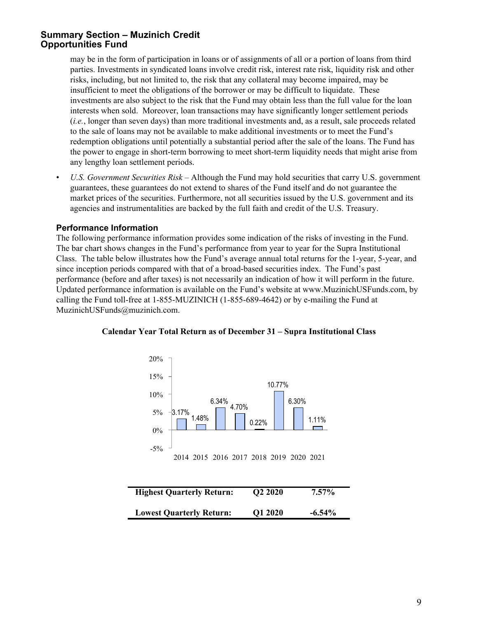may be in the form of participation in loans or of assignments of all or a portion of loans from third parties. Investments in syndicated loans involve credit risk, interest rate risk, liquidity risk and other risks, including, but not limited to, the risk that any collateral may become impaired, may be insufficient to meet the obligations of the borrower or may be difficult to liquidate. These investments are also subject to the risk that the Fund may obtain less than the full value for the loan interests when sold. Moreover, loan transactions may have significantly longer settlement periods (*i.e.*, longer than seven days) than more traditional investments and, as a result, sale proceeds related to the sale of loans may not be available to make additional investments or to meet the Fund's redemption obligations until potentially a substantial period after the sale of the loans. The Fund has the power to engage in short-term borrowing to meet short-term liquidity needs that might arise from any lengthy loan settlement periods.

• *U.S. Government Securities Risk* – Although the Fund may hold securities that carry U.S. government guarantees, these guarantees do not extend to shares of the Fund itself and do not guarantee the market prices of the securities. Furthermore, not all securities issued by the U.S. government and its agencies and instrumentalities are backed by the full faith and credit of the U.S. Treasury.

#### **Performance Information**

The following performance information provides some indication of the risks of investing in the Fund. The bar chart shows changes in the Fund's performance from year to year for the Supra Institutional Class. The table below illustrates how the Fund's average annual total returns for the 1-year, 5-year, and since inception periods compared with that of a broad-based securities index. The Fund's past performance (before and after taxes) is not necessarily an indication of how it will perform in the future. Updated performance information is available on the Fund's website at www.MuzinichUSFunds.com, by calling the Fund toll-free at 1-855-MUZINICH (1-855-689-4642) or by e-mailing the Fund at MuzinichUSFunds@muzinich.com.



#### **Calendar Year Total Return as of December 31 – Supra Institutional Class**

| <b>Highest Quarterly Return:</b> | Q2 2020 | $7.57\%$  |
|----------------------------------|---------|-----------|
| <b>Lowest Quarterly Return:</b>  | Q1 2020 | $-6.54\%$ |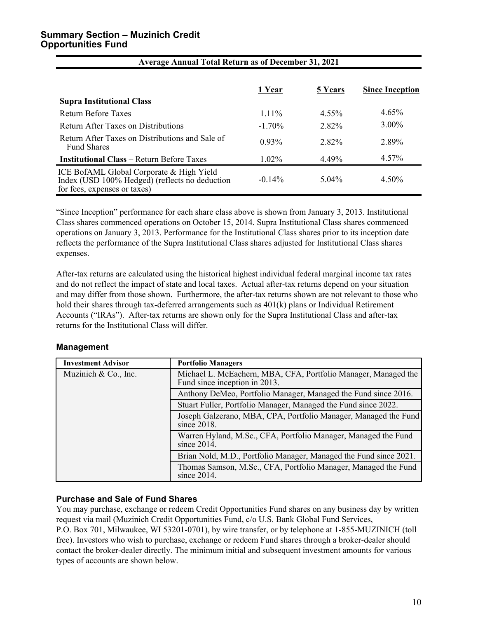| <b>Supra Institutional Class</b>                                                                                           | 1 Year    | 5 Years  | <b>Since Inception</b> |
|----------------------------------------------------------------------------------------------------------------------------|-----------|----------|------------------------|
| Return Before Taxes                                                                                                        | $1.11\%$  | $4.55\%$ | $4.65\%$               |
|                                                                                                                            |           |          |                        |
| Return After Taxes on Distributions                                                                                        | $-1.70\%$ | 2.82%    | $3.00\%$               |
| Return After Taxes on Distributions and Sale of<br><b>Fund Shares</b>                                                      | 0.93%     | 2.82%    | 2.89%                  |
| <b>Institutional Class – Return Before Taxes</b>                                                                           | $1.02\%$  | 4.49%    | 4.57%                  |
| ICE BofAML Global Corporate & High Yield<br>Index (USD 100% Hedged) (reflects no deduction<br>for fees, expenses or taxes) | $-0.14\%$ | $5.04\%$ | 4.50%                  |

**Average Annual Total Return as of December 31, 2021**

"Since Inception" performance for each share class above is shown from January 3, 2013. Institutional Class shares commenced operations on October 15, 2014. Supra Institutional Class shares commenced operations on January 3, 2013. Performance for the Institutional Class shares prior to its inception date reflects the performance of the Supra Institutional Class shares adjusted for Institutional Class shares expenses.

After-tax returns are calculated using the historical highest individual federal marginal income tax rates and do not reflect the impact of state and local taxes. Actual after-tax returns depend on your situation and may differ from those shown. Furthermore, the after-tax returns shown are not relevant to those who hold their shares through tax-deferred arrangements such as 401(k) plans or Individual Retirement Accounts ("IRAs"). After-tax returns are shown only for the Supra Institutional Class and after-tax returns for the Institutional Class will differ.

#### **Management**

| <b>Investment Advisor</b> | <b>Portfolio Managers</b>                                                                       |
|---------------------------|-------------------------------------------------------------------------------------------------|
| Muzinich $& Co., Inc.$    | Michael L. McEachern, MBA, CFA, Portfolio Manager, Managed the<br>Fund since inception in 2013. |
|                           | Anthony DeMeo, Portfolio Manager, Managed the Fund since 2016.                                  |
|                           | Stuart Fuller, Portfolio Manager, Managed the Fund since 2022.                                  |
|                           | Joseph Galzerano, MBA, CPA, Portfolio Manager, Managed the Fund<br>since 2018.                  |
|                           | Warren Hyland, M.Sc., CFA, Portfolio Manager, Managed the Fund<br>since 2014.                   |
|                           | Brian Nold, M.D., Portfolio Manager, Managed the Fund since 2021.                               |
|                           | Thomas Samson, M.Sc., CFA, Portfolio Manager, Managed the Fund<br>since 2014.                   |

#### **Purchase and Sale of Fund Shares**

You may purchase, exchange or redeem Credit Opportunities Fund shares on any business day by written request via mail (Muzinich Credit Opportunities Fund, c/o U.S. Bank Global Fund Services, P.O. Box 701, Milwaukee, WI 53201-0701), by wire transfer, or by telephone at 1-855-MUZINICH (toll free). Investors who wish to purchase, exchange or redeem Fund shares through a broker-dealer should contact the broker-dealer directly. The minimum initial and subsequent investment amounts for various types of accounts are shown below.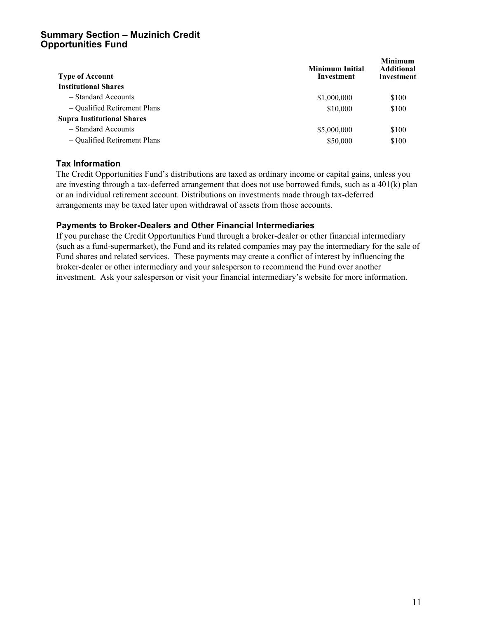| <b>Type of Account</b>            | <b>Minimum Initial</b><br>Investment | <b>Minimum</b><br><b>Additional</b><br>Investment |
|-----------------------------------|--------------------------------------|---------------------------------------------------|
| <b>Institutional Shares</b>       |                                      |                                                   |
| - Standard Accounts               | \$1,000,000                          | \$100                                             |
| - Qualified Retirement Plans      | \$10,000                             | \$100                                             |
| <b>Supra Institutional Shares</b> |                                      |                                                   |
| - Standard Accounts               | \$5,000,000                          | \$100                                             |
| - Qualified Retirement Plans      | \$50,000                             | \$100                                             |

#### **Tax Information**

The Credit Opportunities Fund's distributions are taxed as ordinary income or capital gains, unless you are investing through a tax-deferred arrangement that does not use borrowed funds, such as a 401(k) plan or an individual retirement account. Distributions on investments made through tax-deferred arrangements may be taxed later upon withdrawal of assets from those accounts.

#### **Payments to Broker-Dealers and Other Financial Intermediaries**

If you purchase the Credit Opportunities Fund through a broker-dealer or other financial intermediary (such as a fund-supermarket), the Fund and its related companies may pay the intermediary for the sale of Fund shares and related services. These payments may create a conflict of interest by influencing the broker-dealer or other intermediary and your salesperson to recommend the Fund over another investment. Ask your salesperson or visit your financial intermediary's website for more information.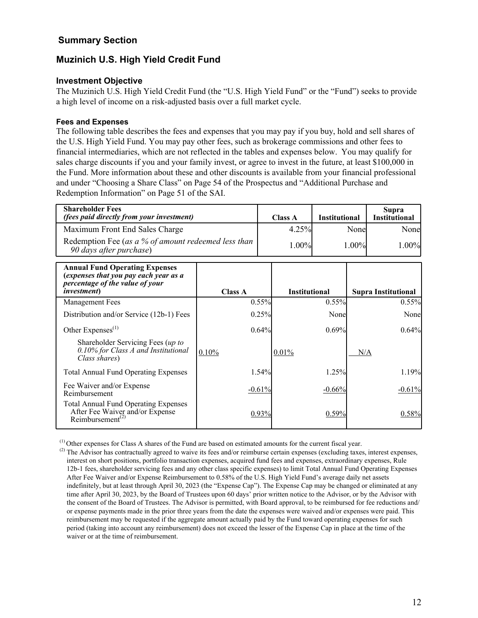# <span id="page-15-0"></span>**Summary Section**

# **Muzinich U.S. High Yield Credit Fund**

#### **Investment Objective**

The Muzinich U.S. High Yield Credit Fund (the "U.S. High Yield Fund" or the "Fund") seeks to provide a high level of income on a risk-adjusted basis over a full market cycle.

#### **Fees and Expenses**

The following table describes the fees and expenses that you may pay if you buy, hold and sell shares of the U.S. High Yield Fund. You may pay other fees, such as brokerage commissions and other fees to financial intermediaries, which are not reflected in the tables and expenses below. You may qualify for sales charge discounts if you and your family invest, or agree to invest in the future, at least \$100,000 in the Fund. More information about these and other discounts is available from your financial professional and under "Choosing a Share Class" on Page 54 of the Prospectus and "Additional Purchase and Redemption Information" on Page 51 of the SAI.

| <b>Shareholder Fees</b><br>(fees paid directly from your investment)                                                                     |                |          | <b>Class A</b>       | <b>Institutional</b> |       | Supra<br><b>Institutional</b> |
|------------------------------------------------------------------------------------------------------------------------------------------|----------------|----------|----------------------|----------------------|-------|-------------------------------|
| Maximum Front End Sales Charge                                                                                                           |                |          | 4.25%                |                      | None  | Nonel                         |
| Redemption Fee (as a % of amount redeemed less than<br>90 days after purchase)                                                           |                |          | 1.00%                |                      | 1.00% | $1.00\%$                      |
| <b>Annual Fund Operating Expenses</b><br>(expenses that you pay each year as a<br>percentage of the value of your<br><i>investment</i> ) | <b>Class A</b> |          | <b>Institutional</b> |                      |       | <b>Supra Institutional</b>    |
| <b>Management Fees</b>                                                                                                                   |                | 0.55%    |                      | 0.55%                |       | 0.55%                         |
| Distribution and/or Service (12b-1) Fees                                                                                                 |                | 0.25%    |                      | None                 |       | None                          |
| Other Expenses $^{(1)}$                                                                                                                  |                | 0.64%    |                      | 0.69%                |       | 0.64%                         |
| Shareholder Servicing Fees (up to<br>0.10% for Class A and Institutional<br>Class shares)                                                | 0.10%          |          | 0.01%                |                      | N/A   |                               |
| <b>Total Annual Fund Operating Expenses</b>                                                                                              |                | 1.54%    |                      | 1.25%                |       | 1.19%                         |
| Fee Waiver and/or Expense<br>Reimbursement                                                                                               |                | $-0.61%$ |                      | $-0.66%$             |       | $-0.61%$                      |
| <b>Total Annual Fund Operating Expenses</b><br>After Fee Waiver and/or Expense<br>Reimbursement <sup>(2)</sup>                           |                | 0.93%    |                      | 0.59%                |       | 0.58%                         |

(1) Other expenses for Class A shares of the Fund are based on estimated amounts for the current fiscal year.

<sup>&</sup>lt;sup>(2)</sup> The Advisor has contractually agreed to waive its fees and/or reimburse certain expenses (excluding taxes, interest expenses, interest on short positions, portfolio transaction expenses, acquired fund fees and expenses, extraordinary expenses, Rule 12b-1 fees, shareholder servicing fees and any other class specific expenses) to limit Total Annual Fund Operating Expenses After Fee Waiver and/or Expense Reimbursement to 0.58% of the U.S. High Yield Fund's average daily net assets indefinitely, but at least through April 30, 2023 (the "Expense Cap"). The Expense Cap may be changed or eliminated at any time after April 30, 2023, by the Board of Trustees upon 60 days' prior written notice to the Advisor, or by the Advisor with the consent of the Board of Trustees. The Advisor is permitted, with Board approval, to be reimbursed for fee reductions and/ or expense payments made in the prior three years from the date the expenses were waived and/or expenses were paid. This reimbursement may be requested if the aggregate amount actually paid by the Fund toward operating expenses for such period (taking into account any reimbursement) does not exceed the lesser of the Expense Cap in place at the time of the waiver or at the time of reimbursement.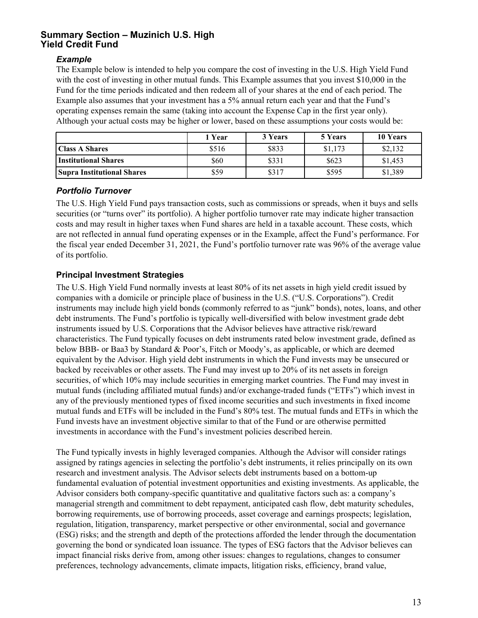#### *Example*

The Example below is intended to help you compare the cost of investing in the U.S. High Yield Fund with the cost of investing in other mutual funds. This Example assumes that you invest \$10,000 in the Fund for the time periods indicated and then redeem all of your shares at the end of each period. The Example also assumes that your investment has a 5% annual return each year and that the Fund's operating expenses remain the same (taking into account the Expense Cap in the first year only). Although your actual costs may be higher or lower, based on these assumptions your costs would be:

|                                   | Year  | 3 Years | 5 Years | 10 Years |
|-----------------------------------|-------|---------|---------|----------|
| <b>Class A Shares</b>             | \$516 | \$833   | \$1,173 | \$2,132  |
| Institutional Shares              | \$60  | \$331   | \$623   | \$1,453  |
| <b>Supra Institutional Shares</b> | \$59  | \$317   | \$595   | \$1,389  |

#### *Portfolio Turnover*

The U.S. High Yield Fund pays transaction costs, such as commissions or spreads, when it buys and sells securities (or "turns over" its portfolio). A higher portfolio turnover rate may indicate higher transaction costs and may result in higher taxes when Fund shares are held in a taxable account. These costs, which are not reflected in annual fund operating expenses or in the Example, affect the Fund's performance. For the fiscal year ended December 31, 2021, the Fund's portfolio turnover rate was 96% of the average value of its portfolio.

# **Principal Investment Strategies**

The U.S. High Yield Fund normally invests at least 80% of its net assets in high yield credit issued by companies with a domicile or principle place of business in the U.S. ("U.S. Corporations"). Credit instruments may include high yield bonds (commonly referred to as "junk" bonds), notes, loans, and other debt instruments. The Fund's portfolio is typically well-diversified with below investment grade debt instruments issued by U.S. Corporations that the Advisor believes have attractive risk/reward characteristics. The Fund typically focuses on debt instruments rated below investment grade, defined as below BBB- or Baa3 by Standard & Poor's, Fitch or Moody's, as applicable, or which are deemed equivalent by the Advisor. High yield debt instruments in which the Fund invests may be unsecured or backed by receivables or other assets. The Fund may invest up to 20% of its net assets in foreign securities, of which 10% may include securities in emerging market countries. The Fund may invest in mutual funds (including affiliated mutual funds) and/or exchange-traded funds ("ETFs") which invest in any of the previously mentioned types of fixed income securities and such investments in fixed income mutual funds and ETFs will be included in the Fund's 80% test. The mutual funds and ETFs in which the Fund invests have an investment objective similar to that of the Fund or are otherwise permitted investments in accordance with the Fund's investment policies described herein.

The Fund typically invests in highly leveraged companies. Although the Advisor will consider ratings assigned by ratings agencies in selecting the portfolio's debt instruments, it relies principally on its own research and investment analysis. The Advisor selects debt instruments based on a bottom-up fundamental evaluation of potential investment opportunities and existing investments. As applicable, the Advisor considers both company-specific quantitative and qualitative factors such as: a company's managerial strength and commitment to debt repayment, anticipated cash flow, debt maturity schedules, borrowing requirements, use of borrowing proceeds, asset coverage and earnings prospects; legislation, regulation, litigation, transparency, market perspective or other environmental, social and governance (ESG) risks; and the strength and depth of the protections afforded the lender through the documentation governing the bond or syndicated loan issuance. The types of ESG factors that the Advisor believes can impact financial risks derive from, among other issues: changes to regulations, changes to consumer preferences, technology advancements, climate impacts, litigation risks, efficiency, brand value,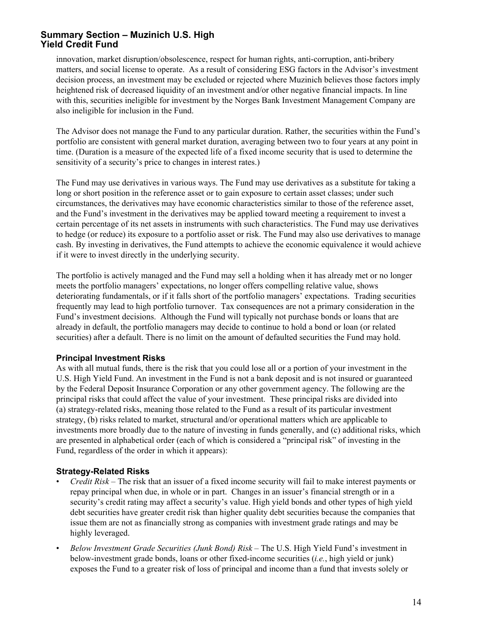innovation, market disruption/obsolescence, respect for human rights, anti-corruption, anti-bribery matters, and social license to operate. As a result of considering ESG factors in the Advisor's investment decision process, an investment may be excluded or rejected where Muzinich believes those factors imply heightened risk of decreased liquidity of an investment and/or other negative financial impacts. In line with this, securities ineligible for investment by the Norges Bank Investment Management Company are also ineligible for inclusion in the Fund.

The Advisor does not manage the Fund to any particular duration. Rather, the securities within the Fund's portfolio are consistent with general market duration, averaging between two to four years at any point in time. (Duration is a measure of the expected life of a fixed income security that is used to determine the sensitivity of a security's price to changes in interest rates.)

The Fund may use derivatives in various ways. The Fund may use derivatives as a substitute for taking a long or short position in the reference asset or to gain exposure to certain asset classes; under such circumstances, the derivatives may have economic characteristics similar to those of the reference asset, and the Fund's investment in the derivatives may be applied toward meeting a requirement to invest a certain percentage of its net assets in instruments with such characteristics. The Fund may use derivatives to hedge (or reduce) its exposure to a portfolio asset or risk. The Fund may also use derivatives to manage cash. By investing in derivatives, the Fund attempts to achieve the economic equivalence it would achieve if it were to invest directly in the underlying security.

The portfolio is actively managed and the Fund may sell a holding when it has already met or no longer meets the portfolio managers' expectations, no longer offers compelling relative value, shows deteriorating fundamentals, or if it falls short of the portfolio managers' expectations. Trading securities frequently may lead to high portfolio turnover. Tax consequences are not a primary consideration in the Fund's investment decisions. Although the Fund will typically not purchase bonds or loans that are already in default, the portfolio managers may decide to continue to hold a bond or loan (or related securities) after a default. There is no limit on the amount of defaulted securities the Fund may hold.

#### **Principal Investment Risks**

As with all mutual funds, there is the risk that you could lose all or a portion of your investment in the U.S. High Yield Fund. An investment in the Fund is not a bank deposit and is not insured or guaranteed by the Federal Deposit Insurance Corporation or any other government agency. The following are the principal risks that could affect the value of your investment. These principal risks are divided into (a) strategy-related risks, meaning those related to the Fund as a result of its particular investment strategy, (b) risks related to market, structural and/or operational matters which are applicable to investments more broadly due to the nature of investing in funds generally, and (c) additional risks, which are presented in alphabetical order (each of which is considered a "principal risk" of investing in the Fund, regardless of the order in which it appears):

#### **Strategy-Related Risks**

- *Credit Risk* The risk that an issuer of a fixed income security will fail to make interest payments or repay principal when due, in whole or in part. Changes in an issuer's financial strength or in a security's credit rating may affect a security's value. High yield bonds and other types of high yield debt securities have greater credit risk than higher quality debt securities because the companies that issue them are not as financially strong as companies with investment grade ratings and may be highly leveraged.
- *Below Investment Grade Securities (Junk Bond) Risk* The U.S. High Yield Fund's investment in below-investment grade bonds, loans or other fixed-income securities (*i.e.*, high yield or junk) exposes the Fund to a greater risk of loss of principal and income than a fund that invests solely or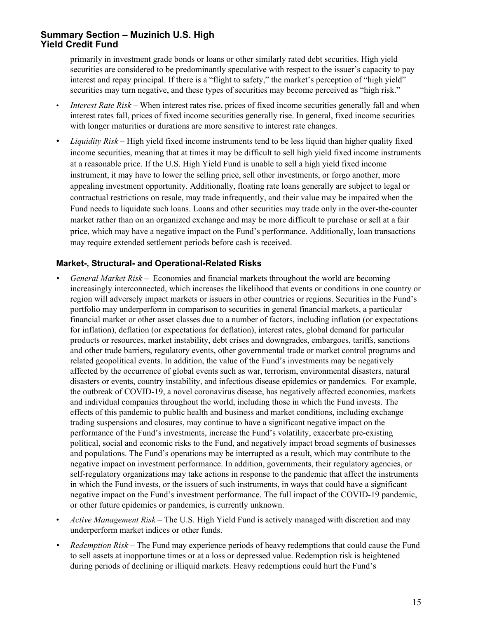primarily in investment grade bonds or loans or other similarly rated debt securities. High yield securities are considered to be predominantly speculative with respect to the issuer's capacity to pay interest and repay principal. If there is a "flight to safety," the market's perception of "high yield" securities may turn negative, and these types of securities may become perceived as "high risk."

- *Interest Rate Risk* When interest rates rise, prices of fixed income securities generally fall and when interest rates fall, prices of fixed income securities generally rise. In general, fixed income securities with longer maturities or durations are more sensitive to interest rate changes.
- *Liquidity Risk* High yield fixed income instruments tend to be less liquid than higher quality fixed income securities, meaning that at times it may be difficult to sell high yield fixed income instruments at a reasonable price. If the U.S. High Yield Fund is unable to sell a high yield fixed income instrument, it may have to lower the selling price, sell other investments, or forgo another, more appealing investment opportunity. Additionally, floating rate loans generally are subject to legal or contractual restrictions on resale, may trade infrequently, and their value may be impaired when the Fund needs to liquidate such loans. Loans and other securities may trade only in the over-the-counter market rather than on an organized exchange and may be more difficult to purchase or sell at a fair price, which may have a negative impact on the Fund's performance. Additionally, loan transactions may require extended settlement periods before cash is received.

#### **Market-, Structural- and Operational-Related Risks**

- *• General Market Risk*  Economies and financial markets throughout the world are becoming increasingly interconnected, which increases the likelihood that events or conditions in one country or region will adversely impact markets or issuers in other countries or regions. Securities in the Fund's portfolio may underperform in comparison to securities in general financial markets, a particular financial market or other asset classes due to a number of factors, including inflation (or expectations for inflation), deflation (or expectations for deflation), interest rates, global demand for particular products or resources, market instability, debt crises and downgrades, embargoes, tariffs, sanctions and other trade barriers, regulatory events, other governmental trade or market control programs and related geopolitical events. In addition, the value of the Fund's investments may be negatively affected by the occurrence of global events such as war, terrorism, environmental disasters, natural disasters or events, country instability, and infectious disease epidemics or pandemics. For example, the outbreak of COVID-19, a novel coronavirus disease, has negatively affected economies, markets and individual companies throughout the world, including those in which the Fund invests. The effects of this pandemic to public health and business and market conditions, including exchange trading suspensions and closures, may continue to have a significant negative impact on the performance of the Fund's investments, increase the Fund's volatility, exacerbate pre-existing political, social and economic risks to the Fund, and negatively impact broad segments of businesses and populations. The Fund's operations may be interrupted as a result, which may contribute to the negative impact on investment performance. In addition, governments, their regulatory agencies, or self-regulatory organizations may take actions in response to the pandemic that affect the instruments in which the Fund invests, or the issuers of such instruments, in ways that could have a significant negative impact on the Fund's investment performance. The full impact of the COVID-19 pandemic, or other future epidemics or pandemics, is currently unknown.
- *Active Management Risk* The U.S. High Yield Fund is actively managed with discretion and may underperform market indices or other funds.
- *• Redemption Risk* The Fund may experience periods of heavy redemptions that could cause the Fund to sell assets at inopportune times or at a loss or depressed value. Redemption risk is heightened during periods of declining or illiquid markets. Heavy redemptions could hurt the Fund's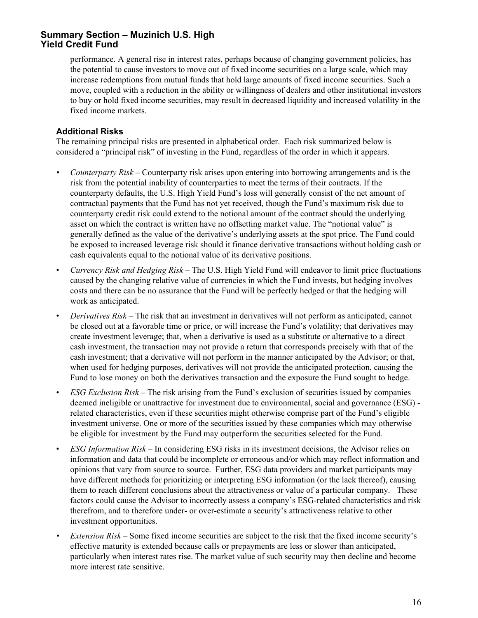performance. A general rise in interest rates, perhaps because of changing government policies, has the potential to cause investors to move out of fixed income securities on a large scale, which may increase redemptions from mutual funds that hold large amounts of fixed income securities. Such a move, coupled with a reduction in the ability or willingness of dealers and other institutional investors to buy or hold fixed income securities, may result in decreased liquidity and increased volatility in the fixed income markets.

#### **Additional Risks**

The remaining principal risks are presented in alphabetical order. Each risk summarized below is considered a "principal risk" of investing in the Fund, regardless of the order in which it appears.

- *• Counterparty Risk* Counterparty risk arises upon entering into borrowing arrangements and is the risk from the potential inability of counterparties to meet the terms of their contracts. If the counterparty defaults, the U.S. High Yield Fund's loss will generally consist of the net amount of contractual payments that the Fund has not yet received, though the Fund's maximum risk due to counterparty credit risk could extend to the notional amount of the contract should the underlying asset on which the contract is written have no offsetting market value. The "notional value" is generally defined as the value of the derivative's underlying assets at the spot price. The Fund could be exposed to increased leverage risk should it finance derivative transactions without holding cash or cash equivalents equal to the notional value of its derivative positions.
- *Currency Risk and Hedging Risk* The U.S. High Yield Fund will endeavor to limit price fluctuations caused by the changing relative value of currencies in which the Fund invests, but hedging involves costs and there can be no assurance that the Fund will be perfectly hedged or that the hedging will work as anticipated.
- *Derivatives Risk* The risk that an investment in derivatives will not perform as anticipated, cannot be closed out at a favorable time or price, or will increase the Fund's volatility; that derivatives may create investment leverage; that, when a derivative is used as a substitute or alternative to a direct cash investment, the transaction may not provide a return that corresponds precisely with that of the cash investment; that a derivative will not perform in the manner anticipated by the Advisor; or that, when used for hedging purposes, derivatives will not provide the anticipated protection, causing the Fund to lose money on both the derivatives transaction and the exposure the Fund sought to hedge.
- *ESG Exclusion Risk* The risk arising from the Fund's exclusion of securities issued by companies deemed ineligible or unattractive for investment due to environmental, social and governance (ESG) related characteristics, even if these securities might otherwise comprise part of the Fund's eligible investment universe. One or more of the securities issued by these companies which may otherwise be eligible for investment by the Fund may outperform the securities selected for the Fund.
- *ESG Information Risk* In considering ESG risks in its investment decisions, the Advisor relies on information and data that could be incomplete or erroneous and/or which may reflect information and opinions that vary from source to source. Further, ESG data providers and market participants may have different methods for prioritizing or interpreting ESG information (or the lack thereof), causing them to reach different conclusions about the attractiveness or value of a particular company. These factors could cause the Advisor to incorrectly assess a company's ESG-related characteristics and risk therefrom, and to therefore under- or over-estimate a security's attractiveness relative to other investment opportunities.
- *• Extension Risk* Some fixed income securities are subject to the risk that the fixed income security's effective maturity is extended because calls or prepayments are less or slower than anticipated, particularly when interest rates rise. The market value of such security may then decline and become more interest rate sensitive.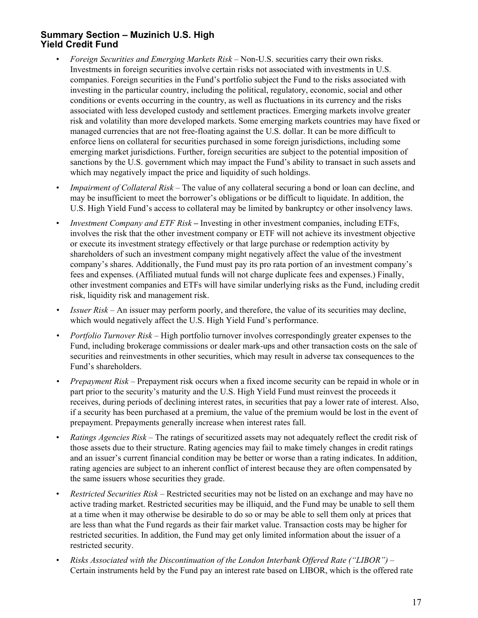- *Foreign Securities and Emerging Markets Risk* Non-U.S. securities carry their own risks. Investments in foreign securities involve certain risks not associated with investments in U.S. companies. Foreign securities in the Fund's portfolio subject the Fund to the risks associated with investing in the particular country, including the political, regulatory, economic, social and other conditions or events occurring in the country, as well as fluctuations in its currency and the risks associated with less developed custody and settlement practices. Emerging markets involve greater risk and volatility than more developed markets. Some emerging markets countries may have fixed or managed currencies that are not free-floating against the U.S. dollar. It can be more difficult to enforce liens on collateral for securities purchased in some foreign jurisdictions, including some emerging market jurisdictions. Further, foreign securities are subject to the potential imposition of sanctions by the U.S. government which may impact the Fund's ability to transact in such assets and which may negatively impact the price and liquidity of such holdings.
- *Impairment of Collateral Risk* The value of any collateral securing a bond or loan can decline, and may be insufficient to meet the borrower's obligations or be difficult to liquidate. In addition, the U.S. High Yield Fund's access to collateral may be limited by bankruptcy or other insolvency laws.
- *Investment Company and ETF Risk* Investing in other investment companies, including ETFs, involves the risk that the other investment company or ETF will not achieve its investment objective or execute its investment strategy effectively or that large purchase or redemption activity by shareholders of such an investment company might negatively affect the value of the investment company's shares. Additionally, the Fund must pay its pro rata portion of an investment company's fees and expenses. (Affiliated mutual funds will not charge duplicate fees and expenses.) Finally, other investment companies and ETFs will have similar underlying risks as the Fund, including credit risk, liquidity risk and management risk.
- *• Issuer Risk* An issuer may perform poorly, and therefore, the value of its securities may decline, which would negatively affect the U.S. High Yield Fund's performance.
- *• Portfolio Turnover Risk* High portfolio turnover involves correspondingly greater expenses to the Fund, including brokerage commissions or dealer mark-ups and other transaction costs on the sale of securities and reinvestments in other securities, which may result in adverse tax consequences to the Fund's shareholders.
- *• Prepayment Risk* Prepayment risk occurs when a fixed income security can be repaid in whole or in part prior to the security's maturity and the U.S. High Yield Fund must reinvest the proceeds it receives, during periods of declining interest rates, in securities that pay a lower rate of interest. Also, if a security has been purchased at a premium, the value of the premium would be lost in the event of prepayment. Prepayments generally increase when interest rates fall.
- *Ratings Agencies Risk*  The ratings of securitized assets may not adequately reflect the credit risk of those assets due to their structure. Rating agencies may fail to make timely changes in credit ratings and an issuer's current financial condition may be better or worse than a rating indicates. In addition, rating agencies are subject to an inherent conflict of interest because they are often compensated by the same issuers whose securities they grade.
- *Restricted Securities Risk* Restricted securities may not be listed on an exchange and may have no active trading market. Restricted securities may be illiquid, and the Fund may be unable to sell them at a time when it may otherwise be desirable to do so or may be able to sell them only at prices that are less than what the Fund regards as their fair market value. Transaction costs may be higher for restricted securities. In addition, the Fund may get only limited information about the issuer of a restricted security.
- *Risks Associated with the Discontinuation of the London Interbank Offered Rate ("LIBOR")*  Certain instruments held by the Fund pay an interest rate based on LIBOR, which is the offered rate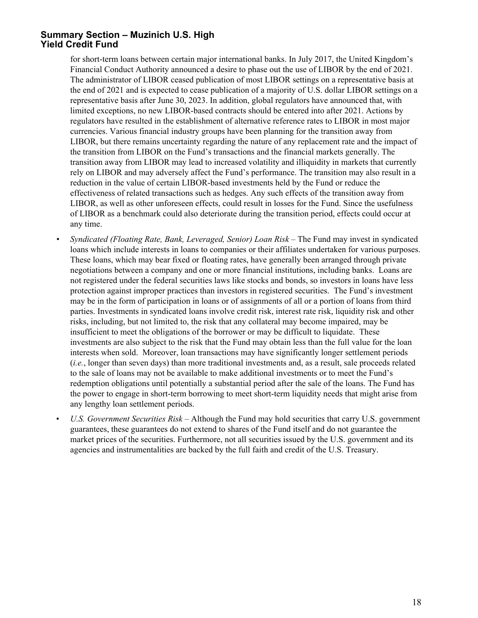for short-term loans between certain major international banks. In July 2017, the United Kingdom's Financial Conduct Authority announced a desire to phase out the use of LIBOR by the end of 2021. The administrator of LIBOR ceased publication of most LIBOR settings on a representative basis at the end of 2021 and is expected to cease publication of a majority of U.S. dollar LIBOR settings on a representative basis after June 30, 2023. In addition, global regulators have announced that, with limited exceptions, no new LIBOR-based contracts should be entered into after 2021. Actions by regulators have resulted in the establishment of alternative reference rates to LIBOR in most major currencies. Various financial industry groups have been planning for the transition away from LIBOR, but there remains uncertainty regarding the nature of any replacement rate and the impact of the transition from LIBOR on the Fund's transactions and the financial markets generally. The transition away from LIBOR may lead to increased volatility and illiquidity in markets that currently rely on LIBOR and may adversely affect the Fund's performance. The transition may also result in a reduction in the value of certain LIBOR-based investments held by the Fund or reduce the effectiveness of related transactions such as hedges. Any such effects of the transition away from LIBOR, as well as other unforeseen effects, could result in losses for the Fund. Since the usefulness of LIBOR as a benchmark could also deteriorate during the transition period, effects could occur at any time.

- *Syndicated (Floating Rate, Bank, Leveraged, Senior) Loan Risk The Fund may invest in syndicated* loans which include interests in loans to companies or their affiliates undertaken for various purposes. These loans, which may bear fixed or floating rates, have generally been arranged through private negotiations between a company and one or more financial institutions, including banks. Loans are not registered under the federal securities laws like stocks and bonds, so investors in loans have less protection against improper practices than investors in registered securities. The Fund's investment may be in the form of participation in loans or of assignments of all or a portion of loans from third parties. Investments in syndicated loans involve credit risk, interest rate risk, liquidity risk and other risks, including, but not limited to, the risk that any collateral may become impaired, may be insufficient to meet the obligations of the borrower or may be difficult to liquidate. These investments are also subject to the risk that the Fund may obtain less than the full value for the loan interests when sold. Moreover, loan transactions may have significantly longer settlement periods (*i.e.*, longer than seven days) than more traditional investments and, as a result, sale proceeds related to the sale of loans may not be available to make additional investments or to meet the Fund's redemption obligations until potentially a substantial period after the sale of the loans. The Fund has the power to engage in short-term borrowing to meet short-term liquidity needs that might arise from any lengthy loan settlement periods.
- *U.S. Government Securities Risk* Although the Fund may hold securities that carry U.S. government guarantees, these guarantees do not extend to shares of the Fund itself and do not guarantee the market prices of the securities. Furthermore, not all securities issued by the U.S. government and its agencies and instrumentalities are backed by the full faith and credit of the U.S. Treasury.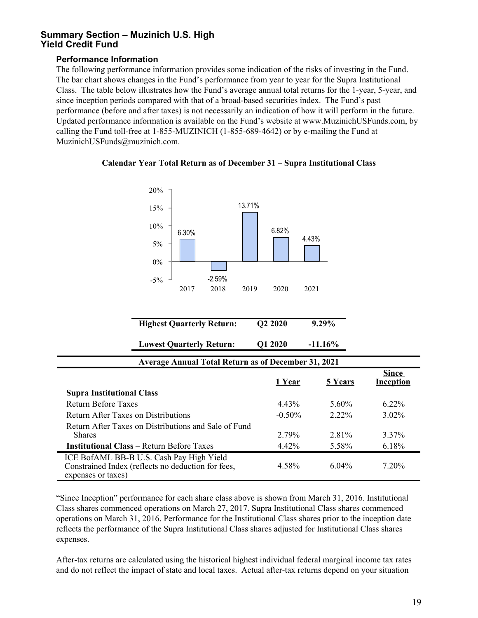#### **Performance Information**

expenses or taxes)

The following performance information provides some indication of the risks of investing in the Fund. The bar chart shows changes in the Fund's performance from year to year for the Supra Institutional Class. The table below illustrates how the Fund's average annual total returns for the 1-year, 5-year, and since inception periods compared with that of a broad-based securities index. The Fund's past performance (before and after taxes) is not necessarily an indication of how it will perform in the future. Updated performance information is available on the Fund's website at www.MuzinichUSFunds.com, by calling the Fund toll-free at 1-855-MUZINICH (1-855-689-4642) or by e-mailing the Fund at MuzinichUSFunds@muzinich.com.





| <b>Highest Quarterly Return:</b>                                                               | Q2 2020   | $9.29\%$   |                                  |
|------------------------------------------------------------------------------------------------|-----------|------------|----------------------------------|
| <b>Lowest Quarterly Return:</b>                                                                | Q1 2020   | $-11.16\%$ |                                  |
| <b>Average Annual Total Return as of December 31, 2021</b>                                     |           |            |                                  |
|                                                                                                | 1 Year    | 5 Years    | <b>Since</b><br><b>Inception</b> |
| <b>Supra Institutional Class</b>                                                               |           |            |                                  |
| <b>Return Before Taxes</b>                                                                     | $4.43\%$  | $5.60\%$   | $6.22\%$                         |
| Return After Taxes on Distributions                                                            | $-0.50\%$ | $2.22\%$   | $3.02\%$                         |
| Return After Taxes on Distributions and Sale of Fund<br><b>Shares</b>                          | 2.79%     | 2.81%      | $3.37\%$                         |
| <b>Institutional Class – Return Before Taxes</b>                                               | 4.42%     | 5.58%      | 6.18%                            |
| ICE BofAML BB-B U.S. Cash Pay High Yield<br>Constrained Index (reflects no deduction for fees, | 4.58%     | $6.04\%$   | 7.20%                            |

"Since Inception" performance for each share class above is shown from March 31, 2016. Institutional Class shares commenced operations on March 27, 2017. Supra Institutional Class shares commenced operations on March 31, 2016. Performance for the Institutional Class shares prior to the inception date reflects the performance of the Supra Institutional Class shares adjusted for Institutional Class shares expenses.

After-tax returns are calculated using the historical highest individual federal marginal income tax rates and do not reflect the impact of state and local taxes. Actual after-tax returns depend on your situation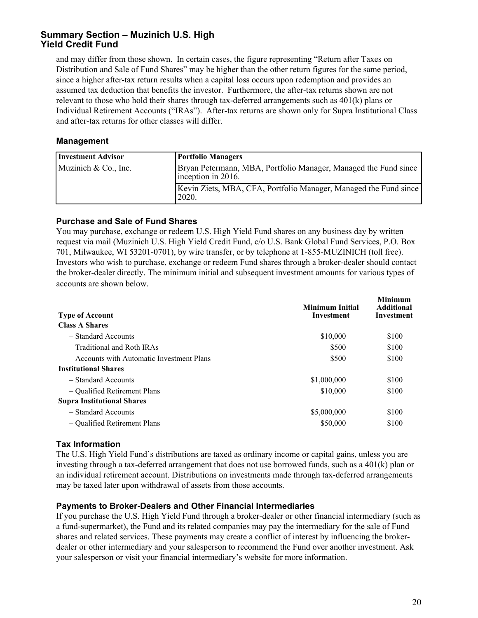and may differ from those shown. In certain cases, the figure representing "Return after Taxes on Distribution and Sale of Fund Shares" may be higher than the other return figures for the same period, since a higher after-tax return results when a capital loss occurs upon redemption and provides an assumed tax deduction that benefits the investor. Furthermore, the after-tax returns shown are not relevant to those who hold their shares through tax-deferred arrangements such as 401(k) plans or Individual Retirement Accounts ("IRAs"). After-tax returns are shown only for Supra Institutional Class and after-tax returns for other classes will differ.

#### **Management**

| <b>Investment Advisor</b> | Portfolio Managers                                                                    |
|---------------------------|---------------------------------------------------------------------------------------|
| Muzinich & Co., Inc.      | Bryan Petermann, MBA, Portfolio Manager, Managed the Fund since<br>inception in 2016. |
|                           | Kevin Ziets, MBA, CFA, Portfolio Manager, Managed the Fund since<br>2020.             |

#### **Purchase and Sale of Fund Shares**

You may purchase, exchange or redeem U.S. High Yield Fund shares on any business day by written request via mail (Muzinich U.S. High Yield Credit Fund, c/o U.S. Bank Global Fund Services, P.O. Box 701, Milwaukee, WI 53201-0701), by wire transfer, or by telephone at 1-855-MUZINICH (toll free). Investors who wish to purchase, exchange or redeem Fund shares through a broker-dealer should contact the broker-dealer directly. The minimum initial and subsequent investment amounts for various types of accounts are shown below.

| <b>Type of Account</b>                     | Minimum Initial<br>Investment | <b>Minimum</b><br><b>Additional</b><br>Investment |
|--------------------------------------------|-------------------------------|---------------------------------------------------|
| <b>Class A Shares</b>                      |                               |                                                   |
| - Standard Accounts                        | \$10,000                      | \$100                                             |
| - Traditional and Roth IRAs                | \$500                         | \$100                                             |
| - Accounts with Automatic Investment Plans | \$500                         | \$100                                             |
| <b>Institutional Shares</b>                |                               |                                                   |
| - Standard Accounts                        | \$1,000,000                   | \$100                                             |
| - Qualified Retirement Plans               | \$10,000                      | \$100                                             |
| <b>Supra Institutional Shares</b>          |                               |                                                   |
| - Standard Accounts                        | \$5,000,000                   | \$100                                             |
| - Qualified Retirement Plans               | \$50,000                      | \$100                                             |

# **Tax Information**

The U.S. High Yield Fund's distributions are taxed as ordinary income or capital gains, unless you are investing through a tax-deferred arrangement that does not use borrowed funds, such as a 401(k) plan or an individual retirement account. Distributions on investments made through tax-deferred arrangements may be taxed later upon withdrawal of assets from those accounts.

#### **Payments to Broker-Dealers and Other Financial Intermediaries**

If you purchase the U.S. High Yield Fund through a broker-dealer or other financial intermediary (such as a fund-supermarket), the Fund and its related companies may pay the intermediary for the sale of Fund shares and related services. These payments may create a conflict of interest by influencing the brokerdealer or other intermediary and your salesperson to recommend the Fund over another investment. Ask your salesperson or visit your financial intermediary's website for more information.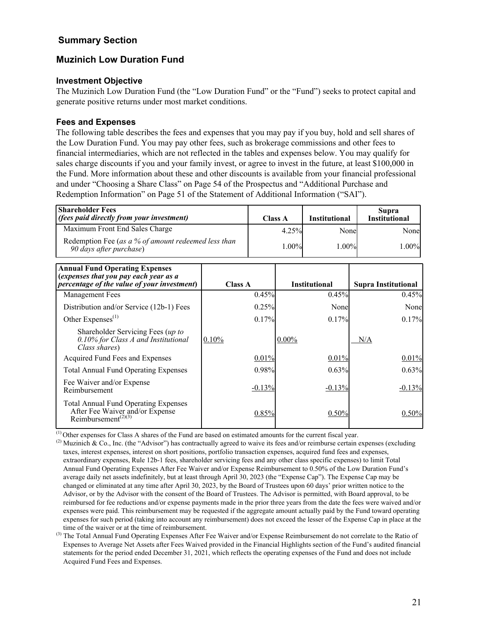# <span id="page-24-0"></span>**Summary Section**

# **Muzinich Low Duration Fund**

#### **Investment Objective**

The Muzinich Low Duration Fund (the "Low Duration Fund" or the "Fund") seeks to protect capital and generate positive returns under most market conditions.

# **Fees and Expenses**

The following table describes the fees and expenses that you may pay if you buy, hold and sell shares of the Low Duration Fund. You may pay other fees, such as brokerage commissions and other fees to financial intermediaries, which are not reflected in the tables and expenses below. You may qualify for sales charge discounts if you and your family invest, or agree to invest in the future, at least \$100,000 in the Fund. More information about these and other discounts is available from your financial professional and under "Choosing a Share Class" on Page 54 of the Prospectus and "Additional Purchase and Redemption Information" on Page 51 of the Statement of Additional Information ("SAI").

| <b>Shareholder Fees</b><br><i>(fees paid directly from your investment)</i>    | <b>Class A</b> | <b>Institutional</b> | Supra<br><b>Institutional</b> |
|--------------------------------------------------------------------------------|----------------|----------------------|-------------------------------|
| Maximum Front End Sales Charge                                                 | 4.25%          | Nonel                | Nonel                         |
| Redemption Fee (as a % of amount redeemed less than<br>90 days after purchase) | $1.00\%$       | $1.00\%$             | $1.00\%$ l                    |

| <b>Annual Fund Operating Expenses</b><br>(expenses that you pay each year as a<br><i>percentage of the value of your investment</i> ) | Class A  | <b>Institutional</b> | <b>Supra Institutional</b> |
|---------------------------------------------------------------------------------------------------------------------------------------|----------|----------------------|----------------------------|
| Management Fees                                                                                                                       | 0.45%    | 0.45%                | 0.45%                      |
| Distribution and/or Service (12b-1) Fees                                                                                              | 0.25%    | Nonel                | Nonel                      |
| Other Expenses $^{(1)}$                                                                                                               | 0.17%    | 0.17%                | 0.17%                      |
| Shareholder Servicing Fees (up to<br>0.10% for Class A and Institutional<br>Class shares)                                             | 0.10%    | $0.00\%$             | N/A                        |
| Acquired Fund Fees and Expenses                                                                                                       | 0.01%    | 0.01%                | 0.01%                      |
| <b>Total Annual Fund Operating Expenses</b>                                                                                           | 0.98%    | 0.63%                | 0.63%                      |
| Fee Waiver and/or Expense<br>Reimbursement                                                                                            | $-0.13%$ | $-0.13%$             | $-0.13%$                   |
| <b>Total Annual Fund Operating Expenses</b><br>After Fee Waiver and/or Expense<br>Reimbursement <sup><math>(2)(3)</math></sup>        | 0.85%    | 0.50%                | 0.50%                      |

(1) Other expenses for Class A shares of the Fund are based on estimated amounts for the current fiscal year.

<sup>&</sup>lt;sup>(2)</sup> Muzinich & Co., Inc. (the "Advisor") has contractually agreed to waive its fees and/or reimburse certain expenses (excluding taxes, interest expenses, interest on short positions, portfolio transaction expenses, acquired fund fees and expenses, extraordinary expenses, Rule 12b-1 fees, shareholder servicing fees and any other class specific expenses) to limit Total Annual Fund Operating Expenses After Fee Waiver and/or Expense Reimbursement to 0.50% of the Low Duration Fund's average daily net assets indefinitely, but at least through April 30, 2023 (the "Expense Cap"). The Expense Cap may be changed or eliminated at any time after April 30, 2023, by the Board of Trustees upon 60 days' prior written notice to the Advisor, or by the Advisor with the consent of the Board of Trustees. The Advisor is permitted, with Board approval, to be reimbursed for fee reductions and/or expense payments made in the prior three years from the date the fees were waived and/or expenses were paid. This reimbursement may be requested if the aggregate amount actually paid by the Fund toward operating expenses for such period (taking into account any reimbursement) does not exceed the lesser of the Expense Cap in place at the time of the waiver or at the time of reimbursement.

<sup>&</sup>lt;sup>(3)</sup> The Total Annual Fund Operating Expenses After Fee Waiver and/or Expense Reimbursement do not correlate to the Ratio of Expenses to Average Net Assets after Fees Waived provided in the Financial Highlights section of the Fund's audited financial statements for the period ended December 31, 2021, which reflects the operating expenses of the Fund and does not include Acquired Fund Fees and Expenses.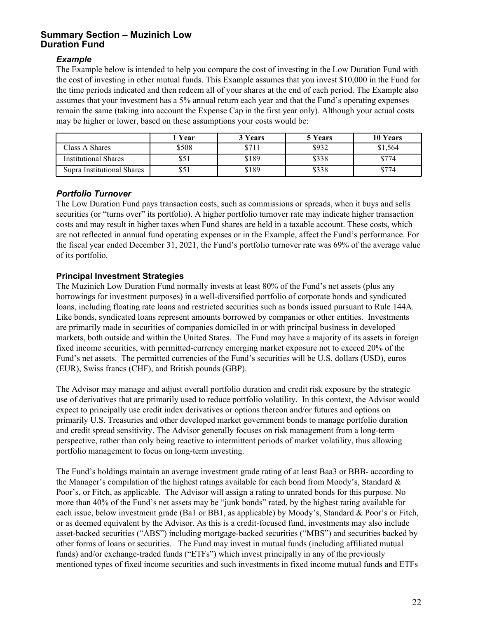#### *Example*

The Example below is intended to help you compare the cost of investing in the Low Duration Fund with the cost of investing in other mutual funds. This Example assumes that you invest \$10,000 in the Fund for the time periods indicated and then redeem all of your shares at the end of each period. The Example also assumes that your investment has a 5% annual return each year and that the Fund's operating expenses remain the same (taking into account the Expense Cap in the first year only). Although your actual costs may be higher or lower, based on these assumptions your costs would be:

|                             | Year  | 3 Years | 5 Years | 10 Years |
|-----------------------------|-------|---------|---------|----------|
| Class A Shares              | \$508 | \$711   | \$932   | \$1,564  |
| <b>Institutional Shares</b> | \$51  | \$189   | \$338   | \$774    |
| Supra Institutional Shares  | \$51  | \$189   | \$338   | \$774    |

#### *Portfolio Turnover*

The Low Duration Fund pays transaction costs, such as commissions or spreads, when it buys and sells securities (or "turns over" its portfolio). A higher portfolio turnover rate may indicate higher transaction costs and may result in higher taxes when Fund shares are held in a taxable account. These costs, which are not reflected in annual fund operating expenses or in the Example, affect the Fund's performance. For the fiscal year ended December 31, 2021, the Fund's portfolio turnover rate was 69% of the average value of its portfolio.

# **Principal Investment Strategies**

The Muzinich Low Duration Fund normally invests at least 80% of the Fund's net assets (plus any borrowings for investment purposes) in a well-diversified portfolio of corporate bonds and syndicated loans, including floating rate loans and restricted securities such as bonds issued pursuant to Rule 144A. Like bonds, syndicated loans represent amounts borrowed by companies or other entities. Investments are primarily made in securities of companies domiciled in or with principal business in developed markets, both outside and within the United States. The Fund may have a majority of its assets in foreign fixed income securities, with permitted-currency emerging market exposure not to exceed 20% of the Fund's net assets. The permitted currencies of the Fund's securities will be U.S. dollars (USD), euros (EUR), Swiss francs (CHF), and British pounds (GBP).

The Advisor may manage and adjust overall portfolio duration and credit risk exposure by the strategic use of derivatives that are primarily used to reduce portfolio volatility. In this context, the Advisor would expect to principally use credit index derivatives or options thereon and/or futures and options on primarily U.S. Treasuries and other developed market government bonds to manage portfolio duration and credit spread sensitivity. The Advisor generally focuses on risk management from a long-term perspective, rather than only being reactive to intermittent periods of market volatility, thus allowing portfolio management to focus on long-term investing.

The Fund's holdings maintain an average investment grade rating of at least Baa3 or BBB- according to the Manager's compilation of the highest ratings available for each bond from Moody's, Standard  $\&$ Poor's, or Fitch, as applicable. The Advisor will assign a rating to unrated bonds for this purpose. No more than 40% of the Fund's net assets may be "junk bonds" rated, by the highest rating available for each issue, below investment grade (Ba1 or BB1, as applicable) by Moody's, Standard & Poor's or Fitch, or as deemed equivalent by the Advisor. As this is a credit-focused fund, investments may also include asset-backed securities ("ABS") including mortgage-backed securities ("MBS") and securities backed by other forms of loans or securities. The Fund may invest in mutual funds (including affiliated mutual funds) and/or exchange-traded funds ("ETFs") which invest principally in any of the previously mentioned types of fixed income securities and such investments in fixed income mutual funds and ETFs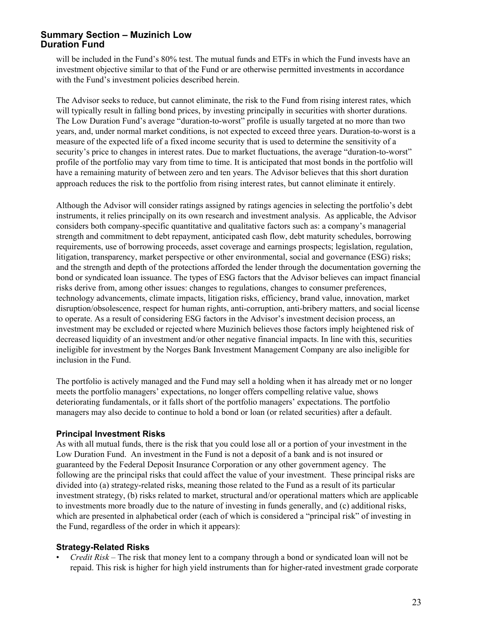will be included in the Fund's 80% test. The mutual funds and ETFs in which the Fund invests have an investment objective similar to that of the Fund or are otherwise permitted investments in accordance with the Fund's investment policies described herein.

The Advisor seeks to reduce, but cannot eliminate, the risk to the Fund from rising interest rates, which will typically result in falling bond prices, by investing principally in securities with shorter durations. The Low Duration Fund's average "duration-to-worst" profile is usually targeted at no more than two years, and, under normal market conditions, is not expected to exceed three years. Duration-to-worst is a measure of the expected life of a fixed income security that is used to determine the sensitivity of a security's price to changes in interest rates. Due to market fluctuations, the average "duration-to-worst" profile of the portfolio may vary from time to time. It is anticipated that most bonds in the portfolio will have a remaining maturity of between zero and ten years. The Advisor believes that this short duration approach reduces the risk to the portfolio from rising interest rates, but cannot eliminate it entirely.

Although the Advisor will consider ratings assigned by ratings agencies in selecting the portfolio's debt instruments, it relies principally on its own research and investment analysis. As applicable, the Advisor considers both company-specific quantitative and qualitative factors such as: a company's managerial strength and commitment to debt repayment, anticipated cash flow, debt maturity schedules, borrowing requirements, use of borrowing proceeds, asset coverage and earnings prospects; legislation, regulation, litigation, transparency, market perspective or other environmental, social and governance (ESG) risks; and the strength and depth of the protections afforded the lender through the documentation governing the bond or syndicated loan issuance. The types of ESG factors that the Advisor believes can impact financial risks derive from, among other issues: changes to regulations, changes to consumer preferences, technology advancements, climate impacts, litigation risks, efficiency, brand value, innovation, market disruption/obsolescence, respect for human rights, anti-corruption, anti-bribery matters, and social license to operate. As a result of considering ESG factors in the Advisor's investment decision process, an investment may be excluded or rejected where Muzinich believes those factors imply heightened risk of decreased liquidity of an investment and/or other negative financial impacts. In line with this, securities ineligible for investment by the Norges Bank Investment Management Company are also ineligible for inclusion in the Fund.

The portfolio is actively managed and the Fund may sell a holding when it has already met or no longer meets the portfolio managers' expectations, no longer offers compelling relative value, shows deteriorating fundamentals, or it falls short of the portfolio managers' expectations. The portfolio managers may also decide to continue to hold a bond or loan (or related securities) after a default.

#### **Principal Investment Risks**

As with all mutual funds, there is the risk that you could lose all or a portion of your investment in the Low Duration Fund. An investment in the Fund is not a deposit of a bank and is not insured or guaranteed by the Federal Deposit Insurance Corporation or any other government agency. The following are the principal risks that could affect the value of your investment. These principal risks are divided into (a) strategy-related risks, meaning those related to the Fund as a result of its particular investment strategy, (b) risks related to market, structural and/or operational matters which are applicable to investments more broadly due to the nature of investing in funds generally, and (c) additional risks, which are presented in alphabetical order (each of which is considered a "principal risk" of investing in the Fund, regardless of the order in which it appears):

#### **Strategy-Related Risks**

• *Credit Risk* – The risk that money lent to a company through a bond or syndicated loan will not be repaid. This risk is higher for high yield instruments than for higher-rated investment grade corporate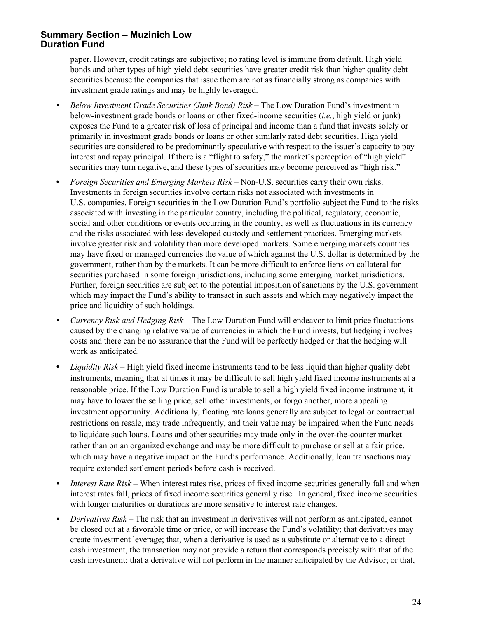paper. However, credit ratings are subjective; no rating level is immune from default. High yield bonds and other types of high yield debt securities have greater credit risk than higher quality debt securities because the companies that issue them are not as financially strong as companies with investment grade ratings and may be highly leveraged.

- *• Below Investment Grade Securities (Junk Bond) Risk* The Low Duration Fund's investment in below-investment grade bonds or loans or other fixed-income securities (*i.e.*, high yield or junk) exposes the Fund to a greater risk of loss of principal and income than a fund that invests solely or primarily in investment grade bonds or loans or other similarly rated debt securities. High yield securities are considered to be predominantly speculative with respect to the issuer's capacity to pay interest and repay principal. If there is a "flight to safety," the market's perception of "high yield" securities may turn negative, and these types of securities may become perceived as "high risk."
- *Foreign Securities and Emerging Markets Risk* Non-U.S. securities carry their own risks. Investments in foreign securities involve certain risks not associated with investments in U.S. companies. Foreign securities in the Low Duration Fund's portfolio subject the Fund to the risks associated with investing in the particular country, including the political, regulatory, economic, social and other conditions or events occurring in the country, as well as fluctuations in its currency and the risks associated with less developed custody and settlement practices. Emerging markets involve greater risk and volatility than more developed markets. Some emerging markets countries may have fixed or managed currencies the value of which against the U.S. dollar is determined by the government, rather than by the markets. It can be more difficult to enforce liens on collateral for securities purchased in some foreign jurisdictions, including some emerging market jurisdictions. Further, foreign securities are subject to the potential imposition of sanctions by the U.S. government which may impact the Fund's ability to transact in such assets and which may negatively impact the price and liquidity of such holdings.
- *• Currency Risk and Hedging Risk* The Low Duration Fund will endeavor to limit price fluctuations caused by the changing relative value of currencies in which the Fund invests, but hedging involves costs and there can be no assurance that the Fund will be perfectly hedged or that the hedging will work as anticipated.
- *Liquidity Risk* High yield fixed income instruments tend to be less liquid than higher quality debt instruments, meaning that at times it may be difficult to sell high yield fixed income instruments at a reasonable price. If the Low Duration Fund is unable to sell a high yield fixed income instrument, it may have to lower the selling price, sell other investments, or forgo another, more appealing investment opportunity. Additionally, floating rate loans generally are subject to legal or contractual restrictions on resale, may trade infrequently, and their value may be impaired when the Fund needs to liquidate such loans. Loans and other securities may trade only in the over-the-counter market rather than on an organized exchange and may be more difficult to purchase or sell at a fair price, which may have a negative impact on the Fund's performance. Additionally, loan transactions may require extended settlement periods before cash is received.
- *Interest Rate Risk* When interest rates rise, prices of fixed income securities generally fall and when interest rates fall, prices of fixed income securities generally rise. In general, fixed income securities with longer maturities or durations are more sensitive to interest rate changes.
- *Derivatives Risk* The risk that an investment in derivatives will not perform as anticipated, cannot be closed out at a favorable time or price, or will increase the Fund's volatility; that derivatives may create investment leverage; that, when a derivative is used as a substitute or alternative to a direct cash investment, the transaction may not provide a return that corresponds precisely with that of the cash investment; that a derivative will not perform in the manner anticipated by the Advisor; or that,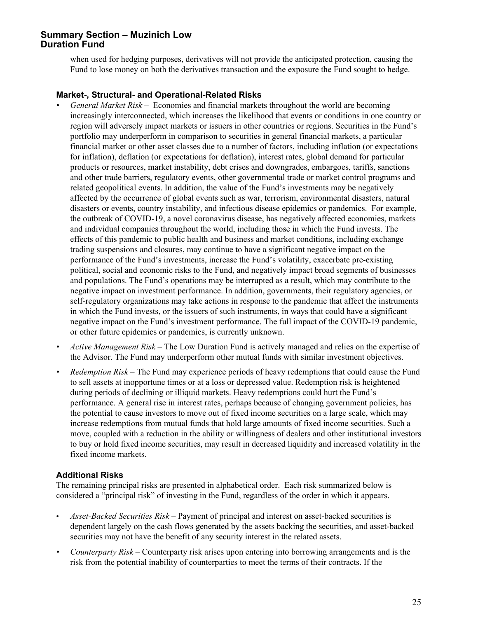when used for hedging purposes, derivatives will not provide the anticipated protection, causing the Fund to lose money on both the derivatives transaction and the exposure the Fund sought to hedge.

#### **Market-, Structural- and Operational-Related Risks**

- *• General Market Risk* Economies and financial markets throughout the world are becoming increasingly interconnected, which increases the likelihood that events or conditions in one country or region will adversely impact markets or issuers in other countries or regions. Securities in the Fund's portfolio may underperform in comparison to securities in general financial markets, a particular financial market or other asset classes due to a number of factors, including inflation (or expectations for inflation), deflation (or expectations for deflation), interest rates, global demand for particular products or resources, market instability, debt crises and downgrades, embargoes, tariffs, sanctions and other trade barriers, regulatory events, other governmental trade or market control programs and related geopolitical events. In addition, the value of the Fund's investments may be negatively affected by the occurrence of global events such as war, terrorism, environmental disasters, natural disasters or events, country instability, and infectious disease epidemics or pandemics. For example, the outbreak of COVID-19, a novel coronavirus disease, has negatively affected economies, markets and individual companies throughout the world, including those in which the Fund invests. The effects of this pandemic to public health and business and market conditions, including exchange trading suspensions and closures, may continue to have a significant negative impact on the performance of the Fund's investments, increase the Fund's volatility, exacerbate pre-existing political, social and economic risks to the Fund, and negatively impact broad segments of businesses and populations. The Fund's operations may be interrupted as a result, which may contribute to the negative impact on investment performance. In addition, governments, their regulatory agencies, or self-regulatory organizations may take actions in response to the pandemic that affect the instruments in which the Fund invests, or the issuers of such instruments, in ways that could have a significant negative impact on the Fund's investment performance. The full impact of the COVID-19 pandemic, or other future epidemics or pandemics, is currently unknown.
- *• Active Management Risk* The Low Duration Fund is actively managed and relies on the expertise of the Advisor. The Fund may underperform other mutual funds with similar investment objectives.
- *• Redemption Risk* The Fund may experience periods of heavy redemptions that could cause the Fund to sell assets at inopportune times or at a loss or depressed value. Redemption risk is heightened during periods of declining or illiquid markets. Heavy redemptions could hurt the Fund's performance. A general rise in interest rates, perhaps because of changing government policies, has the potential to cause investors to move out of fixed income securities on a large scale, which may increase redemptions from mutual funds that hold large amounts of fixed income securities. Such a move, coupled with a reduction in the ability or willingness of dealers and other institutional investors to buy or hold fixed income securities, may result in decreased liquidity and increased volatility in the fixed income markets.

#### **Additional Risks**

The remaining principal risks are presented in alphabetical order. Each risk summarized below is considered a "principal risk" of investing in the Fund, regardless of the order in which it appears.

- *Asset-Backed Securities Risk* Payment of principal and interest on asset-backed securities is dependent largely on the cash flows generated by the assets backing the securities, and asset-backed securities may not have the benefit of any security interest in the related assets.
- *• Counterparty Risk* Counterparty risk arises upon entering into borrowing arrangements and is the risk from the potential inability of counterparties to meet the terms of their contracts. If the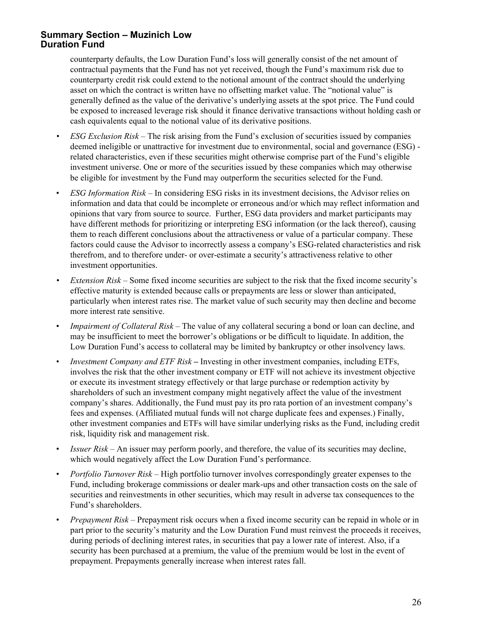counterparty defaults, the Low Duration Fund's loss will generally consist of the net amount of contractual payments that the Fund has not yet received, though the Fund's maximum risk due to counterparty credit risk could extend to the notional amount of the contract should the underlying asset on which the contract is written have no offsetting market value. The "notional value" is generally defined as the value of the derivative's underlying assets at the spot price. The Fund could be exposed to increased leverage risk should it finance derivative transactions without holding cash or cash equivalents equal to the notional value of its derivative positions.

- *• ESG Exclusion Risk* The risk arising from the Fund's exclusion of securities issued by companies deemed ineligible or unattractive for investment due to environmental, social and governance (ESG) related characteristics, even if these securities might otherwise comprise part of the Fund's eligible investment universe. One or more of the securities issued by these companies which may otherwise be eligible for investment by the Fund may outperform the securities selected for the Fund.
- *ESG Information Risk* In considering ESG risks in its investment decisions, the Advisor relies on information and data that could be incomplete or erroneous and/or which may reflect information and opinions that vary from source to source. Further, ESG data providers and market participants may have different methods for prioritizing or interpreting ESG information (or the lack thereof), causing them to reach different conclusions about the attractiveness or value of a particular company. These factors could cause the Advisor to incorrectly assess a company's ESG-related characteristics and risk therefrom, and to therefore under- or over-estimate a security's attractiveness relative to other investment opportunities.
- *Extension Risk* Some fixed income securities are subject to the risk that the fixed income security's effective maturity is extended because calls or prepayments are less or slower than anticipated, particularly when interest rates rise. The market value of such security may then decline and become more interest rate sensitive.
- *Impairment of Collateral Risk* The value of any collateral securing a bond or loan can decline, and may be insufficient to meet the borrower's obligations or be difficult to liquidate. In addition, the Low Duration Fund's access to collateral may be limited by bankruptcy or other insolvency laws.
- *Investment Company and ETF Risk* Investing in other investment companies, including ETFs, involves the risk that the other investment company or ETF will not achieve its investment objective or execute its investment strategy effectively or that large purchase or redemption activity by shareholders of such an investment company might negatively affect the value of the investment company's shares. Additionally, the Fund must pay its pro rata portion of an investment company's fees and expenses. (Affiliated mutual funds will not charge duplicate fees and expenses.) Finally, other investment companies and ETFs will have similar underlying risks as the Fund, including credit risk, liquidity risk and management risk.
- *Issuer Risk* An issuer may perform poorly, and therefore, the value of its securities may decline, which would negatively affect the Low Duration Fund's performance.
- *Portfolio Turnover Risk* High portfolio turnover involves correspondingly greater expenses to the Fund, including brokerage commissions or dealer mark-ups and other transaction costs on the sale of securities and reinvestments in other securities, which may result in adverse tax consequences to the Fund's shareholders.
- *Prepayment Risk* Prepayment risk occurs when a fixed income security can be repaid in whole or in part prior to the security's maturity and the Low Duration Fund must reinvest the proceeds it receives, during periods of declining interest rates, in securities that pay a lower rate of interest. Also, if a security has been purchased at a premium, the value of the premium would be lost in the event of prepayment. Prepayments generally increase when interest rates fall.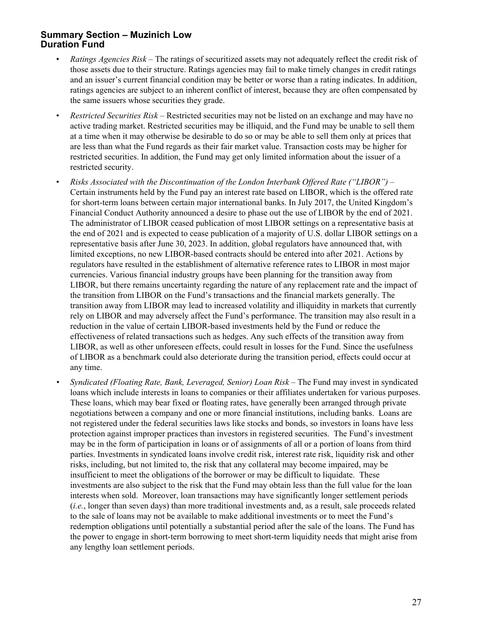- *Ratings Agencies Risk* The ratings of securitized assets may not adequately reflect the credit risk of those assets due to their structure. Ratings agencies may fail to make timely changes in credit ratings and an issuer's current financial condition may be better or worse than a rating indicates. In addition, ratings agencies are subject to an inherent conflict of interest, because they are often compensated by the same issuers whose securities they grade.
- *Restricted Securities Risk* Restricted securities may not be listed on an exchange and may have no active trading market. Restricted securities may be illiquid, and the Fund may be unable to sell them at a time when it may otherwise be desirable to do so or may be able to sell them only at prices that are less than what the Fund regards as their fair market value. Transaction costs may be higher for restricted securities. In addition, the Fund may get only limited information about the issuer of a restricted security.
- *Risks Associated with the Discontinuation of the London Interbank Offered Rate ("LIBOR")*  Certain instruments held by the Fund pay an interest rate based on LIBOR, which is the offered rate for short-term loans between certain major international banks. In July 2017, the United Kingdom's Financial Conduct Authority announced a desire to phase out the use of LIBOR by the end of 2021. The administrator of LIBOR ceased publication of most LIBOR settings on a representative basis at the end of 2021 and is expected to cease publication of a majority of U.S. dollar LIBOR settings on a representative basis after June 30, 2023. In addition, global regulators have announced that, with limited exceptions, no new LIBOR-based contracts should be entered into after 2021. Actions by regulators have resulted in the establishment of alternative reference rates to LIBOR in most major currencies. Various financial industry groups have been planning for the transition away from LIBOR, but there remains uncertainty regarding the nature of any replacement rate and the impact of the transition from LIBOR on the Fund's transactions and the financial markets generally. The transition away from LIBOR may lead to increased volatility and illiquidity in markets that currently rely on LIBOR and may adversely affect the Fund's performance. The transition may also result in a reduction in the value of certain LIBOR-based investments held by the Fund or reduce the effectiveness of related transactions such as hedges. Any such effects of the transition away from LIBOR, as well as other unforeseen effects, could result in losses for the Fund. Since the usefulness of LIBOR as a benchmark could also deteriorate during the transition period, effects could occur at any time.
- *• Syndicated (Floating Rate, Bank, Leveraged, Senior) Loan Risk*  The Fund may invest in syndicated loans which include interests in loans to companies or their affiliates undertaken for various purposes. These loans, which may bear fixed or floating rates, have generally been arranged through private negotiations between a company and one or more financial institutions, including banks. Loans are not registered under the federal securities laws like stocks and bonds, so investors in loans have less protection against improper practices than investors in registered securities. The Fund's investment may be in the form of participation in loans or of assignments of all or a portion of loans from third parties. Investments in syndicated loans involve credit risk, interest rate risk, liquidity risk and other risks, including, but not limited to, the risk that any collateral may become impaired, may be insufficient to meet the obligations of the borrower or may be difficult to liquidate. These investments are also subject to the risk that the Fund may obtain less than the full value for the loan interests when sold. Moreover, loan transactions may have significantly longer settlement periods (*i.e.*, longer than seven days) than more traditional investments and, as a result, sale proceeds related to the sale of loans may not be available to make additional investments or to meet the Fund's redemption obligations until potentially a substantial period after the sale of the loans. The Fund has the power to engage in short-term borrowing to meet short-term liquidity needs that might arise from any lengthy loan settlement periods.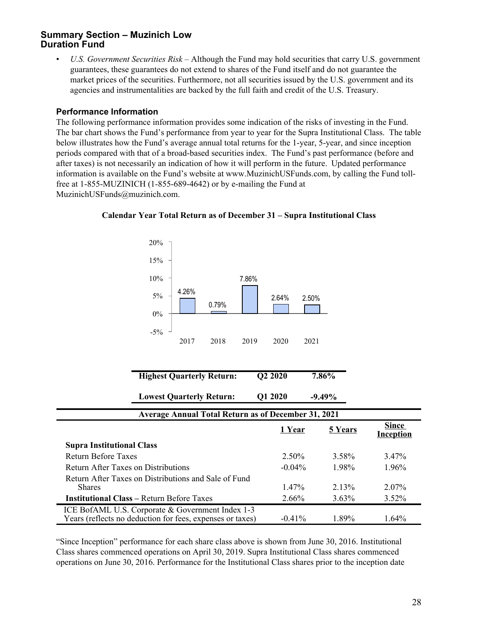• *U.S. Government Securities Risk* – Although the Fund may hold securities that carry U.S. government guarantees, these guarantees do not extend to shares of the Fund itself and do not guarantee the market prices of the securities. Furthermore, not all securities issued by the U.S. government and its agencies and instrumentalities are backed by the full faith and credit of the U.S. Treasury.

#### **Performance Information**

The following performance information provides some indication of the risks of investing in the Fund. The bar chart shows the Fund's performance from year to year for the Supra Institutional Class. The table below illustrates how the Fund's average annual total returns for the 1-year, 5-year, and since inception periods compared with that of a broad-based securities index. The Fund's past performance (before and after taxes) is not necessarily an indication of how it will perform in the future. Updated performance information is available on the Fund's website at www.MuzinichUSFunds.com, by calling the Fund tollfree at 1-855-MUZINICH (1-855-689-4642) or by e-mailing the Fund at MuzinichUSFunds@muzinich.com.



#### **Calendar Year Total Return as of December 31 – Supra Institutional Class**

| <b>Highest Quarterly Return:</b> | Q <sub>2</sub> 20 <sub>20</sub> | 7.86%     |
|----------------------------------|---------------------------------|-----------|
| <b>Lowest Quarterly Return:</b>  | Q1 2020                         | $-9.49\%$ |

| <b>Average Annual Total Return as of December 31, 2021</b>                                                    |           |                |                                  |
|---------------------------------------------------------------------------------------------------------------|-----------|----------------|----------------------------------|
|                                                                                                               | 1 Year    | <b>5 Years</b> | <b>Since</b><br><b>Inception</b> |
| <b>Supra Institutional Class</b>                                                                              |           |                |                                  |
| <b>Return Before Taxes</b>                                                                                    | $2.50\%$  | 3.58%          | 3.47 <sup>%</sup>                |
| <b>Return After Taxes on Distributions</b>                                                                    | $-0.04\%$ | 1.98%          | $1.96\%$                         |
| Return After Taxes on Distributions and Sale of Fund<br><b>Shares</b>                                         | $1.47\%$  | 2.13%          | $2.07\%$                         |
| <b>Institutional Class – Return Before Taxes</b>                                                              | $2.66\%$  | $3.63\%$       | $3.52\%$                         |
| ICE BofAML U.S. Corporate & Government Index 1-3<br>Years (reflects no deduction for fees, expenses or taxes) | $-0.41\%$ | 1.89%          | 1.64%                            |

"Since Inception" performance for each share class above is shown from June 30, 2016. Institutional Class shares commenced operations on April 30, 2019. Supra Institutional Class shares commenced operations on June 30, 2016. Performance for the Institutional Class shares prior to the inception date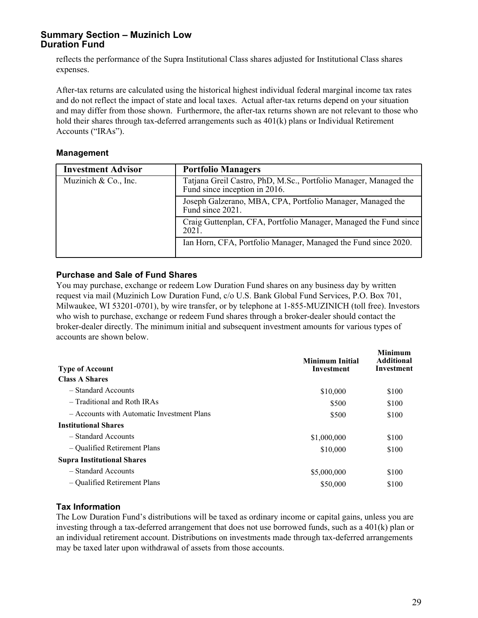reflects the performance of the Supra Institutional Class shares adjusted for Institutional Class shares expenses.

After-tax returns are calculated using the historical highest individual federal marginal income tax rates and do not reflect the impact of state and local taxes. Actual after-tax returns depend on your situation and may differ from those shown. Furthermore, the after-tax returns shown are not relevant to those who hold their shares through tax-deferred arrangements such as 401(k) plans or Individual Retirement Accounts ("IRAs").

#### **Management**

| <b>Investment Advisor</b> | <b>Portfolio Managers</b>                                                                         |
|---------------------------|---------------------------------------------------------------------------------------------------|
| Muzinich & Co., Inc.      | Tatjana Greil Castro, PhD, M.Sc., Portfolio Manager, Managed the<br>Fund since inception in 2016. |
|                           | Joseph Galzerano, MBA, CPA, Portfolio Manager, Managed the<br>Fund since 2021.                    |
|                           | Craig Guttenplan, CFA, Portfolio Manager, Managed the Fund since<br>2021                          |
|                           | Ian Horn, CFA, Portfolio Manager, Managed the Fund since 2020.                                    |

#### **Purchase and Sale of Fund Shares**

You may purchase, exchange or redeem Low Duration Fund shares on any business day by written request via mail (Muzinich Low Duration Fund, c/o U.S. Bank Global Fund Services, P.O. Box 701, Milwaukee, WI 53201-0701), by wire transfer, or by telephone at 1-855-MUZINICH (toll free). Investors who wish to purchase, exchange or redeem Fund shares through a broker-dealer should contact the broker-dealer directly. The minimum initial and subsequent investment amounts for various types of accounts are shown below.

| <b>Type of Account</b>                     | <b>Minimum Initial</b><br>Investment | <b>Minimum</b><br><b>Additional</b><br><b>Investment</b> |
|--------------------------------------------|--------------------------------------|----------------------------------------------------------|
| <b>Class A Shares</b>                      |                                      |                                                          |
| - Standard Accounts                        | \$10,000                             | \$100                                                    |
| - Traditional and Roth IRAs                | \$500                                | \$100                                                    |
| - Accounts with Automatic Investment Plans | \$500                                | \$100                                                    |
| <b>Institutional Shares</b>                |                                      |                                                          |
| - Standard Accounts                        | \$1,000,000                          | \$100                                                    |
| - Qualified Retirement Plans               | \$10,000                             | \$100                                                    |
| <b>Supra Institutional Shares</b>          |                                      |                                                          |
| - Standard Accounts                        | \$5,000,000                          | \$100                                                    |
| - Qualified Retirement Plans               | \$50,000                             | \$100                                                    |
|                                            |                                      |                                                          |

#### **Tax Information**

The Low Duration Fund's distributions will be taxed as ordinary income or capital gains, unless you are investing through a tax-deferred arrangement that does not use borrowed funds, such as a 401(k) plan or an individual retirement account. Distributions on investments made through tax-deferred arrangements may be taxed later upon withdrawal of assets from those accounts.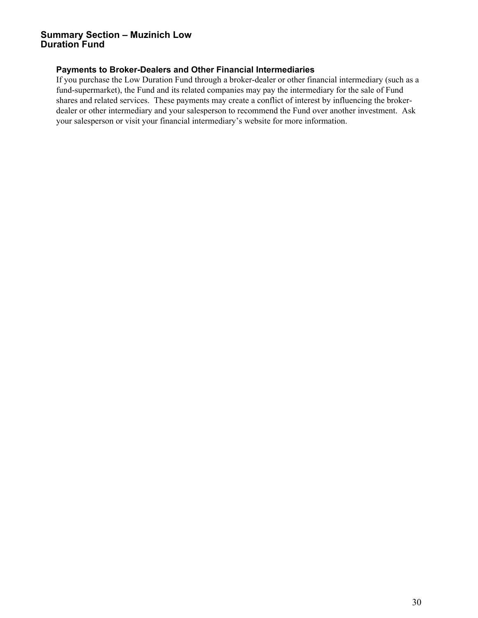#### **Payments to Broker-Dealers and Other Financial Intermediaries**

If you purchase the Low Duration Fund through a broker-dealer or other financial intermediary (such as a fund-supermarket), the Fund and its related companies may pay the intermediary for the sale of Fund shares and related services. These payments may create a conflict of interest by influencing the brokerdealer or other intermediary and your salesperson to recommend the Fund over another investment. Ask your salesperson or visit your financial intermediary's website for more information.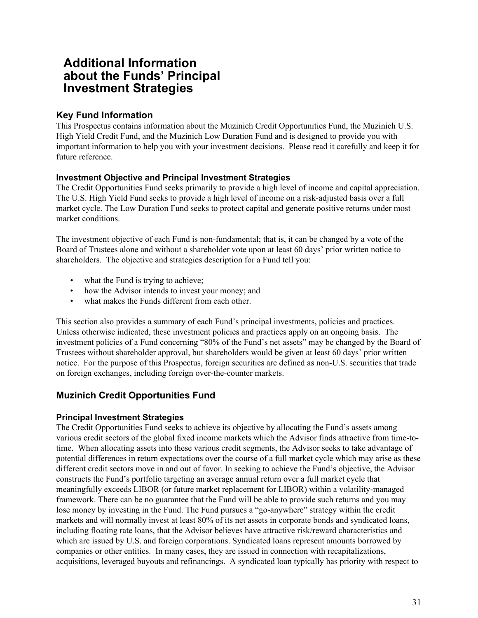# <span id="page-34-0"></span>**Additional Information about the Funds' Principal Investment Strategies**

# **Key Fund Information**

This Prospectus contains information about the Muzinich Credit Opportunities Fund, the Muzinich U.S. High Yield Credit Fund, and the Muzinich Low Duration Fund and is designed to provide you with important information to help you with your investment decisions. Please read it carefully and keep it for future reference.

#### **Investment Objective and Principal Investment Strategies**

The Credit Opportunities Fund seeks primarily to provide a high level of income and capital appreciation. The U.S. High Yield Fund seeks to provide a high level of income on a risk-adjusted basis over a full market cycle. The Low Duration Fund seeks to protect capital and generate positive returns under most market conditions.

The investment objective of each Fund is non-fundamental; that is, it can be changed by a vote of the Board of Trustees alone and without a shareholder vote upon at least 60 days' prior written notice to shareholders. The objective and strategies description for a Fund tell you:

- what the Fund is trying to achieve;
- how the Advisor intends to invest your money; and
- what makes the Funds different from each other.

This section also provides a summary of each Fund's principal investments, policies and practices. Unless otherwise indicated, these investment policies and practices apply on an ongoing basis. The investment policies of a Fund concerning "80% of the Fund's net assets" may be changed by the Board of Trustees without shareholder approval, but shareholders would be given at least 60 days' prior written notice. For the purpose of this Prospectus, foreign securities are defined as non-U.S. securities that trade on foreign exchanges, including foreign over-the-counter markets.

# **Muzinich Credit Opportunities Fund**

# **Principal Investment Strategies**

The Credit Opportunities Fund seeks to achieve its objective by allocating the Fund's assets among various credit sectors of the global fixed income markets which the Advisor finds attractive from time-totime. When allocating assets into these various credit segments, the Advisor seeks to take advantage of potential differences in return expectations over the course of a full market cycle which may arise as these different credit sectors move in and out of favor. In seeking to achieve the Fund's objective, the Advisor constructs the Fund's portfolio targeting an average annual return over a full market cycle that meaningfully exceeds LIBOR (or future market replacement for LIBOR) within a volatility-managed framework. There can be no guarantee that the Fund will be able to provide such returns and you may lose money by investing in the Fund. The Fund pursues a "go-anywhere" strategy within the credit markets and will normally invest at least 80% of its net assets in corporate bonds and syndicated loans, including floating rate loans, that the Advisor believes have attractive risk/reward characteristics and which are issued by U.S. and foreign corporations. Syndicated loans represent amounts borrowed by companies or other entities. In many cases, they are issued in connection with recapitalizations, acquisitions, leveraged buyouts and refinancings. A syndicated loan typically has priority with respect to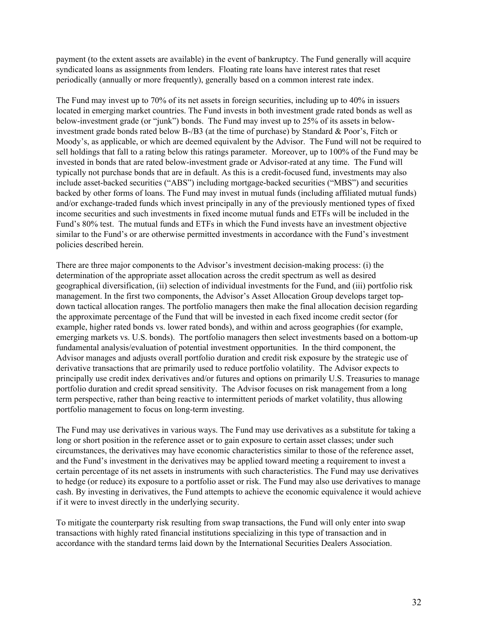payment (to the extent assets are available) in the event of bankruptcy. The Fund generally will acquire syndicated loans as assignments from lenders. Floating rate loans have interest rates that reset periodically (annually or more frequently), generally based on a common interest rate index.

The Fund may invest up to 70% of its net assets in foreign securities, including up to 40% in issuers located in emerging market countries. The Fund invests in both investment grade rated bonds as well as below-investment grade (or "junk") bonds. The Fund may invest up to 25% of its assets in belowinvestment grade bonds rated below B-/B3 (at the time of purchase) by Standard & Poor's, Fitch or Moody's, as applicable, or which are deemed equivalent by the Advisor. The Fund will not be required to sell holdings that fall to a rating below this ratings parameter. Moreover, up to 100% of the Fund may be invested in bonds that are rated below-investment grade or Advisor-rated at any time. The Fund will typically not purchase bonds that are in default. As this is a credit-focused fund, investments may also include asset-backed securities ("ABS") including mortgage-backed securities ("MBS") and securities backed by other forms of loans. The Fund may invest in mutual funds (including affiliated mutual funds) and/or exchange-traded funds which invest principally in any of the previously mentioned types of fixed income securities and such investments in fixed income mutual funds and ETFs will be included in the Fund's 80% test. The mutual funds and ETFs in which the Fund invests have an investment objective similar to the Fund's or are otherwise permitted investments in accordance with the Fund's investment policies described herein.

There are three major components to the Advisor's investment decision-making process: (i) the determination of the appropriate asset allocation across the credit spectrum as well as desired geographical diversification, (ii) selection of individual investments for the Fund, and (iii) portfolio risk management. In the first two components, the Advisor's Asset Allocation Group develops target topdown tactical allocation ranges. The portfolio managers then make the final allocation decision regarding the approximate percentage of the Fund that will be invested in each fixed income credit sector (for example, higher rated bonds vs. lower rated bonds), and within and across geographies (for example, emerging markets vs. U.S. bonds). The portfolio managers then select investments based on a bottom-up fundamental analysis/evaluation of potential investment opportunities. In the third component, the Advisor manages and adjusts overall portfolio duration and credit risk exposure by the strategic use of derivative transactions that are primarily used to reduce portfolio volatility. The Advisor expects to principally use credit index derivatives and/or futures and options on primarily U.S. Treasuries to manage portfolio duration and credit spread sensitivity. The Advisor focuses on risk management from a long term perspective, rather than being reactive to intermittent periods of market volatility, thus allowing portfolio management to focus on long-term investing.

The Fund may use derivatives in various ways. The Fund may use derivatives as a substitute for taking a long or short position in the reference asset or to gain exposure to certain asset classes; under such circumstances, the derivatives may have economic characteristics similar to those of the reference asset, and the Fund's investment in the derivatives may be applied toward meeting a requirement to invest a certain percentage of its net assets in instruments with such characteristics. The Fund may use derivatives to hedge (or reduce) its exposure to a portfolio asset or risk. The Fund may also use derivatives to manage cash. By investing in derivatives, the Fund attempts to achieve the economic equivalence it would achieve if it were to invest directly in the underlying security.

To mitigate the counterparty risk resulting from swap transactions, the Fund will only enter into swap transactions with highly rated financial institutions specializing in this type of transaction and in accordance with the standard terms laid down by the International Securities Dealers Association.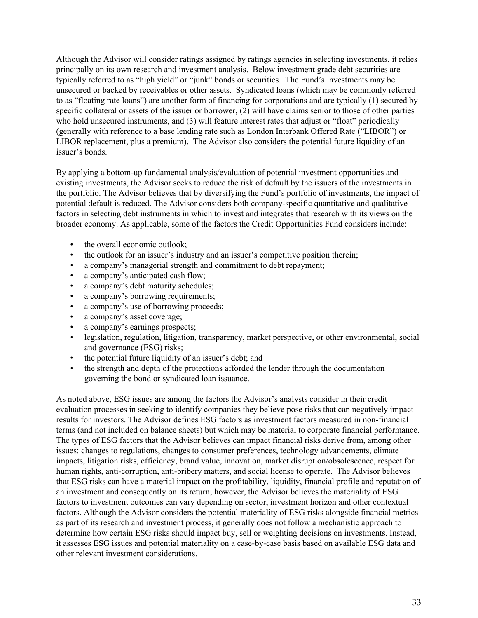Although the Advisor will consider ratings assigned by ratings agencies in selecting investments, it relies principally on its own research and investment analysis. Below investment grade debt securities are typically referred to as "high yield" or "junk" bonds or securities. The Fund's investments may be unsecured or backed by receivables or other assets. Syndicated loans (which may be commonly referred to as "floating rate loans") are another form of financing for corporations and are typically (1) secured by specific collateral or assets of the issuer or borrower, (2) will have claims senior to those of other parties who hold unsecured instruments, and (3) will feature interest rates that adjust or "float" periodically (generally with reference to a base lending rate such as London Interbank Offered Rate ("LIBOR") or LIBOR replacement, plus a premium). The Advisor also considers the potential future liquidity of an issuer's bonds.

By applying a bottom-up fundamental analysis/evaluation of potential investment opportunities and existing investments, the Advisor seeks to reduce the risk of default by the issuers of the investments in the portfolio. The Advisor believes that by diversifying the Fund's portfolio of investments, the impact of potential default is reduced. The Advisor considers both company-specific quantitative and qualitative factors in selecting debt instruments in which to invest and integrates that research with its views on the broader economy. As applicable, some of the factors the Credit Opportunities Fund considers include:

- the overall economic outlook;
- the outlook for an issuer's industry and an issuer's competitive position therein;
- a company's managerial strength and commitment to debt repayment;
- a company's anticipated cash flow:
- a company's debt maturity schedules;
- a company's borrowing requirements;
- a company's use of borrowing proceeds;
- a company's asset coverage;
- a company's earnings prospects;
- legislation, regulation, litigation, transparency, market perspective, or other environmental, social and governance (ESG) risks;
- the potential future liquidity of an issuer's debt; and
- the strength and depth of the protections afforded the lender through the documentation governing the bond or syndicated loan issuance.

As noted above, ESG issues are among the factors the Advisor's analysts consider in their credit evaluation processes in seeking to identify companies they believe pose risks that can negatively impact results for investors. The Advisor defines ESG factors as investment factors measured in non-financial terms (and not included on balance sheets) but which may be material to corporate financial performance. The types of ESG factors that the Advisor believes can impact financial risks derive from, among other issues: changes to regulations, changes to consumer preferences, technology advancements, climate impacts, litigation risks, efficiency, brand value, innovation, market disruption/obsolescence, respect for human rights, anti-corruption, anti-bribery matters, and social license to operate. The Advisor believes that ESG risks can have a material impact on the profitability, liquidity, financial profile and reputation of an investment and consequently on its return; however, the Advisor believes the materiality of ESG factors to investment outcomes can vary depending on sector, investment horizon and other contextual factors. Although the Advisor considers the potential materiality of ESG risks alongside financial metrics as part of its research and investment process, it generally does not follow a mechanistic approach to determine how certain ESG risks should impact buy, sell or weighting decisions on investments. Instead, it assesses ESG issues and potential materiality on a case-by-case basis based on available ESG data and other relevant investment considerations.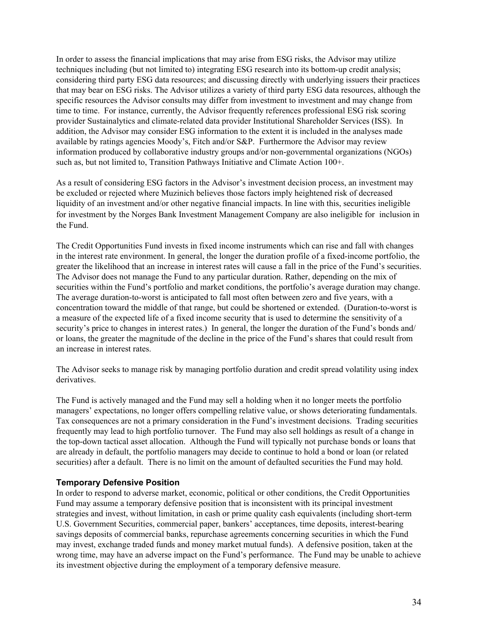In order to assess the financial implications that may arise from ESG risks, the Advisor may utilize techniques including (but not limited to) integrating ESG research into its bottom-up credit analysis; considering third party ESG data resources; and discussing directly with underlying issuers their practices that may bear on ESG risks. The Advisor utilizes a variety of third party ESG data resources, although the specific resources the Advisor consults may differ from investment to investment and may change from time to time. For instance, currently, the Advisor frequently references professional ESG risk scoring provider Sustainalytics and climate-related data provider Institutional Shareholder Services (ISS). In addition, the Advisor may consider ESG information to the extent it is included in the analyses made available by ratings agencies Moody's, Fitch and/or S&P. Furthermore the Advisor may review information produced by collaborative industry groups and/or non-governmental organizations (NGOs) such as, but not limited to, Transition Pathways Initiative and Climate Action 100+.

As a result of considering ESG factors in the Advisor's investment decision process, an investment may be excluded or rejected where Muzinich believes those factors imply heightened risk of decreased liquidity of an investment and/or other negative financial impacts. In line with this, securities ineligible for investment by the Norges Bank Investment Management Company are also ineligible for inclusion in the Fund.

The Credit Opportunities Fund invests in fixed income instruments which can rise and fall with changes in the interest rate environment. In general, the longer the duration profile of a fixed-income portfolio, the greater the likelihood that an increase in interest rates will cause a fall in the price of the Fund's securities. The Advisor does not manage the Fund to any particular duration. Rather, depending on the mix of securities within the Fund's portfolio and market conditions, the portfolio's average duration may change. The average duration-to-worst is anticipated to fall most often between zero and five years, with a concentration toward the middle of that range, but could be shortened or extended. (Duration-to-worst is a measure of the expected life of a fixed income security that is used to determine the sensitivity of a security's price to changes in interest rates.) In general, the longer the duration of the Fund's bonds and/ or loans, the greater the magnitude of the decline in the price of the Fund's shares that could result from an increase in interest rates.

The Advisor seeks to manage risk by managing portfolio duration and credit spread volatility using index derivatives.

The Fund is actively managed and the Fund may sell a holding when it no longer meets the portfolio managers' expectations, no longer offers compelling relative value, or shows deteriorating fundamentals. Tax consequences are not a primary consideration in the Fund's investment decisions. Trading securities frequently may lead to high portfolio turnover. The Fund may also sell holdings as result of a change in the top-down tactical asset allocation. Although the Fund will typically not purchase bonds or loans that are already in default, the portfolio managers may decide to continue to hold a bond or loan (or related securities) after a default. There is no limit on the amount of defaulted securities the Fund may hold.

#### **Temporary Defensive Position**

In order to respond to adverse market, economic, political or other conditions, the Credit Opportunities Fund may assume a temporary defensive position that is inconsistent with its principal investment strategies and invest, without limitation, in cash or prime quality cash equivalents (including short-term U.S. Government Securities, commercial paper, bankers' acceptances, time deposits, interest-bearing savings deposits of commercial banks, repurchase agreements concerning securities in which the Fund may invest, exchange traded funds and money market mutual funds). A defensive position, taken at the wrong time, may have an adverse impact on the Fund's performance. The Fund may be unable to achieve its investment objective during the employment of a temporary defensive measure.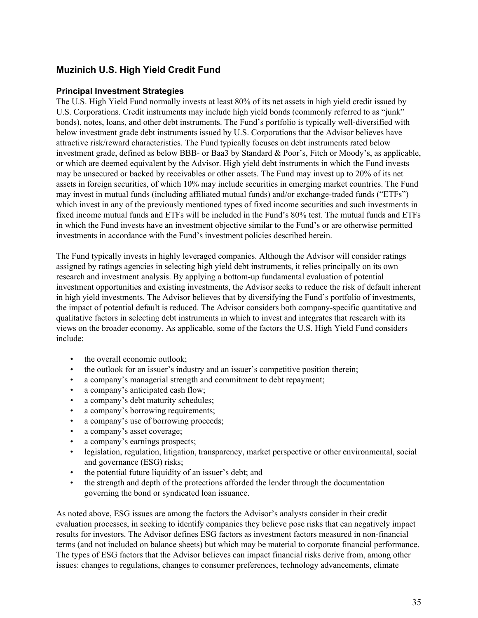# **Muzinich U.S. High Yield Credit Fund**

#### **Principal Investment Strategies**

The U.S. High Yield Fund normally invests at least 80% of its net assets in high yield credit issued by U.S. Corporations. Credit instruments may include high yield bonds (commonly referred to as "junk" bonds), notes, loans, and other debt instruments. The Fund's portfolio is typically well-diversified with below investment grade debt instruments issued by U.S. Corporations that the Advisor believes have attractive risk/reward characteristics. The Fund typically focuses on debt instruments rated below investment grade, defined as below BBB- or Baa3 by Standard & Poor's, Fitch or Moody's, as applicable, or which are deemed equivalent by the Advisor. High yield debt instruments in which the Fund invests may be unsecured or backed by receivables or other assets. The Fund may invest up to 20% of its net assets in foreign securities, of which 10% may include securities in emerging market countries. The Fund may invest in mutual funds (including affiliated mutual funds) and/or exchange-traded funds ("ETFs") which invest in any of the previously mentioned types of fixed income securities and such investments in fixed income mutual funds and ETFs will be included in the Fund's 80% test. The mutual funds and ETFs in which the Fund invests have an investment objective similar to the Fund's or are otherwise permitted investments in accordance with the Fund's investment policies described herein.

The Fund typically invests in highly leveraged companies. Although the Advisor will consider ratings assigned by ratings agencies in selecting high yield debt instruments, it relies principally on its own research and investment analysis. By applying a bottom-up fundamental evaluation of potential investment opportunities and existing investments, the Advisor seeks to reduce the risk of default inherent in high yield investments. The Advisor believes that by diversifying the Fund's portfolio of investments, the impact of potential default is reduced. The Advisor considers both company-specific quantitative and qualitative factors in selecting debt instruments in which to invest and integrates that research with its views on the broader economy. As applicable, some of the factors the U.S. High Yield Fund considers include:

- the overall economic outlook:
- the outlook for an issuer's industry and an issuer's competitive position therein;
- a company's managerial strength and commitment to debt repayment;
- a company's anticipated cash flow;
- a company's debt maturity schedules;
- a company's borrowing requirements;
- a company's use of borrowing proceeds;
- a company's asset coverage;
- a company's earnings prospects;
- legislation, regulation, litigation, transparency, market perspective or other environmental, social and governance (ESG) risks;
- the potential future liquidity of an issuer's debt; and
- the strength and depth of the protections afforded the lender through the documentation governing the bond or syndicated loan issuance.

As noted above, ESG issues are among the factors the Advisor's analysts consider in their credit evaluation processes, in seeking to identify companies they believe pose risks that can negatively impact results for investors. The Advisor defines ESG factors as investment factors measured in non-financial terms (and not included on balance sheets) but which may be material to corporate financial performance. The types of ESG factors that the Advisor believes can impact financial risks derive from, among other issues: changes to regulations, changes to consumer preferences, technology advancements, climate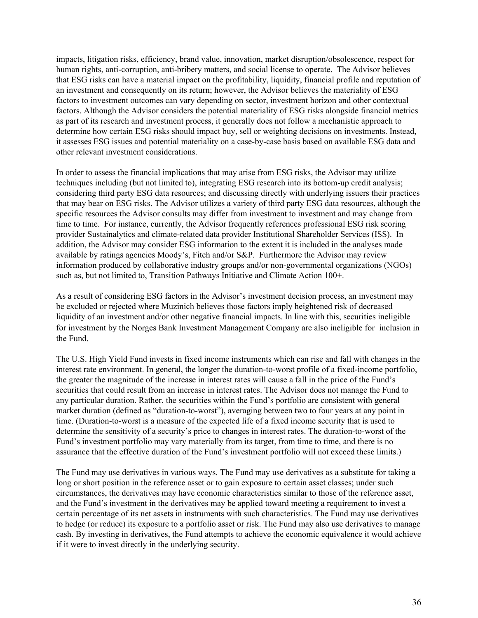impacts, litigation risks, efficiency, brand value, innovation, market disruption/obsolescence, respect for human rights, anti-corruption, anti-bribery matters, and social license to operate. The Advisor believes that ESG risks can have a material impact on the profitability, liquidity, financial profile and reputation of an investment and consequently on its return; however, the Advisor believes the materiality of ESG factors to investment outcomes can vary depending on sector, investment horizon and other contextual factors. Although the Advisor considers the potential materiality of ESG risks alongside financial metrics as part of its research and investment process, it generally does not follow a mechanistic approach to determine how certain ESG risks should impact buy, sell or weighting decisions on investments. Instead, it assesses ESG issues and potential materiality on a case-by-case basis based on available ESG data and other relevant investment considerations.

In order to assess the financial implications that may arise from ESG risks, the Advisor may utilize techniques including (but not limited to), integrating ESG research into its bottom-up credit analysis; considering third party ESG data resources; and discussing directly with underlying issuers their practices that may bear on ESG risks. The Advisor utilizes a variety of third party ESG data resources, although the specific resources the Advisor consults may differ from investment to investment and may change from time to time. For instance, currently, the Advisor frequently references professional ESG risk scoring provider Sustainalytics and climate-related data provider Institutional Shareholder Services (ISS). In addition, the Advisor may consider ESG information to the extent it is included in the analyses made available by ratings agencies Moody's, Fitch and/or S&P. Furthermore the Advisor may review information produced by collaborative industry groups and/or non-governmental organizations (NGOs) such as, but not limited to, Transition Pathways Initiative and Climate Action 100+.

As a result of considering ESG factors in the Advisor's investment decision process, an investment may be excluded or rejected where Muzinich believes those factors imply heightened risk of decreased liquidity of an investment and/or other negative financial impacts. In line with this, securities ineligible for investment by the Norges Bank Investment Management Company are also ineligible for inclusion in the Fund.

The U.S. High Yield Fund invests in fixed income instruments which can rise and fall with changes in the interest rate environment. In general, the longer the duration-to-worst profile of a fixed-income portfolio, the greater the magnitude of the increase in interest rates will cause a fall in the price of the Fund's securities that could result from an increase in interest rates. The Advisor does not manage the Fund to any particular duration. Rather, the securities within the Fund's portfolio are consistent with general market duration (defined as "duration-to-worst"), averaging between two to four years at any point in time. (Duration-to-worst is a measure of the expected life of a fixed income security that is used to determine the sensitivity of a security's price to changes in interest rates. The duration-to-worst of the Fund's investment portfolio may vary materially from its target, from time to time, and there is no assurance that the effective duration of the Fund's investment portfolio will not exceed these limits.)

The Fund may use derivatives in various ways. The Fund may use derivatives as a substitute for taking a long or short position in the reference asset or to gain exposure to certain asset classes; under such circumstances, the derivatives may have economic characteristics similar to those of the reference asset, and the Fund's investment in the derivatives may be applied toward meeting a requirement to invest a certain percentage of its net assets in instruments with such characteristics. The Fund may use derivatives to hedge (or reduce) its exposure to a portfolio asset or risk. The Fund may also use derivatives to manage cash. By investing in derivatives, the Fund attempts to achieve the economic equivalence it would achieve if it were to invest directly in the underlying security.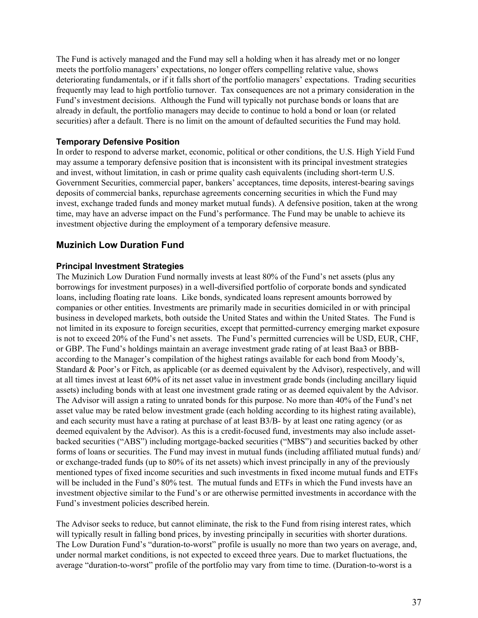The Fund is actively managed and the Fund may sell a holding when it has already met or no longer meets the portfolio managers' expectations, no longer offers compelling relative value, shows deteriorating fundamentals, or if it falls short of the portfolio managers' expectations. Trading securities frequently may lead to high portfolio turnover. Tax consequences are not a primary consideration in the Fund's investment decisions. Although the Fund will typically not purchase bonds or loans that are already in default, the portfolio managers may decide to continue to hold a bond or loan (or related securities) after a default. There is no limit on the amount of defaulted securities the Fund may hold.

#### **Temporary Defensive Position**

In order to respond to adverse market, economic, political or other conditions, the U.S. High Yield Fund may assume a temporary defensive position that is inconsistent with its principal investment strategies and invest, without limitation, in cash or prime quality cash equivalents (including short-term U.S. Government Securities, commercial paper, bankers' acceptances, time deposits, interest-bearing savings deposits of commercial banks, repurchase agreements concerning securities in which the Fund may invest, exchange traded funds and money market mutual funds). A defensive position, taken at the wrong time, may have an adverse impact on the Fund's performance. The Fund may be unable to achieve its investment objective during the employment of a temporary defensive measure.

## **Muzinich Low Duration Fund**

#### **Principal Investment Strategies**

The Muzinich Low Duration Fund normally invests at least 80% of the Fund's net assets (plus any borrowings for investment purposes) in a well-diversified portfolio of corporate bonds and syndicated loans, including floating rate loans. Like bonds, syndicated loans represent amounts borrowed by companies or other entities. Investments are primarily made in securities domiciled in or with principal business in developed markets, both outside the United States and within the United States. The Fund is not limited in its exposure to foreign securities, except that permitted-currency emerging market exposure is not to exceed 20% of the Fund's net assets. The Fund's permitted currencies will be USD, EUR, CHF, or GBP. The Fund's holdings maintain an average investment grade rating of at least Baa3 or BBBaccording to the Manager's compilation of the highest ratings available for each bond from Moody's, Standard & Poor's or Fitch, as applicable (or as deemed equivalent by the Advisor), respectively, and will at all times invest at least 60% of its net asset value in investment grade bonds (including ancillary liquid assets) including bonds with at least one investment grade rating or as deemed equivalent by the Advisor. The Advisor will assign a rating to unrated bonds for this purpose. No more than 40% of the Fund's net asset value may be rated below investment grade (each holding according to its highest rating available), and each security must have a rating at purchase of at least B3/B- by at least one rating agency (or as deemed equivalent by the Advisor). As this is a credit-focused fund, investments may also include assetbacked securities ("ABS") including mortgage-backed securities ("MBS") and securities backed by other forms of loans or securities. The Fund may invest in mutual funds (including affiliated mutual funds) and/ or exchange-traded funds (up to 80% of its net assets) which invest principally in any of the previously mentioned types of fixed income securities and such investments in fixed income mutual funds and ETFs will be included in the Fund's 80% test. The mutual funds and ETFs in which the Fund invests have an investment objective similar to the Fund's or are otherwise permitted investments in accordance with the Fund's investment policies described herein.

The Advisor seeks to reduce, but cannot eliminate, the risk to the Fund from rising interest rates, which will typically result in falling bond prices, by investing principally in securities with shorter durations. The Low Duration Fund's "duration-to-worst" profile is usually no more than two years on average, and, under normal market conditions, is not expected to exceed three years. Due to market fluctuations, the average "duration-to-worst" profile of the portfolio may vary from time to time. (Duration-to-worst is a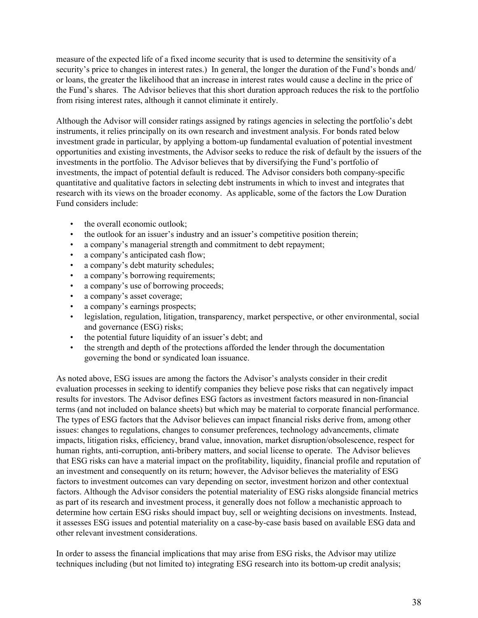measure of the expected life of a fixed income security that is used to determine the sensitivity of a security's price to changes in interest rates.) In general, the longer the duration of the Fund's bonds and/ or loans, the greater the likelihood that an increase in interest rates would cause a decline in the price of the Fund's shares. The Advisor believes that this short duration approach reduces the risk to the portfolio from rising interest rates, although it cannot eliminate it entirely.

Although the Advisor will consider ratings assigned by ratings agencies in selecting the portfolio's debt instruments, it relies principally on its own research and investment analysis. For bonds rated below investment grade in particular, by applying a bottom-up fundamental evaluation of potential investment opportunities and existing investments, the Advisor seeks to reduce the risk of default by the issuers of the investments in the portfolio. The Advisor believes that by diversifying the Fund's portfolio of investments, the impact of potential default is reduced. The Advisor considers both company-specific quantitative and qualitative factors in selecting debt instruments in which to invest and integrates that research with its views on the broader economy. As applicable, some of the factors the Low Duration Fund considers include:

- the overall economic outlook:
- the outlook for an issuer's industry and an issuer's competitive position therein;
- a company's managerial strength and commitment to debt repayment;
- a company's anticipated cash flow;
- a company's debt maturity schedules;
- a company's borrowing requirements:
- a company's use of borrowing proceeds;
- a company's asset coverage;
- a company's earnings prospects;
- legislation, regulation, litigation, transparency, market perspective, or other environmental, social and governance (ESG) risks;
- the potential future liquidity of an issuer's debt; and
- the strength and depth of the protections afforded the lender through the documentation governing the bond or syndicated loan issuance.

As noted above, ESG issues are among the factors the Advisor's analysts consider in their credit evaluation processes in seeking to identify companies they believe pose risks that can negatively impact results for investors. The Advisor defines ESG factors as investment factors measured in non-financial terms (and not included on balance sheets) but which may be material to corporate financial performance. The types of ESG factors that the Advisor believes can impact financial risks derive from, among other issues: changes to regulations, changes to consumer preferences, technology advancements, climate impacts, litigation risks, efficiency, brand value, innovation, market disruption/obsolescence, respect for human rights, anti-corruption, anti-bribery matters, and social license to operate. The Advisor believes that ESG risks can have a material impact on the profitability, liquidity, financial profile and reputation of an investment and consequently on its return; however, the Advisor believes the materiality of ESG factors to investment outcomes can vary depending on sector, investment horizon and other contextual factors. Although the Advisor considers the potential materiality of ESG risks alongside financial metrics as part of its research and investment process, it generally does not follow a mechanistic approach to determine how certain ESG risks should impact buy, sell or weighting decisions on investments. Instead, it assesses ESG issues and potential materiality on a case-by-case basis based on available ESG data and other relevant investment considerations.

In order to assess the financial implications that may arise from ESG risks, the Advisor may utilize techniques including (but not limited to) integrating ESG research into its bottom-up credit analysis;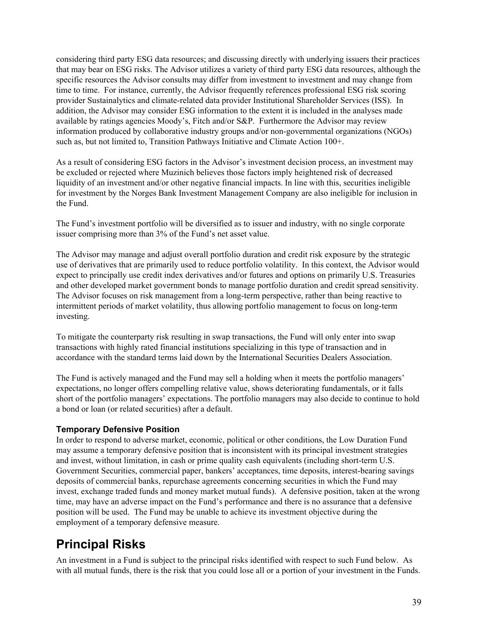considering third party ESG data resources; and discussing directly with underlying issuers their practices that may bear on ESG risks. The Advisor utilizes a variety of third party ESG data resources, although the specific resources the Advisor consults may differ from investment to investment and may change from time to time. For instance, currently, the Advisor frequently references professional ESG risk scoring provider Sustainalytics and climate-related data provider Institutional Shareholder Services (ISS). In addition, the Advisor may consider ESG information to the extent it is included in the analyses made available by ratings agencies Moody's, Fitch and/or S&P. Furthermore the Advisor may review information produced by collaborative industry groups and/or non-governmental organizations (NGOs) such as, but not limited to, Transition Pathways Initiative and Climate Action 100+.

As a result of considering ESG factors in the Advisor's investment decision process, an investment may be excluded or rejected where Muzinich believes those factors imply heightened risk of decreased liquidity of an investment and/or other negative financial impacts. In line with this, securities ineligible for investment by the Norges Bank Investment Management Company are also ineligible for inclusion in the Fund.

The Fund's investment portfolio will be diversified as to issuer and industry, with no single corporate issuer comprising more than 3% of the Fund's net asset value.

The Advisor may manage and adjust overall portfolio duration and credit risk exposure by the strategic use of derivatives that are primarily used to reduce portfolio volatility. In this context, the Advisor would expect to principally use credit index derivatives and/or futures and options on primarily U.S. Treasuries and other developed market government bonds to manage portfolio duration and credit spread sensitivity. The Advisor focuses on risk management from a long-term perspective, rather than being reactive to intermittent periods of market volatility, thus allowing portfolio management to focus on long-term investing.

To mitigate the counterparty risk resulting in swap transactions, the Fund will only enter into swap transactions with highly rated financial institutions specializing in this type of transaction and in accordance with the standard terms laid down by the International Securities Dealers Association.

The Fund is actively managed and the Fund may sell a holding when it meets the portfolio managers' expectations, no longer offers compelling relative value, shows deteriorating fundamentals, or it falls short of the portfolio managers' expectations. The portfolio managers may also decide to continue to hold a bond or loan (or related securities) after a default.

#### **Temporary Defensive Position**

In order to respond to adverse market, economic, political or other conditions, the Low Duration Fund may assume a temporary defensive position that is inconsistent with its principal investment strategies and invest, without limitation, in cash or prime quality cash equivalents (including short-term U.S. Government Securities, commercial paper, bankers' acceptances, time deposits, interest-bearing savings deposits of commercial banks, repurchase agreements concerning securities in which the Fund may invest, exchange traded funds and money market mutual funds). A defensive position, taken at the wrong time, may have an adverse impact on the Fund's performance and there is no assurance that a defensive position will be used. The Fund may be unable to achieve its investment objective during the employment of a temporary defensive measure.

# **Principal Risks**

An investment in a Fund is subject to the principal risks identified with respect to such Fund below. As with all mutual funds, there is the risk that you could lose all or a portion of your investment in the Funds.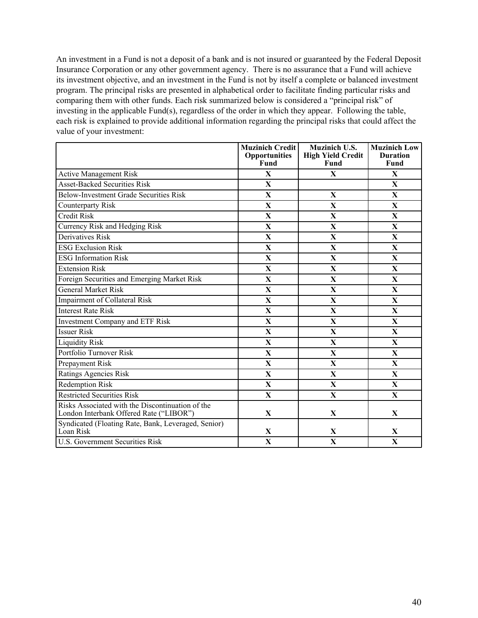An investment in a Fund is not a deposit of a bank and is not insured or guaranteed by the Federal Deposit Insurance Corporation or any other government agency. There is no assurance that a Fund will achieve its investment objective, and an investment in the Fund is not by itself a complete or balanced investment program. The principal risks are presented in alphabetical order to facilitate finding particular risks and comparing them with other funds. Each risk summarized below is considered a "principal risk" of investing in the applicable Fund(s), regardless of the order in which they appear. Following the table, each risk is explained to provide additional information regarding the principal risks that could affect the value of your investment:

|                                                                                             | <b>Muzinich Credit</b><br><b>Opportunities</b><br>Fund | <b>Muzinich U.S.</b><br><b>High Yield Credit</b><br>Fund | <b>Muzinich Low</b><br><b>Duration</b><br>Fund |
|---------------------------------------------------------------------------------------------|--------------------------------------------------------|----------------------------------------------------------|------------------------------------------------|
| <b>Active Management Risk</b>                                                               | $\mathbf{X}$                                           | $\mathbf{X}$                                             | $\mathbf{X}$                                   |
| <b>Asset-Backed Securities Risk</b>                                                         | $\mathbf X$                                            |                                                          | X                                              |
| <b>Below-Investment Grade Securities Risk</b>                                               | $\overline{\mathbf{X}}$                                | $\overline{\mathbf{X}}$                                  | $\overline{\mathbf{X}}$                        |
|                                                                                             |                                                        |                                                          |                                                |
| <b>Counterparty Risk</b>                                                                    | $\mathbf{X}$                                           | $\mathbf{X}$                                             | X                                              |
| <b>Credit Risk</b>                                                                          | $\mathbf X$                                            | $\mathbf{X}$                                             | $\mathbf{X}$                                   |
| Currency Risk and Hedging Risk                                                              | $\mathbf{X}$                                           | X                                                        | $\mathbf{X}$                                   |
| <b>Derivatives Risk</b>                                                                     | $\mathbf X$                                            | $\mathbf{X}$                                             | $\mathbf{X}$                                   |
| <b>ESG Exclusion Risk</b>                                                                   | $\mathbf X$                                            | $\overline{\mathbf{X}}$                                  | $\mathbf{X}$                                   |
| <b>ESG Information Risk</b>                                                                 | $\mathbf{X}$                                           | X                                                        | X                                              |
| <b>Extension Risk</b>                                                                       | $\mathbf X$                                            | $\mathbf{X}$                                             | $\mathbf{X}$                                   |
| Foreign Securities and Emerging Market Risk                                                 | $\mathbf{X}$                                           | X                                                        | $\mathbf{X}$                                   |
| <b>General Market Risk</b>                                                                  | $\mathbf X$                                            | $\mathbf X$                                              | X                                              |
| <b>Impairment</b> of Collateral Risk                                                        | $\mathbf X$                                            | $\mathbf{X}$                                             | $\mathbf{X}$                                   |
| <b>Interest Rate Risk</b>                                                                   | $\overline{\mathbf{X}}$                                | $\mathbf{X}$                                             | $\mathbf{X}$                                   |
| Investment Company and ETF Risk                                                             | $\mathbf X$                                            | $\mathbf X$                                              | $\mathbf{X}$                                   |
| <b>Issuer Risk</b>                                                                          | $\mathbf{X}$                                           | X                                                        | X                                              |
| <b>Liquidity Risk</b>                                                                       | $\mathbf X$                                            | $\mathbf X$                                              | $\mathbf{X}$                                   |
| Portfolio Turnover Risk                                                                     | $\mathbf X$                                            | $\mathbf{X}$                                             | $\mathbf{X}$                                   |
| Prepayment Risk                                                                             | $\mathbf X$                                            | $\mathbf{X}$                                             | $\mathbf X$                                    |
| Ratings Agencies Risk                                                                       | X                                                      | $\mathbf{X}$                                             | X                                              |
| <b>Redemption Risk</b>                                                                      | $\mathbf{X}$                                           | $\mathbf{X}$                                             | X                                              |
| <b>Restricted Securities Risk</b>                                                           | $\mathbf X$                                            | $\mathbf X$                                              | $\mathbf{X}$                                   |
| Risks Associated with the Discontinuation of the<br>London Interbank Offered Rate ("LIBOR") | X                                                      | X                                                        | $\mathbf{X}$                                   |
| Syndicated (Floating Rate, Bank, Leveraged, Senior)<br>Loan Risk                            | X                                                      | X                                                        | X                                              |
| <b>U.S. Government Securities Risk</b>                                                      | $\mathbf X$                                            | $\mathbf X$                                              | $\mathbf{X}$                                   |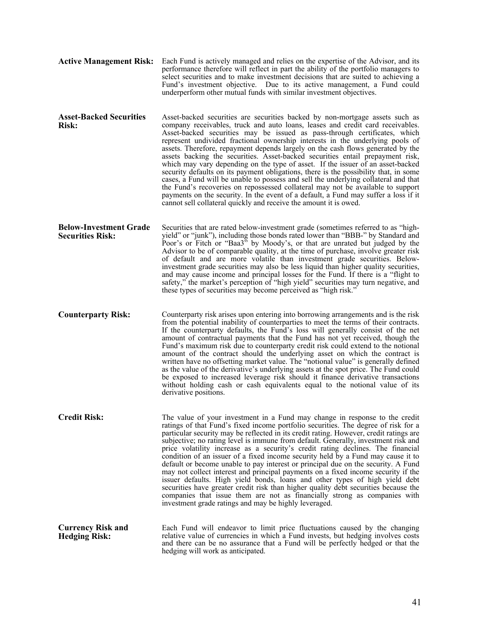**Active Management Risk:** Each Fund is actively managed and relies on the expertise of the Advisor, and its performance therefore will reflect in part the ability of the portfolio managers to select securities and to make investment decisions that are suited to achieving a Fund's investment objective. Due to its active management, a Fund could underperform other mutual funds with similar investment objectives. **Asset-Backed Securities Risk:** Asset-backed securities are securities backed by non-mortgage assets such as company receivables, truck and auto loans, leases and credit card receivables. Asset-backed securities may be issued as pass-through certificates, which represent undivided fractional ownership interests in the underlying pools of assets. Therefore, repayment depends largely on the cash flows generated by the assets backing the securities. Asset-backed securities entail prepayment risk, which may vary depending on the type of asset. If the issuer of an asset-backed security defaults on its payment obligations, there is the possibility that, in some cases, a Fund will be unable to possess and sell the underlying collateral and that the Fund's recoveries on repossessed collateral may not be available to support payments on the security. In the event of a default, a Fund may suffer a loss if it cannot sell collateral quickly and receive the amount it is owed. **Below-Investment Grade Securities Risk:** Securities that are rated below-investment grade (sometimes referred to as "highyield" or "junk"), including those bonds rated lower than "BBB-" by Standard and Poor's or Fitch or "Baa3" by Moody's, or that are unrated but judged by the Advisor to be of comparable quality, at the time of purchase, involve greater risk of default and are more volatile than investment grade securities. Belowinvestment grade securities may also be less liquid than higher quality securities, and may cause income and principal losses for the Fund. If there is a "flight to safety," the market's perception of "high yield" securities may turn negative, and these types of securities may become perceived as "high risk." **Counterparty Risk:** Counterparty risk arises upon entering into borrowing arrangements and is the risk from the potential inability of counterparties to meet the terms of their contracts. If the counterparty defaults, the Fund's loss will generally consist of the net amount of contractual payments that the Fund has not yet received, though the Fund's maximum risk due to counterparty credit risk could extend to the notional amount of the contract should the underlying asset on which the contract is written have no offsetting market value. The "notional value" is generally defined as the value of the derivative's underlying assets at the spot price. The Fund could be exposed to increased leverage risk should it finance derivative transactions without holding cash or cash equivalents equal to the notional value of its derivative positions. **Credit Risk:** The value of your investment in a Fund may change in response to the credit ratings of that Fund's fixed income portfolio securities. The degree of risk for a particular security may be reflected in its credit rating. However, credit ratings are subjective; no rating level is immune from default. Generally, investment risk and price volatility increase as a security's credit rating declines. The financial condition of an issuer of a fixed income security held by a Fund may cause it to default or become unable to pay interest or principal due on the security. A Fund may not collect interest and principal payments on a fixed income security if the issuer defaults. High yield bonds, loans and other types of high yield debt securities have greater credit risk than higher quality debt securities because the companies that issue them are not as financially strong as companies with investment grade ratings and may be highly leveraged. **Currency Risk and Hedging Risk:** Each Fund will endeavor to limit price fluctuations caused by the changing relative value of currencies in which a Fund invests, but hedging involves costs and there can be no assurance that a Fund will be perfectly hedged or that the hedging will work as anticipated.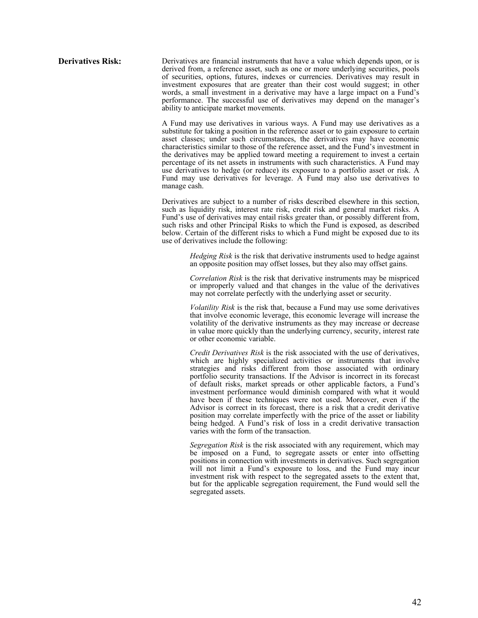**Derivatives Risk:** Derivatives are financial instruments that have a value which depends upon, or is derived from, a reference asset, such as one or more underlying securities, pools of securities, options, futures, indexes or currencies. Derivatives may result in investment exposures that are greater than their cost would suggest; in other words, a small investment in a derivative may have a large impact on a Fund's performance. The successful use of derivatives may depend on the manager's ability to anticipate market movements.

> A Fund may use derivatives in various ways. A Fund may use derivatives as a substitute for taking a position in the reference asset or to gain exposure to certain asset classes; under such circumstances, the derivatives may have economic characteristics similar to those of the reference asset, and the Fund's investment in the derivatives may be applied toward meeting a requirement to invest a certain percentage of its net assets in instruments with such characteristics. A Fund may use derivatives to hedge (or reduce) its exposure to a portfolio asset or risk. A Fund may use derivatives for leverage. A Fund may also use derivatives to manage cash.

> Derivatives are subject to a number of risks described elsewhere in this section, such as liquidity risk, interest rate risk, credit risk and general market risks. A Fund's use of derivatives may entail risks greater than, or possibly different from, such risks and other Principal Risks to which the Fund is exposed, as described below. Certain of the different risks to which a Fund might be exposed due to its use of derivatives include the following:

> > *Hedging Risk* is the risk that derivative instruments used to hedge against an opposite position may offset losses, but they also may offset gains.

> > *Correlation Risk* is the risk that derivative instruments may be mispriced or improperly valued and that changes in the value of the derivatives may not correlate perfectly with the underlying asset or security.

> > *Volatility Risk* is the risk that, because a Fund may use some derivatives that involve economic leverage, this economic leverage will increase the volatility of the derivative instruments as they may increase or decrease in value more quickly than the underlying currency, security, interest rate or other economic variable.

> > *Credit Derivatives Risk* is the risk associated with the use of derivatives, which are highly specialized activities or instruments that involve strategies and risks different from those associated with ordinary portfolio security transactions. If the Advisor is incorrect in its forecast of default risks, market spreads or other applicable factors, a Fund's investment performance would diminish compared with what it would have been if these techniques were not used. Moreover, even if the Advisor is correct in its forecast, there is a risk that a credit derivative position may correlate imperfectly with the price of the asset or liability being hedged. A Fund's risk of loss in a credit derivative transaction varies with the form of the transaction.

> > *Segregation Risk* is the risk associated with any requirement, which may be imposed on a Fund, to segregate assets or enter into offsetting positions in connection with investments in derivatives. Such segregation will not limit a Fund's exposure to loss, and the Fund may incur investment risk with respect to the segregated assets to the extent that, but for the applicable segregation requirement, the Fund would sell the segregated assets.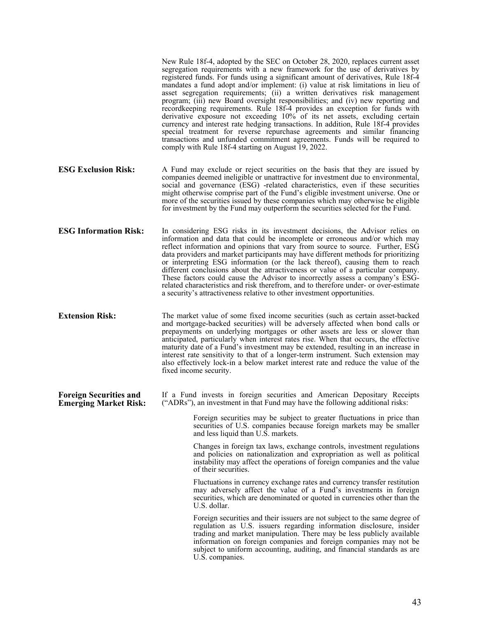New Rule 18f-4, adopted by the SEC on October 28, 2020, replaces current asset segregation requirements with a new framework for the use of derivatives by registered funds. For funds using a significant amount of derivatives, Rule 18f-4 mandates a fund adopt and/or implement: (i) value at risk limitations in lieu of asset segregation requirements; (ii) a written derivatives risk management program; (iii) new Board oversight responsibilities; and (iv) new reporting and recordkeeping requirements. Rule 18f-4 provides an exception for funds with derivative exposure not exceeding 10% of its net assets, excluding certain currency and interest rate hedging transactions. In addition, Rule 18f-4 provides special treatment for reverse repurchase agreements and similar financing transactions and unfunded commitment agreements. Funds will be required to comply with Rule 18f-4 starting on August 19, 2022.

- **ESG Exclusion Risk:** A Fund may exclude or reject securities on the basis that they are issued by companies deemed ineligible or unattractive for investment due to environmental, social and governance (ESG) -related characteristics, even if these securities might otherwise comprise part of the Fund's eligible investment universe. One or more of the securities issued by these companies which may otherwise be eligible for investment by the Fund may outperform the securities selected for the Fund.
- **ESG Information Risk:** In considering ESG risks in its investment decisions, the Advisor relies on information and data that could be incomplete or erroneous and/or which may reflect information and opinions that vary from source to source. Further, ESG data providers and market participants may have different methods for prioritizing or interpreting ESG information (or the lack thereof), causing them to reach different conclusions about the attractiveness or value of a particular company. These factors could cause the Advisor to incorrectly assess a company's ESGrelated characteristics and risk therefrom, and to therefore under- or over-estimate a security's attractiveness relative to other investment opportunities.

**Extension Risk:** The market value of some fixed income securities (such as certain asset-backed and mortgage-backed securities) will be adversely affected when bond calls or prepayments on underlying mortgages or other assets are less or slower than anticipated, particularly when interest rates rise. When that occurs, the effective maturity date of a Fund's investment may be extended, resulting in an increase in interest rate sensitivity to that of a longer-term instrument. Such extension may also effectively lock-in a below market interest rate and reduce the value of the fixed income security.

**Foreign Securities and Emerging Market Risk:** If a Fund invests in foreign securities and American Depositary Receipts ("ADRs"), an investment in that Fund may have the following additional risks:

> Foreign securities may be subject to greater fluctuations in price than securities of U.S. companies because foreign markets may be smaller and less liquid than U.S. markets.

> Changes in foreign tax laws, exchange controls, investment regulations and policies on nationalization and expropriation as well as political instability may affect the operations of foreign companies and the value of their securities.

> Fluctuations in currency exchange rates and currency transfer restitution may adversely affect the value of a Fund's investments in foreign securities, which are denominated or quoted in currencies other than the U.S. dollar.

> Foreign securities and their issuers are not subject to the same degree of regulation as U.S. issuers regarding information disclosure, insider trading and market manipulation. There may be less publicly available information on foreign companies and foreign companies may not be subject to uniform accounting, auditing, and financial standards as are U.S. companies.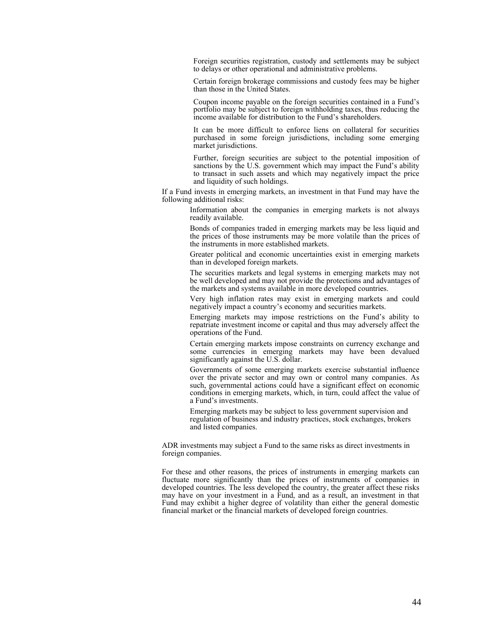Foreign securities registration, custody and settlements may be subject to delays or other operational and administrative problems.

Certain foreign brokerage commissions and custody fees may be higher than those in the United States.

Coupon income payable on the foreign securities contained in a Fund's portfolio may be subject to foreign withholding taxes, thus reducing the income available for distribution to the Fund's shareholders.

It can be more difficult to enforce liens on collateral for securities purchased in some foreign jurisdictions, including some emerging market jurisdictions.

Further, foreign securities are subject to the potential imposition of sanctions by the U.S. government which may impact the Fund's ability to transact in such assets and which may negatively impact the price and liquidity of such holdings.

If a Fund invests in emerging markets, an investment in that Fund may have the following additional risks:

> Information about the companies in emerging markets is not always readily available.

> Bonds of companies traded in emerging markets may be less liquid and the prices of those instruments may be more volatile than the prices of the instruments in more established markets.

> Greater political and economic uncertainties exist in emerging markets than in developed foreign markets.

> The securities markets and legal systems in emerging markets may not be well developed and may not provide the protections and advantages of the markets and systems available in more developed countries.

> Very high inflation rates may exist in emerging markets and could negatively impact a country's economy and securities markets.

> Emerging markets may impose restrictions on the Fund's ability to repatriate investment income or capital and thus may adversely affect the operations of the Fund.

> Certain emerging markets impose constraints on currency exchange and some currencies in emerging markets may have been devalued significantly against the U.S. dollar.

> Governments of some emerging markets exercise substantial influence over the private sector and may own or control many companies. As such, governmental actions could have a significant effect on economic conditions in emerging markets, which, in turn, could affect the value of a Fund's investments.

Emerging markets may be subject to less government supervision and regulation of business and industry practices, stock exchanges, brokers and listed companies.

ADR investments may subject a Fund to the same risks as direct investments in foreign companies.

For these and other reasons, the prices of instruments in emerging markets can fluctuate more significantly than the prices of instruments of companies in developed countries. The less developed the country, the greater affect these risks may have on your investment in a Fund, and as a result, an investment in that Fund may exhibit a higher degree of volatility than either the general domestic financial market or the financial markets of developed foreign countries.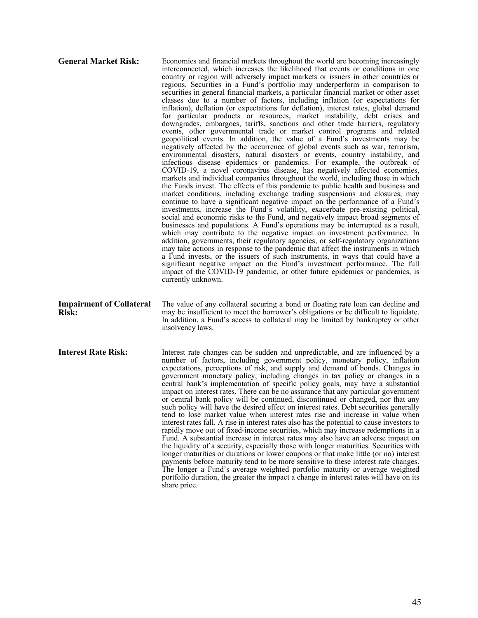| <b>General Market Risk:</b>                     | Economies and financial markets throughout the world are becoming increasingly<br>interconnected, which increases the likelihood that events or conditions in one<br>country or region will adversely impact markets or issuers in other countries or<br>regions. Securities in a Fund's portfolio may underperform in comparison to<br>securities in general financial markets, a particular financial market or other asset<br>classes due to a number of factors, including inflation (or expectations for<br>inflation), deflation (or expectations for deflation), interest rates, global demand<br>for particular products or resources, market instability, debt crises and<br>downgrades, embargoes, tariffs, sanctions and other trade barriers, regulatory<br>events, other governmental trade or market control programs and related<br>geopolitical events. In addition, the value of a Fund's investments may be<br>negatively affected by the occurrence of global events such as war, terrorism,<br>environmental disasters, natural disasters or events, country instability, and<br>infectious disease epidemics or pandemics. For example, the outbreak of<br>COVID-19, a novel coronavirus disease, has negatively affected economies,<br>markets and individual companies throughout the world, including those in which<br>the Funds invest. The effects of this pandemic to public health and business and<br>market conditions, including exchange trading suspensions and closures, may<br>continue to have a significant negative impact on the performance of a Fund's<br>investments, increase the Fund's volatility, exacerbate pre-existing political,<br>social and economic risks to the Fund, and negatively impact broad segments of<br>businesses and populations. A Fund's operations may be interrupted as a result,<br>which may contribute to the negative impact on investment performance. In<br>addition, governments, their regulatory agencies, or self-regulatory organizations<br>may take actions in response to the pandemic that affect the instruments in which<br>a Fund invests, or the issuers of such instruments, in ways that could have a<br>significant negative impact on the Fund's investment performance. The full<br>impact of the COVID-19 pandemic, or other future epidemics or pandemics, is<br>currently unknown. |
|-------------------------------------------------|--------------------------------------------------------------------------------------------------------------------------------------------------------------------------------------------------------------------------------------------------------------------------------------------------------------------------------------------------------------------------------------------------------------------------------------------------------------------------------------------------------------------------------------------------------------------------------------------------------------------------------------------------------------------------------------------------------------------------------------------------------------------------------------------------------------------------------------------------------------------------------------------------------------------------------------------------------------------------------------------------------------------------------------------------------------------------------------------------------------------------------------------------------------------------------------------------------------------------------------------------------------------------------------------------------------------------------------------------------------------------------------------------------------------------------------------------------------------------------------------------------------------------------------------------------------------------------------------------------------------------------------------------------------------------------------------------------------------------------------------------------------------------------------------------------------------------------------------------------------------------------------------------------------------------------------------------------------------------------------------------------------------------------------------------------------------------------------------------------------------------------------------------------------------------------------------------------------------------------------------------------------------------------------------------------------------------------------------------------------------------------------|
| <b>Impairment of Collateral</b><br><b>Risk:</b> | The value of any collateral securing a bond or floating rate loan can decline and<br>may be insufficient to meet the borrower's obligations or be difficult to liquidate.<br>In addition, a Fund's access to collateral may be limited by bankruptcy or other<br>insolvency laws.                                                                                                                                                                                                                                                                                                                                                                                                                                                                                                                                                                                                                                                                                                                                                                                                                                                                                                                                                                                                                                                                                                                                                                                                                                                                                                                                                                                                                                                                                                                                                                                                                                                                                                                                                                                                                                                                                                                                                                                                                                                                                                    |
| <b>Interest Rate Risk:</b>                      | Interest rate changes can be sudden and unpredictable, and are influenced by a<br>number of factors, including government policy, monetary policy, inflation<br>expectations, perceptions of risk, and supply and demand of bonds. Changes in<br>government monetary policy, including changes in tax policy or changes in a<br>central bank's implementation of specific policy goals, may have a substantial<br>impact on interest rates. There can be no assurance that any particular government<br>or central bank policy will be continued, discontinued or changed, nor that any<br>such policy will have the desired effect on interest rates. Debt securities generally<br>tend to lose market value when interest rates rise and increase in value when<br>interest rates fall. A rise in interest rates also has the potential to cause investors to<br>rapidly move out of fixed-income securities, which may increase redemptions in a<br>Fund. A substantial increase in interest rates may also have an adverse impact on<br>the liquidity of a security, especially those with longer maturities. Securities with<br>longer maturities or durations or lower coupons or that make little (or no) interest                                                                                                                                                                                                                                                                                                                                                                                                                                                                                                                                                                                                                                                                                                                                                                                                                                                                                                                                                                                                                                                                                                                                                            |

share price.

payments before maturity tend to be more sensitive to these interest rate changes. The longer a Fund's average weighted portfolio maturity or average weighted portfolio duration, the greater the impact a change in interest rates will have on its

45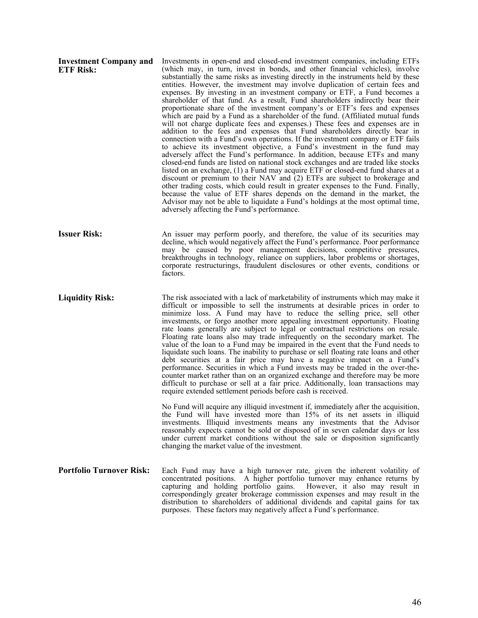| <b>Investment Company and</b><br><b>ETF Risk:</b> | Investments in open-end and closed-end investment companies, including ETFs<br>(which may, in turn, invest in bonds, and other financial vehicles), involve<br>substantially the same risks as investing directly in the instruments held by these<br>entities. However, the investment may involve duplication of certain fees and<br>expenses. By investing in an investment company or ETF, a Fund becomes a<br>shareholder of that fund. As a result, Fund shareholders indirectly bear their<br>proportionate share of the investment company's or ETF's fees and expenses<br>which are paid by a Fund as a shareholder of the fund. (Affiliated mutual funds<br>will not charge duplicate fees and expenses.) These fees and expenses are in<br>addition to the fees and expenses that Fund shareholders directly bear in<br>connection with a Fund's own operations. If the investment company or ETF fails<br>to achieve its investment objective, a Fund's investment in the fund may<br>adversely affect the Fund's performance. In addition, because ETFs and many<br>closed-end funds are listed on national stock exchanges and are traded like stocks<br>listed on an exchange, (1) a Fund may acquire ETF or closed-end fund shares at a<br>discount or premium to their NAV and (2) ETFs are subject to brokerage and<br>other trading costs, which could result in greater expenses to the Fund. Finally,<br>because the value of ETF shares depends on the demand in the market, the<br>Advisor may not be able to liquidate a Fund's holdings at the most optimal time,<br>adversely affecting the Fund's performance. |
|---------------------------------------------------|-------------------------------------------------------------------------------------------------------------------------------------------------------------------------------------------------------------------------------------------------------------------------------------------------------------------------------------------------------------------------------------------------------------------------------------------------------------------------------------------------------------------------------------------------------------------------------------------------------------------------------------------------------------------------------------------------------------------------------------------------------------------------------------------------------------------------------------------------------------------------------------------------------------------------------------------------------------------------------------------------------------------------------------------------------------------------------------------------------------------------------------------------------------------------------------------------------------------------------------------------------------------------------------------------------------------------------------------------------------------------------------------------------------------------------------------------------------------------------------------------------------------------------------------------------------------------------------------------------------------------------------------|
| <b>Issuer Risk:</b>                               | An issuer may perform poorly, and therefore, the value of its securities may<br>decline, which would negatively affect the Fund's performance. Poor performance<br>may be caused by poor management decisions, competitive pressures,<br>breakthroughs in technology, reliance on suppliers, labor problems or shortages,<br>corporate restructurings, fraudulent disclosures or other events, conditions or<br>factors.                                                                                                                                                                                                                                                                                                                                                                                                                                                                                                                                                                                                                                                                                                                                                                                                                                                                                                                                                                                                                                                                                                                                                                                                                  |
| <b>Liquidity Risk:</b>                            | The risk associated with a lack of marketability of instruments which may make it<br>difficult or impossible to sell the instruments at desirable prices in order to<br>minimize loss. A Fund may have to reduce the selling price, sell other<br>investments, or forgo another more appealing investment opportunity. Floating<br>rate loans generally are subject to legal or contractual restrictions on resale.<br>Floating rate loans also may trade infrequently on the secondary market. The<br>value of the loan to a Fund may be impaired in the event that the Fund needs to<br>liquidate such loans. The inability to purchase or sell floating rate loans and other<br>debt securities at a fair price may have a negative impact on a Fund's<br>performance. Securities in which a Fund invests may be traded in the over-the-<br>counter market rather than on an organized exchange and therefore may be more<br>difficult to purchase or sell at a fair price. Additionally, loan transactions may<br>require extended settlement periods before cash is received.                                                                                                                                                                                                                                                                                                                                                                                                                                                                                                                                                        |
|                                                   | No Fund will acquire any illiquid investment if, immediately after the acquisition,<br>the Fund will have invested more than 15% of its net assets in illiquid<br>investments. Illiquid investments means any investments that the Advisor<br>reasonably expects cannot be sold or disposed of in seven calendar days or less<br>under current market conditions without the sale or disposition significantly<br>changing the market value of the investment.                                                                                                                                                                                                                                                                                                                                                                                                                                                                                                                                                                                                                                                                                                                                                                                                                                                                                                                                                                                                                                                                                                                                                                            |
| <b>Portfolio Turnover Risk:</b>                   | Each Fund may have a high turnover rate, given the inherent volatility of<br>concentrated positions. A higher portfolio turnover may enhance returns by<br>capturing and holding portfolio gains. However, it also may result in<br>correspondingly greater brokerage commission expenses and may result in the<br>distribution to shareholders of additional dividends and capital gains for tax<br>purposes. These factors may negatively affect a Fund's performance.                                                                                                                                                                                                                                                                                                                                                                                                                                                                                                                                                                                                                                                                                                                                                                                                                                                                                                                                                                                                                                                                                                                                                                  |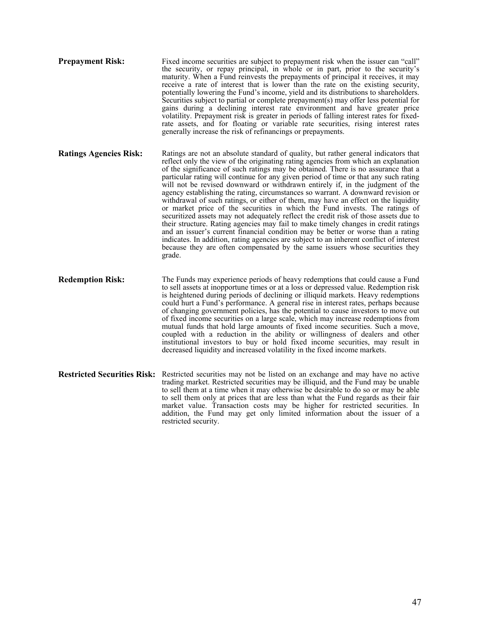- **Prepayment Risk:** Fixed income securities are subject to prepayment risk when the issuer can "call" the security, or repay principal, in whole or in part, prior to the security's maturity. When a Fund reinvests the prepayments of principal it receives, it may receive a rate of interest that is lower than the rate on the existing security, potentially lowering the Fund's income, yield and its distributions to shareholders. Securities subject to partial or complete prepayment(s) may offer less potential for gains during a declining interest rate environment and have greater price volatility. Prepayment risk is greater in periods of falling interest rates for fixedrate assets, and for floating or variable rate securities, rising interest rates generally increase the risk of refinancings or prepayments.
- **Ratings Agencies Risk:** Ratings are not an absolute standard of quality, but rather general indicators that reflect only the view of the originating rating agencies from which an explanation of the significance of such ratings may be obtained. There is no assurance that a particular rating will continue for any given period of time or that any such rating will not be revised downward or withdrawn entirely if, in the judgment of the agency establishing the rating, circumstances so warrant. A downward revision or withdrawal of such ratings, or either of them, may have an effect on the liquidity or market price of the securities in which the Fund invests. The ratings of securitized assets may not adequately reflect the credit risk of those assets due to their structure. Rating agencies may fail to make timely changes in credit ratings and an issuer's current financial condition may be better or worse than a rating indicates. In addition, rating agencies are subject to an inherent conflict of interest because they are often compensated by the same issuers whose securities they grade.
- **Redemption Risk:** The Funds may experience periods of heavy redemptions that could cause a Fund to sell assets at inopportune times or at a loss or depressed value. Redemption risk is heightened during periods of declining or illiquid markets. Heavy redemptions could hurt a Fund's performance. A general rise in interest rates, perhaps because of changing government policies, has the potential to cause investors to move out of fixed income securities on a large scale, which may increase redemptions from mutual funds that hold large amounts of fixed income securities. Such a move, coupled with a reduction in the ability or willingness of dealers and other institutional investors to buy or hold fixed income securities, may result in decreased liquidity and increased volatility in the fixed income markets.
- **Restricted Securities Risk:** Restricted securities may not be listed on an exchange and may have no active trading market. Restricted securities may be illiquid, and the Fund may be unable to sell them at a time when it may otherwise be desirable to do so or may be able to sell them only at prices that are less than what the Fund regards as their fair market value. Transaction costs may be higher for restricted securities. In addition, the Fund may get only limited information about the issuer of a restricted security.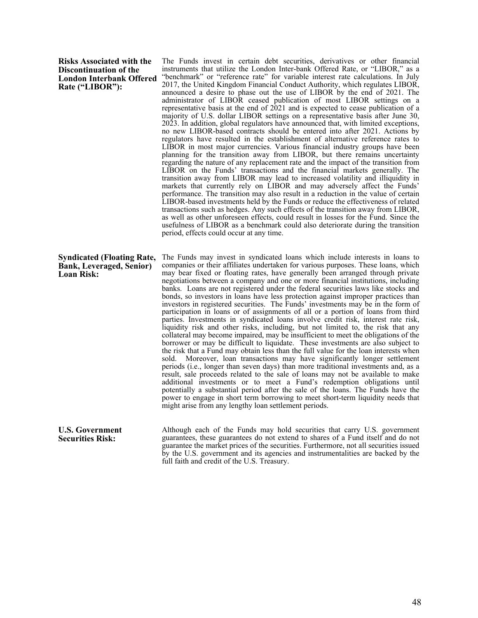#### **Risks Associated with the Discontinuation of the London Interbank Offered Rate ("LIBOR"):**

The Funds invest in certain debt securities, derivatives or other financial instruments that utilize the London Inter-bank Offered Rate, or "LIBOR," as a "benchmark" or "reference rate" for variable interest rate calculations. In July 2017, the United Kingdom Financial Conduct Authority, which regulates LIBOR, announced a desire to phase out the use of LIBOR by the end of 2021. The administrator of LIBOR ceased publication of most LIBOR settings on a representative basis at the end of 2021 and is expected to cease publication of a majority of U.S. dollar LIBOR settings on a representative basis after June 30, 2023. In addition, global regulators have announced that, with limited exceptions, no new LIBOR-based contracts should be entered into after 2021. Actions by regulators have resulted in the establishment of alternative reference rates to LIBOR in most major currencies. Various financial industry groups have been planning for the transition away from LIBOR, but there remains uncertainty regarding the nature of any replacement rate and the impact of the transition from LIBOR on the Funds' transactions and the financial markets generally. The transition away from LIBOR may lead to increased volatility and illiquidity in markets that currently rely on LIBOR and may adversely affect the Funds' performance. The transition may also result in a reduction in the value of certain LIBOR-based investments held by the Funds or reduce the effectiveness of related transactions such as hedges. Any such effects of the transition away from LIBOR, as well as other unforeseen effects, could result in losses for the Fund. Since the usefulness of LIBOR as a benchmark could also deteriorate during the transition period, effects could occur at any time.

Syndicated (Floating Rate, The Funds may invest in syndicated loans which include interests in loans to **Bank, Leveraged, Senior) Loan Risk:** companies or their affiliates undertaken for various purposes. These loans, which may bear fixed or floating rates, have generally been arranged through private negotiations between a company and one or more financial institutions, including banks. Loans are not registered under the federal securities laws like stocks and bonds, so investors in loans have less protection against improper practices than investors in registered securities. The Funds' investments may be in the form of participation in loans or of assignments of all or a portion of loans from third parties. Investments in syndicated loans involve credit risk, interest rate risk, liquidity risk and other risks, including, but not limited to, the risk that any collateral may become impaired, may be insufficient to meet the obligations of the borrower or may be difficult to liquidate. These investments are also subject to the risk that a Fund may obtain less than the full value for the loan interests when sold. Moreover, loan transactions may have significantly longer settlement periods (i.e., longer than seven days) than more traditional investments and, as a result, sale proceeds related to the sale of loans may not be available to make additional investments or to meet a Fund's redemption obligations until potentially a substantial period after the sale of the loans. The Funds have the power to engage in short term borrowing to meet short-term liquidity needs that might arise from any lengthy loan settlement periods.

**U.S. Government Securities Risk:** Although each of the Funds may hold securities that carry U.S. government guarantees, these guarantees do not extend to shares of a Fund itself and do not guarantee the market prices of the securities. Furthermore, not all securities issued by the U.S. government and its agencies and instrumentalities are backed by the full faith and credit of the U.S. Treasury.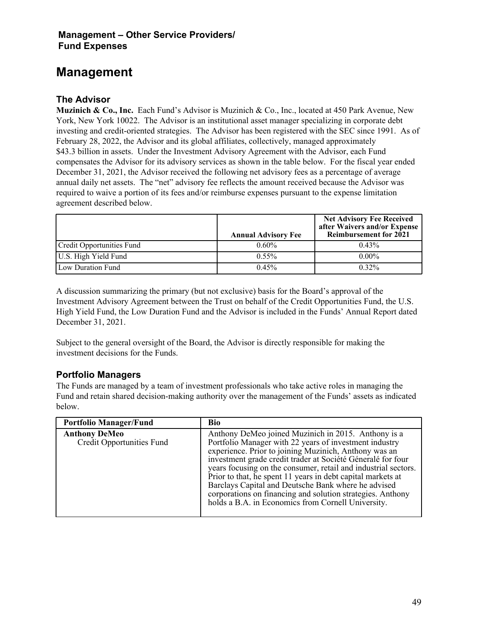# **Management**

## **The Advisor**

**Muzinich & Co., Inc.** Each Fund's Advisor is Muzinich & Co., Inc., located at 450 Park Avenue, New York, New York 10022. The Advisor is an institutional asset manager specializing in corporate debt investing and credit-oriented strategies. The Advisor has been registered with the SEC since 1991. As of February 28, 2022, the Advisor and its global affiliates, collectively, managed approximately \$43.3 billion in assets. Under the Investment Advisory Agreement with the Advisor, each Fund compensates the Advisor for its advisory services as shown in the table below. For the fiscal year ended December 31, 2021, the Advisor received the following net advisory fees as a percentage of average annual daily net assets. The "net" advisory fee reflects the amount received because the Advisor was required to waive a portion of its fees and/or reimburse expenses pursuant to the expense limitation agreement described below.

|                           | <b>Annual Advisory Fee</b> | <b>Net Advisory Fee Received</b><br>after Waivers and/or Expense<br><b>Reimbursement for 2021</b> |
|---------------------------|----------------------------|---------------------------------------------------------------------------------------------------|
| Credit Opportunities Fund | $0.60\%$                   | $0.43\%$                                                                                          |
| U.S. High Yield Fund      | $0.55\%$                   | $0.00\%$                                                                                          |
| Low Duration Fund         | 0.45%                      | $0.32\%$                                                                                          |

A discussion summarizing the primary (but not exclusive) basis for the Board's approval of the Investment Advisory Agreement between the Trust on behalf of the Credit Opportunities Fund, the U.S. High Yield Fund, the Low Duration Fund and the Advisor is included in the Funds' Annual Report dated December 31, 2021.

Subject to the general oversight of the Board, the Advisor is directly responsible for making the investment decisions for the Funds.

#### **Portfolio Managers**

The Funds are managed by a team of investment professionals who take active roles in managing the Fund and retain shared decision-making authority over the management of the Funds' assets as indicated below.

| <b>Portfolio Manager/Fund</b>                            | Bio                                                                                                                                                                                                                                                                                                                                                                                                                                                                                                                                               |
|----------------------------------------------------------|---------------------------------------------------------------------------------------------------------------------------------------------------------------------------------------------------------------------------------------------------------------------------------------------------------------------------------------------------------------------------------------------------------------------------------------------------------------------------------------------------------------------------------------------------|
| <b>Anthony DeMeo</b><br><b>Credit Opportunities Fund</b> | Anthony DeMeo joined Muzinich in 2015. Anthony is a<br>Portfolio Manager with 22 years of investment industry<br>experience. Prior to joining Muzinich, Anthony was an<br>investment grade credit trader at Société Géneralé for four<br>years focusing on the consumer, retail and industrial sectors.<br>Prior to that, he spent 11 years in debt capital markets at<br>Barclays Capital and Deutsche Bank where he advised<br>corporations on financing and solution strategies. Anthony<br>holds a B.A. in Economics from Cornell University. |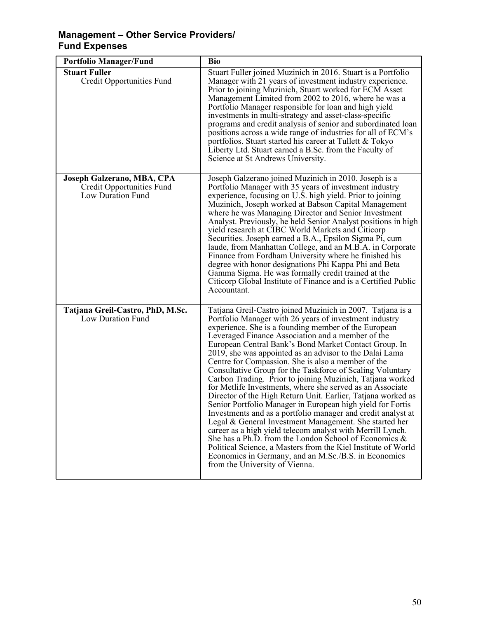| <b>Portfolio Manager/Fund</b>                                                | <b>Bio</b>                                                                                                                                                                                                                                                                                                                                                                                                                                                                                                                                                                                                                                                                                                                                                                                                                                                                                                                                                                                                                                                                                                                                      |
|------------------------------------------------------------------------------|-------------------------------------------------------------------------------------------------------------------------------------------------------------------------------------------------------------------------------------------------------------------------------------------------------------------------------------------------------------------------------------------------------------------------------------------------------------------------------------------------------------------------------------------------------------------------------------------------------------------------------------------------------------------------------------------------------------------------------------------------------------------------------------------------------------------------------------------------------------------------------------------------------------------------------------------------------------------------------------------------------------------------------------------------------------------------------------------------------------------------------------------------|
| <b>Stuart Fuller</b><br><b>Credit Opportunities Fund</b>                     | Stuart Fuller joined Muzinich in 2016. Stuart is a Portfolio<br>Manager with 21 years of investment industry experience.<br>Prior to joining Muzinich, Stuart worked for ECM Asset<br>Management Limited from 2002 to 2016, where he was a<br>Portfolio Manager responsible for loan and high yield<br>investments in multi-strategy and asset-class-specific<br>programs and credit analysis of senior and subordinated loan<br>positions across a wide range of industries for all of ECM's<br>portfolios. Stuart started his career at Tullett & Tokyo<br>Liberty Ltd. Stuart earned a B.Sc. from the Faculty of<br>Science at St Andrews University.                                                                                                                                                                                                                                                                                                                                                                                                                                                                                        |
| Joseph Galzerano, MBA, CPA<br>Credit Opportunities Fund<br>Low Duration Fund | Joseph Galzerano joined Muzinich in 2010. Joseph is a<br>Portfolio Manager with 35 years of investment industry<br>experience, focusing on U.S. high yield. Prior to joining<br>Muzinich, Joseph worked at Babson Capital Management<br>where he was Managing Director and Senior Investment<br>Analyst. Previously, he held Senior Analyst positions in high<br>yield research at CIBC World Markets and Citicorp<br>Securities. Joseph earned a B.A., Epsilon Sigma Pi, cum<br>laude, from Manhattan College, and an M.B.A. in Corporate<br>Finance from Fordham University where he finished his<br>degree with honor designations Phi Kappa Phi and Beta<br>Gamma Sigma. He was formally credit trained at the<br>Citicorp Global Institute of Finance and is a Certified Public<br>Accountant.                                                                                                                                                                                                                                                                                                                                             |
| Tatjana Greil-Castro, PhD, M.Sc.<br>Low Duration Fund                        | Tatjana Greil-Castro joined Muzinich in 2007. Tatjana is a<br>Portfolio Manager with 26 years of investment industry<br>experience. She is a founding member of the European<br>Leveraged Finance Association and a member of the<br>European Central Bank's Bond Market Contact Group. In<br>2019, she was appointed as an advisor to the Dalai Lama<br>Centre for Compassion. She is also a member of the<br>Consultative Group for the Taskforce of Scaling Voluntary<br>Carbon Trading. Prior to joining Muzinich, Tatjana worked<br>for Metlife Investments, where she served as an Associate<br>Director of the High Return Unit. Earlier, Tatjana worked as<br>Senior Portfolio Manager in European high yield for Fortis<br>Investments and as a portfolio manager and credit analyst at<br>Legal & General Investment Management. She started her<br>career as a high yield telecom analyst with Merrill Lynch.<br>She has a Ph.D. from the London School of Economics $\&$<br>Political Science, a Masters from the Kiel Institute of World<br>Economics in Germany, and an M.Sc./B.S. in Economics<br>from the University of Vienna. |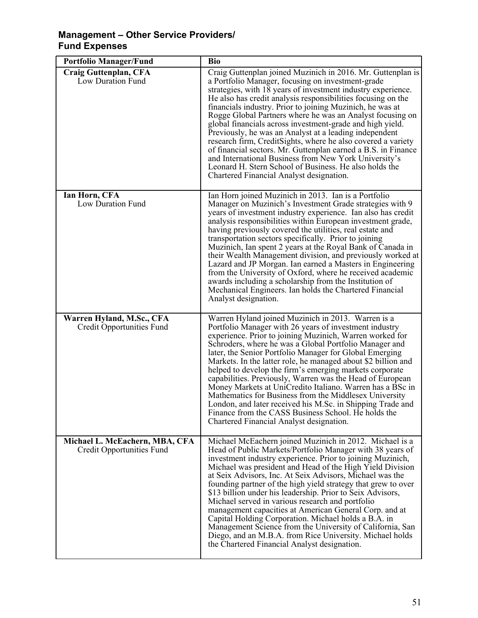| <b>Portfolio Manager/Fund</b>                               | <b>Bio</b>                                                                                                                                                                                                                                                                                                                                                                                                                                                                                                                                                                                                                                                                                                                                                                                        |
|-------------------------------------------------------------|---------------------------------------------------------------------------------------------------------------------------------------------------------------------------------------------------------------------------------------------------------------------------------------------------------------------------------------------------------------------------------------------------------------------------------------------------------------------------------------------------------------------------------------------------------------------------------------------------------------------------------------------------------------------------------------------------------------------------------------------------------------------------------------------------|
| Craig Guttenplan, CFA<br>Low Duration Fund                  | Craig Guttenplan joined Muzinich in 2016. Mr. Guttenplan is<br>a Portfolio Manager, focusing on investment-grade<br>strategies, with 18 years of investment industry experience.<br>He also has credit analysis responsibilities focusing on the<br>financials industry. Prior to joining Muzinich, he was at<br>Rogge Global Partners where he was an Analyst focusing on<br>global financials across investment-grade and high yield.<br>Previously, he was an Analyst at a leading independent<br>research firm, CreditSights, where he also covered a variety<br>of financial sectors. Mr. Guttenplan earned a B.S. in Finance<br>and International Business from New York University's<br>Leonard H. Stern School of Business. He also holds the<br>Chartered Financial Analyst designation. |
| Ian Horn, CFA<br>Low Duration Fund                          | Ian Horn joined Muzinich in 2013. Ian is a Portfolio<br>Manager on Muzinich's Investment Grade strategies with 9<br>years of investment industry experience. Ian also has credit<br>analysis responsibilities within European investment grade,<br>having previously covered the utilities, real estate and<br>transportation sectors specifically. Prior to joining<br>Muzinich, Ian spent 2 years at the Royal Bank of Canada in<br>their Wealth Management division, and previously worked at<br>Lazard and JP Morgan. Ian earned a Masters in Engineering<br>from the University of Oxford, where he received academic<br>awards including a scholarship from the Institution of<br>Mechanical Engineers. Ian holds the Chartered Financial<br>Analyst designation.                           |
| Warren Hyland, M.Sc., CFA<br>Credit Opportunities Fund      | Warren Hyland joined Muzinich in 2013. Warren is a<br>Portfolio Manager with 26 years of investment industry<br>experience. Prior to joining Muzinich, Warren worked for<br>Schroders, where he was a Global Portfolio Manager and<br>later, the Senior Portfolio Manager for Global Emerging<br>Markets. In the latter role, he managed about \$2 billion and<br>helped to develop the firm's emerging markets corporate<br>capabilities. Previously, Warren was the Head of European<br>Money Markets at UniCredito Italiano. Warren has a BSc in<br>Mathematics for Business from the Middlesex University<br>London, and later received his M.Sc. in Shipping Trade and<br>Finance from the CASS Business School. He holds the<br>Chartered Financial Analyst designation.                    |
| Michael L. McEachern, MBA, CFA<br>Credit Opportunities Fund | Michael McEachern joined Muzinich in 2012. Michael is a<br>Head of Public Markets/Portfolio Manager with 38 years of<br>investment industry experience. Prior to joining Muzinich,<br>Michael was president and Head of the High Yield Division<br>at Seix Advisors, Inc. At Seix Advisors, Michael was the<br>founding partner of the high yield strategy that grew to over<br>\$13 billion under his leadership. Prior to Seix Advisors,<br>Michael served in various research and portfolio<br>management capacities at American General Corp. and at<br>Capital Holding Corporation. Michael holds a B.A. in<br>Management Science from the University of California, San<br>Diego, and an M.B.A. from Rice University. Michael holds<br>the Chartered Financial Analyst designation.         |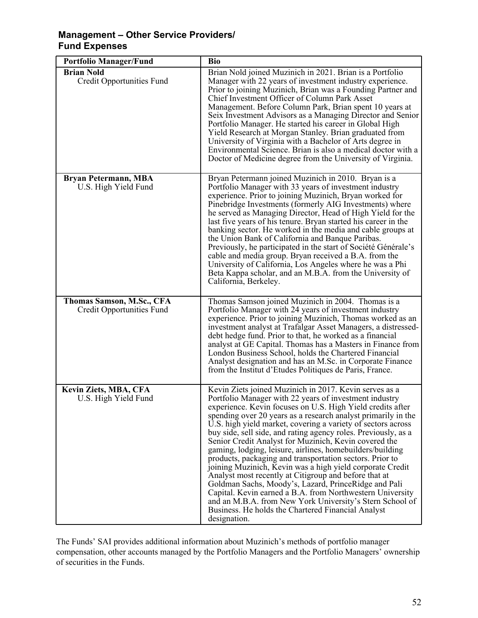| <b>Portfolio Manager/Fund</b>                          | <b>Bio</b>                                                                                                                                                                                                                                                                                                                                                                                                                                                                                                                                                                                                                                                                                                                                                                                                                                                                                                                                       |
|--------------------------------------------------------|--------------------------------------------------------------------------------------------------------------------------------------------------------------------------------------------------------------------------------------------------------------------------------------------------------------------------------------------------------------------------------------------------------------------------------------------------------------------------------------------------------------------------------------------------------------------------------------------------------------------------------------------------------------------------------------------------------------------------------------------------------------------------------------------------------------------------------------------------------------------------------------------------------------------------------------------------|
| <b>Brian Nold</b><br><b>Credit Opportunities Fund</b>  | Brian Nold joined Muzinich in 2021. Brian is a Portfolio<br>Manager with 22 years of investment industry experience.<br>Prior to joining Muzinich, Brian was a Founding Partner and<br>Chief Investment Officer of Column Park Asset<br>Management. Before Column Park, Brian spent 10 years at<br>Seix Investment Advisors as a Managing Director and Senior<br>Portfolio Manager. He started his career in Global High<br>Yield Research at Morgan Stanley. Brian graduated from<br>University of Virginia with a Bachelor of Arts degree in<br>Environmental Science. Brian is also a medical doctor with a<br>Doctor of Medicine degree from the University of Virginia.                                                                                                                                                                                                                                                                     |
| <b>Bryan Petermann, MBA</b><br>U.S. High Yield Fund    | Bryan Petermann joined Muzinich in 2010. Bryan is a<br>Portfolio Manager with 33 years of investment industry<br>experience. Prior to joining Muzinich, Bryan worked for<br>Pinebridge Investments (formerly AIG Investments) where<br>he served as Managing Director, Head of High Yield for the<br>last five years of his tenure. Bryan started his career in the<br>banking sector. He worked in the media and cable groups at<br>the Union Bank of California and Banque Paribas.<br>Previously, he participated in the start of Société Générale's<br>cable and media group. Bryan received a B.A. from the<br>University of California, Los Angeles where he was a Phi<br>Beta Kappa scholar, and an M.B.A. from the University of<br>California, Berkeley.                                                                                                                                                                                |
| Thomas Samson, M.Sc., CFA<br>Credit Opportunities Fund | Thomas Samson joined Muzinich in 2004. Thomas is a<br>Portfolio Manager with 24 years of investment industry<br>experience. Prior to joining Muzinich, Thomas worked as an<br>investment analyst at Trafalgar Asset Managers, a distressed-<br>debt hedge fund. Prior to that, he worked as a financial<br>analyst at GE Capital. Thomas has a Masters in Finance from<br>London Business School, holds the Chartered Financial<br>Analyst designation and has an M.Sc. in Corporate Finance<br>from the Institut d'Etudes Politiques de Paris, France.                                                                                                                                                                                                                                                                                                                                                                                          |
| Kevin Ziets, MBA, CFA<br>U.S. High Yield Fund          | Kevin Ziets joined Muzinich in 2017. Kevin serves as a<br>Portfolio Manager with 22 years of investment industry<br>experience. Kevin focuses on U.S. High Yield credits after<br>spending over 20 years as a research analyst primarily in the<br>U.S. high yield market, covering a variety of sectors across<br>buy side, sell side, and rating agency roles. Previously, as a<br>Senior Credit Analyst for Muzinich, Kevin covered the<br>gaming, lodging, leisure, airlines, homebuilders/building<br>products, packaging and transportation sectors. Prior to<br>joining Muzinich, Kevin was a high yield corporate Credit<br>Analyst most recently at Citigroup and before that at<br>Goldman Sachs, Moody's, Lazard, PrinceRidge and Pali<br>Capital. Kevin earned a B.A. from Northwestern University<br>and an M.B.A. from New York University's Stern School of<br>Business. He holds the Chartered Financial Analyst<br>designation. |

The Funds' SAI provides additional information about Muzinich's methods of portfolio manager compensation, other accounts managed by the Portfolio Managers and the Portfolio Managers' ownership of securities in the Funds.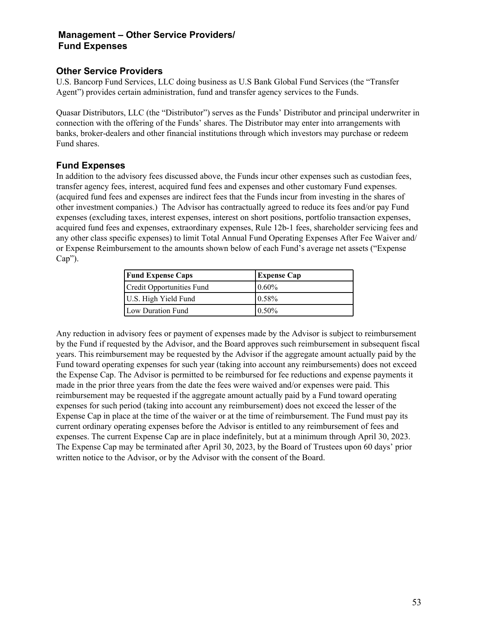## **Other Service Providers**

U.S. Bancorp Fund Services, LLC doing business as U.S Bank Global Fund Services (the "Transfer Agent") provides certain administration, fund and transfer agency services to the Funds.

Quasar Distributors, LLC (the "Distributor") serves as the Funds' Distributor and principal underwriter in connection with the offering of the Funds' shares. The Distributor may enter into arrangements with banks, broker-dealers and other financial institutions through which investors may purchase or redeem Fund shares.

## **Fund Expenses**

In addition to the advisory fees discussed above, the Funds incur other expenses such as custodian fees, transfer agency fees, interest, acquired fund fees and expenses and other customary Fund expenses. (acquired fund fees and expenses are indirect fees that the Funds incur from investing in the shares of other investment companies.) The Advisor has contractually agreed to reduce its fees and/or pay Fund expenses (excluding taxes, interest expenses, interest on short positions, portfolio transaction expenses, acquired fund fees and expenses, extraordinary expenses, Rule 12b-1 fees, shareholder servicing fees and any other class specific expenses) to limit Total Annual Fund Operating Expenses After Fee Waiver and/ or Expense Reimbursement to the amounts shown below of each Fund's average net assets ("Expense  $Cap$ ").

| <b>Fund Expense Caps</b>  | <b>Expense Cap</b> |
|---------------------------|--------------------|
| Credit Opportunities Fund | $0.60\%$           |
| U.S. High Yield Fund      | 0.58%              |
| Low Duration Fund         | $0.50\%$           |

Any reduction in advisory fees or payment of expenses made by the Advisor is subject to reimbursement by the Fund if requested by the Advisor, and the Board approves such reimbursement in subsequent fiscal years. This reimbursement may be requested by the Advisor if the aggregate amount actually paid by the Fund toward operating expenses for such year (taking into account any reimbursements) does not exceed the Expense Cap. The Advisor is permitted to be reimbursed for fee reductions and expense payments it made in the prior three years from the date the fees were waived and/or expenses were paid. This reimbursement may be requested if the aggregate amount actually paid by a Fund toward operating expenses for such period (taking into account any reimbursement) does not exceed the lesser of the Expense Cap in place at the time of the waiver or at the time of reimbursement. The Fund must pay its current ordinary operating expenses before the Advisor is entitled to any reimbursement of fees and expenses. The current Expense Cap are in place indefinitely, but at a minimum through April 30, 2023. The Expense Cap may be terminated after April 30, 2023, by the Board of Trustees upon 60 days' prior written notice to the Advisor, or by the Advisor with the consent of the Board.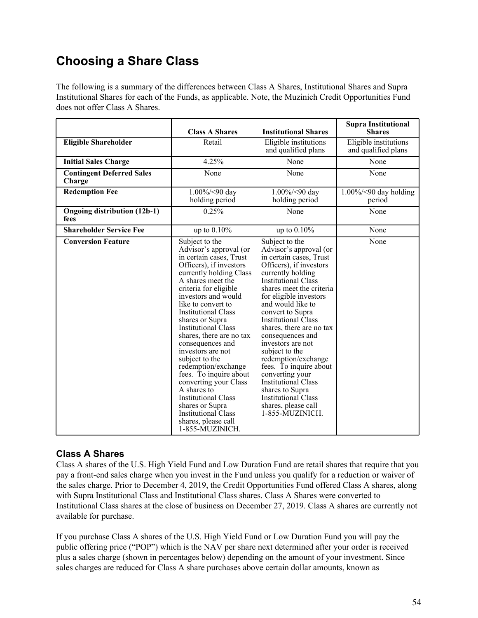The following is a summary of the differences between Class A Shares, Institutional Shares and Supra Institutional Shares for each of the Funds, as applicable. Note, the Muzinich Credit Opportunities Fund does not offer Class A Shares.

|                                             | <b>Class A Shares</b>                                                                                                                                                                                                                                                                                                                                                                                                                                                                                                                                                                                        | <b>Institutional Shares</b>                                                                                                                                                                                                                                                                                                                                                                                                                                                                                                                                 | <b>Supra Institutional</b><br><b>Shares</b>  |
|---------------------------------------------|--------------------------------------------------------------------------------------------------------------------------------------------------------------------------------------------------------------------------------------------------------------------------------------------------------------------------------------------------------------------------------------------------------------------------------------------------------------------------------------------------------------------------------------------------------------------------------------------------------------|-------------------------------------------------------------------------------------------------------------------------------------------------------------------------------------------------------------------------------------------------------------------------------------------------------------------------------------------------------------------------------------------------------------------------------------------------------------------------------------------------------------------------------------------------------------|----------------------------------------------|
| <b>Eligible Shareholder</b>                 | Retail                                                                                                                                                                                                                                                                                                                                                                                                                                                                                                                                                                                                       | Eligible institutions<br>and qualified plans                                                                                                                                                                                                                                                                                                                                                                                                                                                                                                                | Eligible institutions<br>and qualified plans |
| <b>Initial Sales Charge</b>                 | 4.25%                                                                                                                                                                                                                                                                                                                                                                                                                                                                                                                                                                                                        | None                                                                                                                                                                                                                                                                                                                                                                                                                                                                                                                                                        | None                                         |
| <b>Contingent Deferred Sales</b><br>Charge  | None                                                                                                                                                                                                                                                                                                                                                                                                                                                                                                                                                                                                         | None                                                                                                                                                                                                                                                                                                                                                                                                                                                                                                                                                        | None                                         |
| <b>Redemption Fee</b>                       | 1.00%/<90 day<br>holding period                                                                                                                                                                                                                                                                                                                                                                                                                                                                                                                                                                              | $1.00\%/<90$ day<br>holding period                                                                                                                                                                                                                                                                                                                                                                                                                                                                                                                          | $1.00\%$ /<90 day holding<br>period          |
| <b>Ongoing distribution (12b-1)</b><br>fees | 0.25%                                                                                                                                                                                                                                                                                                                                                                                                                                                                                                                                                                                                        | None                                                                                                                                                                                                                                                                                                                                                                                                                                                                                                                                                        | None                                         |
| <b>Shareholder Service Fee</b>              | up to $0.10\%$                                                                                                                                                                                                                                                                                                                                                                                                                                                                                                                                                                                               | up to $0.10\%$                                                                                                                                                                                                                                                                                                                                                                                                                                                                                                                                              | None                                         |
| <b>Conversion Feature</b>                   | Subject to the<br>Advisor's approval (or<br>in certain cases, Trust<br>Officers), if investors<br>currently holding Class<br>A shares meet the<br>criteria for eligible<br>investors and would<br>like to convert to<br><b>Institutional Class</b><br>shares or Supra<br><b>Institutional Class</b><br>shares, there are no tax<br>consequences and<br>investors are not<br>subject to the<br>redemption/exchange<br>fees. To inquire about<br>converting your Class<br>A shares to<br><b>Institutional Class</b><br>shares or Supra<br><b>Institutional Class</b><br>shares, please call<br>1-855-MUZINICH. | Subject to the<br>Advisor's approval (or<br>in certain cases, Trust<br>Officers), if investors<br>currently holding<br><b>Institutional Class</b><br>shares meet the criteria<br>for eligible investors<br>and would like to<br>convert to Supra<br>Institutional Class<br>shares, there are no tax<br>consequences and<br>investors are not<br>subject to the<br>redemption/exchange<br>fees. To inquire about<br>converting your<br><b>Institutional Class</b><br>shares to Supra<br><b>Institutional Class</b><br>shares, please call<br>1-855-MUZINICH. | None                                         |

# **Class A Shares**

Class A shares of the U.S. High Yield Fund and Low Duration Fund are retail shares that require that you pay a front-end sales charge when you invest in the Fund unless you qualify for a reduction or waiver of the sales charge. Prior to December 4, 2019, the Credit Opportunities Fund offered Class A shares, along with Supra Institutional Class and Institutional Class shares. Class A Shares were converted to Institutional Class shares at the close of business on December 27, 2019. Class A shares are currently not available for purchase.

If you purchase Class A shares of the U.S. High Yield Fund or Low Duration Fund you will pay the public offering price ("POP") which is the NAV per share next determined after your order is received plus a sales charge (shown in percentages below) depending on the amount of your investment. Since sales charges are reduced for Class A share purchases above certain dollar amounts, known as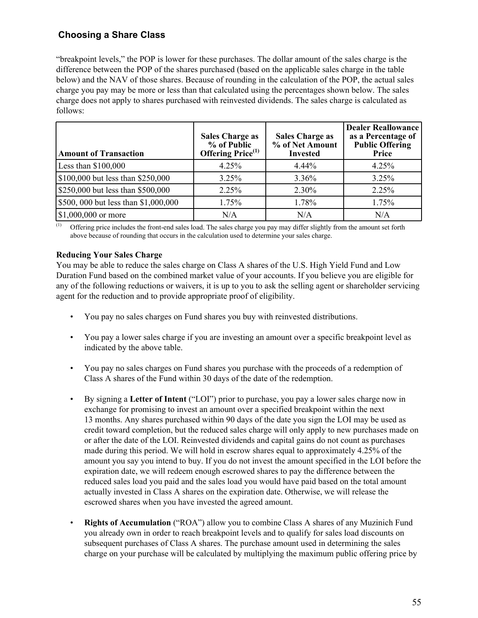"breakpoint levels," the POP is lower for these purchases. The dollar amount of the sales charge is the difference between the POP of the shares purchased (based on the applicable sales charge in the table below) and the NAV of those shares. Because of rounding in the calculation of the POP, the actual sales charge you pay may be more or less than that calculated using the percentages shown below. The sales charge does not apply to shares purchased with reinvested dividends. The sales charge is calculated as follows:

| <b>Amount of Transaction</b>         | <b>Sales Charge as</b><br>% of Public<br>Offering Price <sup>(1)</sup> | <b>Sales Charge as</b><br>% of Net Amount<br><b>Invested</b> | <b>Dealer Reallowance</b><br>as a Percentage of<br><b>Public Offering</b><br>Price |
|--------------------------------------|------------------------------------------------------------------------|--------------------------------------------------------------|------------------------------------------------------------------------------------|
| Less than $$100,000$                 | 4.25%                                                                  | $4.44\%$                                                     | 4.25%                                                                              |
| \$100,000 but less than \$250,000    | 3.25%                                                                  | 3.36%                                                        | 3.25%                                                                              |
| \$250,000 but less than \$500,000    | 2.25%                                                                  | 2.30%                                                        | 2.25%                                                                              |
| \$500, 000 but less than \$1,000,000 | 1.75%                                                                  | 1.78%                                                        | 1.75%                                                                              |
| $\frac{1}{2}$ [\$1,000,000 or more   | N/A                                                                    | N/A                                                          | N/A                                                                                |

(1) Offering price includes the front-end sales load. The sales charge you pay may differ slightly from the amount set forth above because of rounding that occurs in the calculation used to determine your sales charge.

#### **Reducing Your Sales Charge**

You may be able to reduce the sales charge on Class A shares of the U.S. High Yield Fund and Low Duration Fund based on the combined market value of your accounts. If you believe you are eligible for any of the following reductions or waivers, it is up to you to ask the selling agent or shareholder servicing agent for the reduction and to provide appropriate proof of eligibility.

- You pay no sales charges on Fund shares you buy with reinvested distributions.
- You pay a lower sales charge if you are investing an amount over a specific breakpoint level as indicated by the above table.
- You pay no sales charges on Fund shares you purchase with the proceeds of a redemption of Class A shares of the Fund within 30 days of the date of the redemption.
- By signing a **Letter of Intent** ("LOI") prior to purchase, you pay a lower sales charge now in exchange for promising to invest an amount over a specified breakpoint within the next 13 months. Any shares purchased within 90 days of the date you sign the LOI may be used as credit toward completion, but the reduced sales charge will only apply to new purchases made on or after the date of the LOI. Reinvested dividends and capital gains do not count as purchases made during this period. We will hold in escrow shares equal to approximately 4.25% of the amount you say you intend to buy. If you do not invest the amount specified in the LOI before the expiration date, we will redeem enough escrowed shares to pay the difference between the reduced sales load you paid and the sales load you would have paid based on the total amount actually invested in Class A shares on the expiration date. Otherwise, we will release the escrowed shares when you have invested the agreed amount.
- **Rights of Accumulation** ("ROA") allow you to combine Class A shares of any Muzinich Fund you already own in order to reach breakpoint levels and to qualify for sales load discounts on subsequent purchases of Class A shares. The purchase amount used in determining the sales charge on your purchase will be calculated by multiplying the maximum public offering price by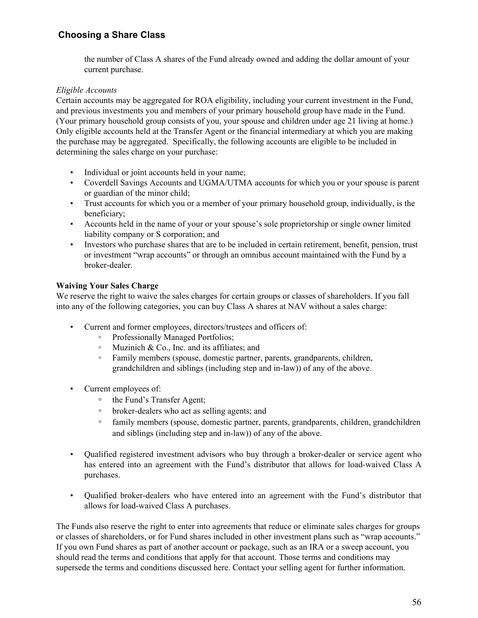the number of Class A shares of the Fund already owned and adding the dollar amount of your current purchase.

#### *Eligible Accounts*

Certain accounts may be aggregated for ROA eligibility, including your current investment in the Fund, and previous investments you and members of your primary household group have made in the Fund. (Your primary household group consists of you, your spouse and children under age 21 living at home.) Only eligible accounts held at the Transfer Agent or the financial intermediary at which you are making the purchase may be aggregated. Specifically, the following accounts are eligible to be included in determining the sales charge on your purchase:

- Individual or joint accounts held in your name:
- Coverdell Savings Accounts and UGMA/UTMA accounts for which you or your spouse is parent or guardian of the minor child;
- Trust accounts for which you or a member of your primary household group, individually, is the beneficiary;
- Accounts held in the name of your or your spouse's sole proprietorship or single owner limited liability company or S corporation; and
- Investors who purchase shares that are to be included in certain retirement, benefit, pension, trust or investment "wrap accounts" or through an omnibus account maintained with the Fund by a broker-dealer.

#### **Waiving Your Sales Charge**

We reserve the right to waive the sales charges for certain groups or classes of shareholders. If you fall into any of the following categories, you can buy Class A shares at NAV without a sales charge:

- Current and former employees, directors/trustees and officers of:
	- Professionally Managed Portfolios;
	- Muzinich & Co., Inc. and its affiliates; and
	- Family members (spouse, domestic partner, parents, grandparents, children, grandchildren and siblings (including step and in-law)) of any of the above.
- Current employees of:
	- the Fund's Transfer Agent;
	- broker-dealers who act as selling agents; and
	- family members (spouse, domestic partner, parents, grandparents, children, grandchildren and siblings (including step and in-law)) of any of the above.
- Qualified registered investment advisors who buy through a broker-dealer or service agent who has entered into an agreement with the Fund's distributor that allows for load-waived Class A purchases.
- Qualified broker-dealers who have entered into an agreement with the Fund's distributor that allows for load-waived Class A purchases.

The Funds also reserve the right to enter into agreements that reduce or eliminate sales charges for groups or classes of shareholders, or for Fund shares included in other investment plans such as "wrap accounts." If you own Fund shares as part of another account or package, such as an IRA or a sweep account, you should read the terms and conditions that apply for that account. Those terms and conditions may supersede the terms and conditions discussed here. Contact your selling agent for further information.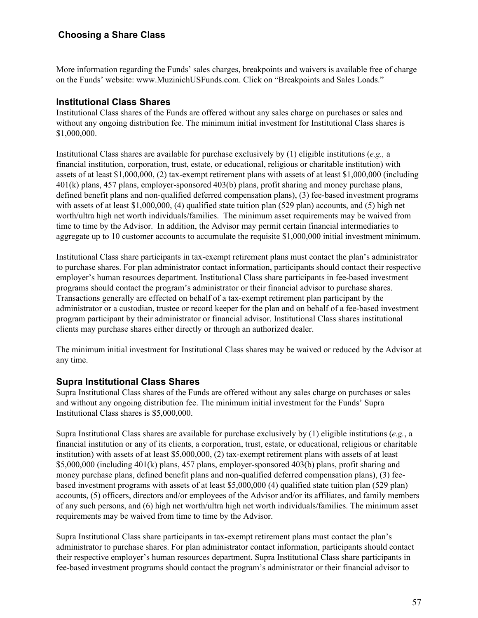More information regarding the Funds' sales charges, breakpoints and waivers is available free of charge on the Funds' website: www.MuzinichUSFunds.com. Click on "Breakpoints and Sales Loads."

#### **Institutional Class Shares**

Institutional Class shares of the Funds are offered without any sales charge on purchases or sales and without any ongoing distribution fee. The minimum initial investment for Institutional Class shares is \$1,000,000.

Institutional Class shares are available for purchase exclusively by (1) eligible institutions (*e.g.,* a financial institution, corporation, trust, estate, or educational, religious or charitable institution) with assets of at least \$1,000,000, (2) tax-exempt retirement plans with assets of at least \$1,000,000 (including 401(k) plans, 457 plans, employer-sponsored 403(b) plans, profit sharing and money purchase plans, defined benefit plans and non-qualified deferred compensation plans), (3) fee-based investment programs with assets of at least \$1,000,000, (4) qualified state tuition plan (529 plan) accounts, and (5) high net worth/ultra high net worth individuals/families. The minimum asset requirements may be waived from time to time by the Advisor. In addition, the Advisor may permit certain financial intermediaries to aggregate up to 10 customer accounts to accumulate the requisite \$1,000,000 initial investment minimum.

Institutional Class share participants in tax-exempt retirement plans must contact the plan's administrator to purchase shares. For plan administrator contact information, participants should contact their respective employer's human resources department. Institutional Class share participants in fee-based investment programs should contact the program's administrator or their financial advisor to purchase shares. Transactions generally are effected on behalf of a tax-exempt retirement plan participant by the administrator or a custodian, trustee or record keeper for the plan and on behalf of a fee-based investment program participant by their administrator or financial advisor. Institutional Class shares institutional clients may purchase shares either directly or through an authorized dealer.

The minimum initial investment for Institutional Class shares may be waived or reduced by the Advisor at any time.

#### **Supra Institutional Class Shares**

Supra Institutional Class shares of the Funds are offered without any sales charge on purchases or sales and without any ongoing distribution fee. The minimum initial investment for the Funds' Supra Institutional Class shares is \$5,000,000.

Supra Institutional Class shares are available for purchase exclusively by (1) eligible institutions (*e.g.*, a financial institution or any of its clients, a corporation, trust, estate, or educational, religious or charitable institution) with assets of at least \$5,000,000, (2) tax-exempt retirement plans with assets of at least \$5,000,000 (including 401(k) plans, 457 plans, employer-sponsored 403(b) plans, profit sharing and money purchase plans, defined benefit plans and non-qualified deferred compensation plans), (3) feebased investment programs with assets of at least \$5,000,000 (4) qualified state tuition plan (529 plan) accounts, (5) officers, directors and/or employees of the Advisor and/or its affiliates, and family members of any such persons, and (6) high net worth/ultra high net worth individuals/families. The minimum asset requirements may be waived from time to time by the Advisor.

Supra Institutional Class share participants in tax-exempt retirement plans must contact the plan's administrator to purchase shares. For plan administrator contact information, participants should contact their respective employer's human resources department. Supra Institutional Class share participants in fee-based investment programs should contact the program's administrator or their financial advisor to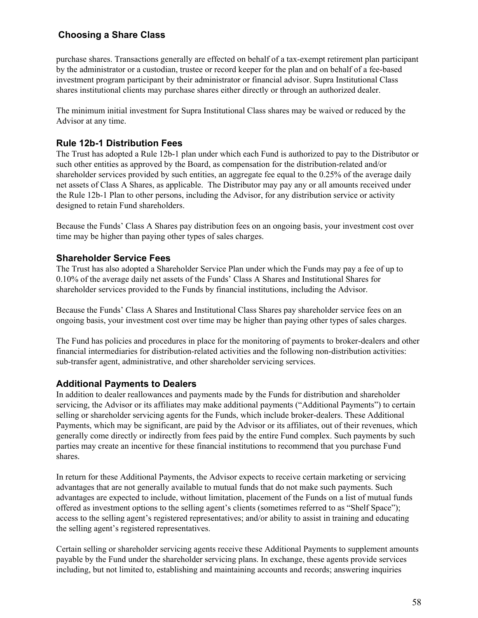purchase shares. Transactions generally are effected on behalf of a tax-exempt retirement plan participant by the administrator or a custodian, trustee or record keeper for the plan and on behalf of a fee-based investment program participant by their administrator or financial advisor. Supra Institutional Class shares institutional clients may purchase shares either directly or through an authorized dealer.

The minimum initial investment for Supra Institutional Class shares may be waived or reduced by the Advisor at any time.

#### **Rule 12b-1 Distribution Fees**

The Trust has adopted a Rule 12b-1 plan under which each Fund is authorized to pay to the Distributor or such other entities as approved by the Board, as compensation for the distribution-related and/or shareholder services provided by such entities, an aggregate fee equal to the 0.25% of the average daily net assets of Class A Shares, as applicable. The Distributor may pay any or all amounts received under the Rule 12b-1 Plan to other persons, including the Advisor, for any distribution service or activity designed to retain Fund shareholders.

Because the Funds' Class A Shares pay distribution fees on an ongoing basis, your investment cost over time may be higher than paying other types of sales charges.

#### **Shareholder Service Fees**

The Trust has also adopted a Shareholder Service Plan under which the Funds may pay a fee of up to 0.10% of the average daily net assets of the Funds' Class A Shares and Institutional Shares for shareholder services provided to the Funds by financial institutions, including the Advisor.

Because the Funds' Class A Shares and Institutional Class Shares pay shareholder service fees on an ongoing basis, your investment cost over time may be higher than paying other types of sales charges.

The Fund has policies and procedures in place for the monitoring of payments to broker-dealers and other financial intermediaries for distribution-related activities and the following non-distribution activities: sub-transfer agent, administrative, and other shareholder servicing services.

#### **Additional Payments to Dealers**

In addition to dealer reallowances and payments made by the Funds for distribution and shareholder servicing, the Advisor or its affiliates may make additional payments ("Additional Payments") to certain selling or shareholder servicing agents for the Funds, which include broker-dealers. These Additional Payments, which may be significant, are paid by the Advisor or its affiliates, out of their revenues, which generally come directly or indirectly from fees paid by the entire Fund complex. Such payments by such parties may create an incentive for these financial institutions to recommend that you purchase Fund shares.

In return for these Additional Payments, the Advisor expects to receive certain marketing or servicing advantages that are not generally available to mutual funds that do not make such payments. Such advantages are expected to include, without limitation, placement of the Funds on a list of mutual funds offered as investment options to the selling agent's clients (sometimes referred to as "Shelf Space"); access to the selling agent's registered representatives; and/or ability to assist in training and educating the selling agent's registered representatives.

Certain selling or shareholder servicing agents receive these Additional Payments to supplement amounts payable by the Fund under the shareholder servicing plans. In exchange, these agents provide services including, but not limited to, establishing and maintaining accounts and records; answering inquiries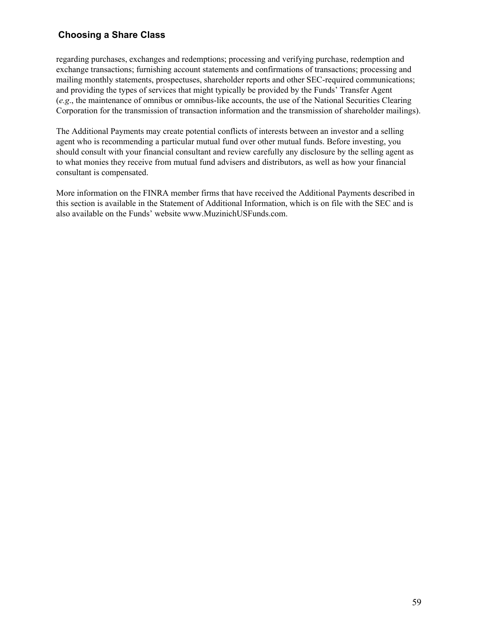regarding purchases, exchanges and redemptions; processing and verifying purchase, redemption and exchange transactions; furnishing account statements and confirmations of transactions; processing and mailing monthly statements, prospectuses, shareholder reports and other SEC-required communications; and providing the types of services that might typically be provided by the Funds' Transfer Agent (*e.g*., the maintenance of omnibus or omnibus-like accounts, the use of the National Securities Clearing Corporation for the transmission of transaction information and the transmission of shareholder mailings).

The Additional Payments may create potential conflicts of interests between an investor and a selling agent who is recommending a particular mutual fund over other mutual funds. Before investing, you should consult with your financial consultant and review carefully any disclosure by the selling agent as to what monies they receive from mutual fund advisers and distributors, as well as how your financial consultant is compensated.

More information on the FINRA member firms that have received the Additional Payments described in this section is available in the Statement of Additional Information, which is on file with the SEC and is also available on the Funds' website www.MuzinichUSFunds.com.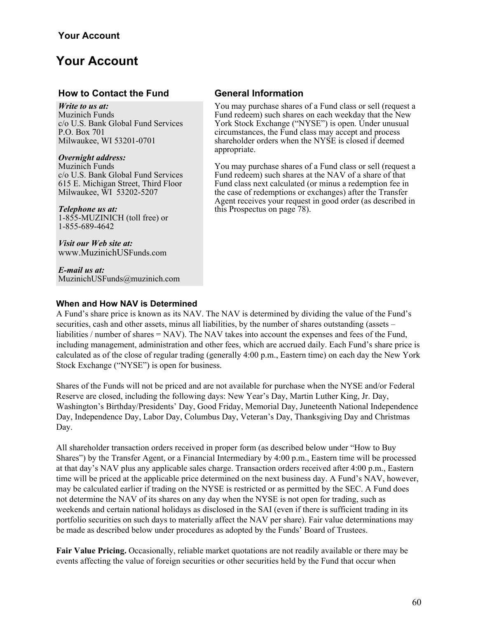#### **How to Contact the Fund General Information**

*Write to us at:* Muzinich Funds c/o U.S. Bank Global Fund Services P.O. Box 701 Milwaukee, WI 53201-0701

#### *Overnight address:*

Muzinich Funds c/o U.S. Bank Global Fund Services 615 E. Michigan Street, Third Floor Milwaukee, WI 53202-5207

#### *Telephone us at:*

1-855-MUZINICH (toll free) or 1-855-689-4642

*Visit our Web site at:* www.MuzinichUSFunds.com

*E-mail us at:* MuzinichUSFunds@muzinich.com

# You may purchase shares of a Fund class or sell (request a

Fund redeem) such shares on each weekday that the New York Stock Exchange ("NYSE") is open. Under unusual circumstances, the Fund class may accept and process shareholder orders when the NYSE is closed if deemed appropriate.

You may purchase shares of a Fund class or sell (request a Fund redeem) such shares at the NAV of a share of that Fund class next calculated (or minus a redemption fee in the case of redemptions or exchanges) after the Transfer Agent receives your request in good order (as described in this Prospectus on page 78).

#### **When and How NAV is Determined**

A Fund's share price is known as its NAV. The NAV is determined by dividing the value of the Fund's securities, cash and other assets, minus all liabilities, by the number of shares outstanding (assets – liabilities / number of shares = NAV). The NAV takes into account the expenses and fees of the Fund, including management, administration and other fees, which are accrued daily. Each Fund's share price is calculated as of the close of regular trading (generally 4:00 p.m., Eastern time) on each day the New York Stock Exchange ("NYSE") is open for business.

Shares of the Funds will not be priced and are not available for purchase when the NYSE and/or Federal Reserve are closed, including the following days: New Year's Day, Martin Luther King, Jr. Day, Washington's Birthday/Presidents' Day, Good Friday, Memorial Day, Juneteenth National Independence Day, Independence Day, Labor Day, Columbus Day, Veteran's Day, Thanksgiving Day and Christmas Day.

All shareholder transaction orders received in proper form (as described below under "How to Buy Shares") by the Transfer Agent, or a Financial Intermediary by 4:00 p.m., Eastern time will be processed at that day's NAV plus any applicable sales charge. Transaction orders received after 4:00 p.m., Eastern time will be priced at the applicable price determined on the next business day. A Fund's NAV, however, may be calculated earlier if trading on the NYSE is restricted or as permitted by the SEC. A Fund does not determine the NAV of its shares on any day when the NYSE is not open for trading, such as weekends and certain national holidays as disclosed in the SAI (even if there is sufficient trading in its portfolio securities on such days to materially affect the NAV per share). Fair value determinations may be made as described below under procedures as adopted by the Funds' Board of Trustees.

**Fair Value Pricing.** Occasionally, reliable market quotations are not readily available or there may be events affecting the value of foreign securities or other securities held by the Fund that occur when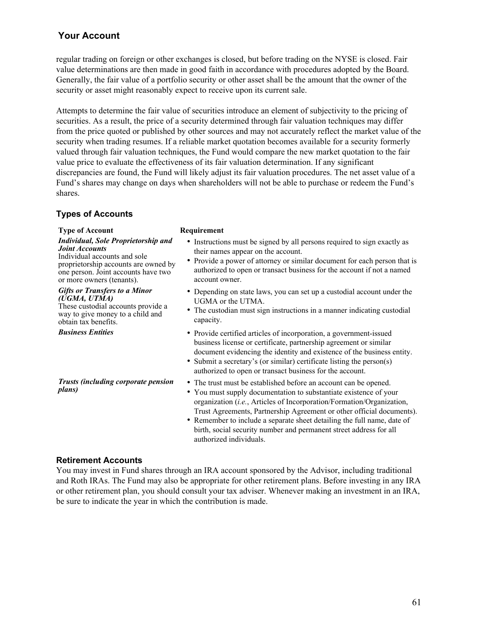regular trading on foreign or other exchanges is closed, but before trading on the NYSE is closed. Fair value determinations are then made in good faith in accordance with procedures adopted by the Board. Generally, the fair value of a portfolio security or other asset shall be the amount that the owner of the security or asset might reasonably expect to receive upon its current sale.

Attempts to determine the fair value of securities introduce an element of subjectivity to the pricing of securities. As a result, the price of a security determined through fair valuation techniques may differ from the price quoted or published by other sources and may not accurately reflect the market value of the security when trading resumes. If a reliable market quotation becomes available for a security formerly valued through fair valuation techniques, the Fund would compare the new market quotation to the fair value price to evaluate the effectiveness of its fair valuation determination. If any significant discrepancies are found, the Fund will likely adjust its fair valuation procedures. The net asset value of a Fund's shares may change on days when shareholders will not be able to purchase or redeem the Fund's shares.

#### **Types of Accounts**

#### **Type of Account Requirement**

*Individual, Sole Proprietorship and Joint Accounts* Individual accounts and sole

proprietorship accounts are owned by one person. Joint accounts have two or more owners (tenants).

#### *Gifts or Transfers to a Minor (UGMA, UTMA)*

These custodial accounts provide a way to give money to a child and obtain tax benefits.

*Trusts (including corporate pension plans)*

- Instructions must be signed by all persons required to sign exactly as their names appear on the account.
- Provide a power of attorney or similar document for each person that is authorized to open or transact business for the account if not a named account owner.
- Depending on state laws, you can set up a custodial account under the UGMA or the UTMA.
- The custodian must sign instructions in a manner indicating custodial capacity.
- **Business Entities** Provide certified articles of incorporation, a government-issued business license or certificate, partnership agreement or similar document evidencing the identity and existence of the business entity.
	- Submit a secretary's (or similar) certificate listing the person(s) authorized to open or transact business for the account.
	- The trust must be established before an account can be opened.
	- You must supply documentation to substantiate existence of your organization (*i.e.*, Articles of Incorporation/Formation/Organization, Trust Agreements, Partnership Agreement or other official documents).
	- Remember to include a separate sheet detailing the full name, date of birth, social security number and permanent street address for all authorized individuals.

#### **Retirement Accounts**

You may invest in Fund shares through an IRA account sponsored by the Advisor, including traditional and Roth IRAs. The Fund may also be appropriate for other retirement plans. Before investing in any IRA or other retirement plan, you should consult your tax adviser. Whenever making an investment in an IRA, be sure to indicate the year in which the contribution is made.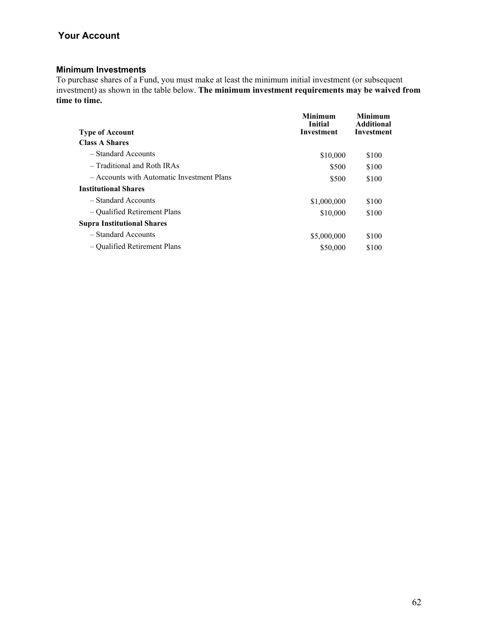#### **Minimum Investments**

To purchase shares of a Fund, you must make at least the minimum initial investment (or subsequent investment) as shown in the table below. **The minimum investment requirements may be waived from time to time.**

| <b>Type of Account</b>                     | Minimum<br><b>Initial</b><br><b>Investment</b> | Minimum<br><b>Additional</b><br><b>Investment</b> |
|--------------------------------------------|------------------------------------------------|---------------------------------------------------|
| <b>Class A Shares</b>                      |                                                |                                                   |
| - Standard Accounts                        | \$10,000                                       | \$100                                             |
| - Traditional and Roth IRAs                | \$500                                          | \$100                                             |
| - Accounts with Automatic Investment Plans | \$500                                          | \$100                                             |
| <b>Institutional Shares</b>                |                                                |                                                   |
| - Standard Accounts                        | \$1,000,000                                    | \$100                                             |
| – Qualified Retirement Plans               | \$10,000                                       | \$100                                             |
| <b>Supra Institutional Shares</b>          |                                                |                                                   |
| - Standard Accounts                        | \$5,000,000                                    | \$100                                             |
| – Qualified Retirement Plans               | \$50,000                                       | \$100                                             |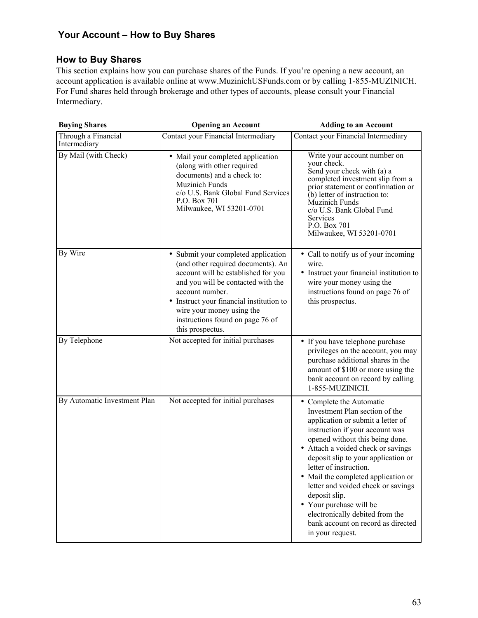# **How to Buy Shares**

This section explains how you can purchase shares of the Funds. If you're opening a new account, an account application is available online at www.MuzinichUSFunds.com or by calling 1-855-MUZINICH. For Fund shares held through brokerage and other types of accounts, please consult your Financial Intermediary.

| <b>Buying Shares</b>                | <b>Opening an Account</b>                                                                                                                                                                                                                                                                                  | <b>Adding to an Account</b>                                                                                                                                                                                                                                                                                                                                                                                                                                                                        |
|-------------------------------------|------------------------------------------------------------------------------------------------------------------------------------------------------------------------------------------------------------------------------------------------------------------------------------------------------------|----------------------------------------------------------------------------------------------------------------------------------------------------------------------------------------------------------------------------------------------------------------------------------------------------------------------------------------------------------------------------------------------------------------------------------------------------------------------------------------------------|
| Through a Financial<br>Intermediary | Contact your Financial Intermediary                                                                                                                                                                                                                                                                        | Contact your Financial Intermediary                                                                                                                                                                                                                                                                                                                                                                                                                                                                |
| By Mail (with Check)                | • Mail your completed application<br>(along with other required<br>documents) and a check to:<br><b>Muzinich Funds</b><br>c/o U.S. Bank Global Fund Services<br>P.O. Box 701<br>Milwaukee, WI 53201-0701                                                                                                   | Write your account number on<br>your check.<br>Send your check with (a) a<br>completed investment slip from a<br>prior statement or confirmation or<br>$(b)$ letter of instruction to:<br>Muzinich Funds<br>c/o U.S. Bank Global Fund<br>Services<br>P.O. Box 701<br>Milwaukee, WI 53201-0701                                                                                                                                                                                                      |
| By Wire                             | • Submit your completed application<br>(and other required documents). An<br>account will be established for you<br>and you will be contacted with the<br>account number.<br>• Instruct your financial institution to<br>wire your money using the<br>instructions found on page 76 of<br>this prospectus. | • Call to notify us of your incoming<br>wire.<br>• Instruct your financial institution to<br>wire your money using the<br>instructions found on page 76 of<br>this prospectus.                                                                                                                                                                                                                                                                                                                     |
| By Telephone                        | Not accepted for initial purchases                                                                                                                                                                                                                                                                         | • If you have telephone purchase<br>privileges on the account, you may<br>purchase additional shares in the<br>amount of \$100 or more using the<br>bank account on record by calling<br>1-855-MUZINICH.                                                                                                                                                                                                                                                                                           |
| By Automatic Investment Plan        | Not accepted for initial purchases                                                                                                                                                                                                                                                                         | • Complete the Automatic<br>Investment Plan section of the<br>application or submit a letter of<br>instruction if your account was<br>opened without this being done.<br>• Attach a voided check or savings<br>deposit slip to your application or<br>letter of instruction.<br>• Mail the completed application or<br>letter and voided check or savings<br>deposit slip.<br>• Your purchase will be<br>electronically debited from the<br>bank account on record as directed<br>in your request. |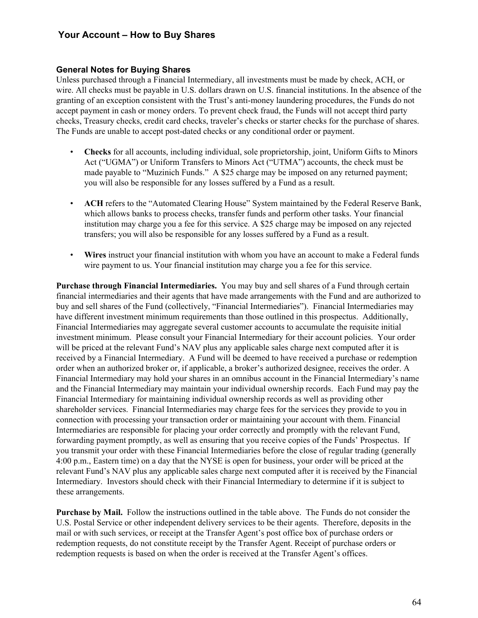#### **General Notes for Buying Shares**

Unless purchased through a Financial Intermediary, all investments must be made by check, ACH, or wire. All checks must be payable in U.S. dollars drawn on U.S. financial institutions. In the absence of the granting of an exception consistent with the Trust's anti-money laundering procedures, the Funds do not accept payment in cash or money orders. To prevent check fraud, the Funds will not accept third party checks, Treasury checks, credit card checks, traveler's checks or starter checks for the purchase of shares. The Funds are unable to accept post-dated checks or any conditional order or payment.

- **Checks** for all accounts, including individual, sole proprietorship, joint, Uniform Gifts to Minors Act ("UGMA") or Uniform Transfers to Minors Act ("UTMA") accounts, the check must be made payable to "Muzinich Funds." A \$25 charge may be imposed on any returned payment; you will also be responsible for any losses suffered by a Fund as a result.
- **ACH** refers to the "Automated Clearing House" System maintained by the Federal Reserve Bank, which allows banks to process checks, transfer funds and perform other tasks. Your financial institution may charge you a fee for this service. A \$25 charge may be imposed on any rejected transfers; you will also be responsible for any losses suffered by a Fund as a result.
- **Wires** instruct your financial institution with whom you have an account to make a Federal funds wire payment to us. Your financial institution may charge you a fee for this service.

**Purchase through Financial Intermediaries.** You may buy and sell shares of a Fund through certain financial intermediaries and their agents that have made arrangements with the Fund and are authorized to buy and sell shares of the Fund (collectively, "Financial Intermediaries"). Financial Intermediaries may have different investment minimum requirements than those outlined in this prospectus. Additionally, Financial Intermediaries may aggregate several customer accounts to accumulate the requisite initial investment minimum. Please consult your Financial Intermediary for their account policies. Your order will be priced at the relevant Fund's NAV plus any applicable sales charge next computed after it is received by a Financial Intermediary. A Fund will be deemed to have received a purchase or redemption order when an authorized broker or, if applicable, a broker's authorized designee, receives the order. A Financial Intermediary may hold your shares in an omnibus account in the Financial Intermediary's name and the Financial Intermediary may maintain your individual ownership records. Each Fund may pay the Financial Intermediary for maintaining individual ownership records as well as providing other shareholder services. Financial Intermediaries may charge fees for the services they provide to you in connection with processing your transaction order or maintaining your account with them. Financial Intermediaries are responsible for placing your order correctly and promptly with the relevant Fund, forwarding payment promptly, as well as ensuring that you receive copies of the Funds' Prospectus. If you transmit your order with these Financial Intermediaries before the close of regular trading (generally 4:00 p.m., Eastern time) on a day that the NYSE is open for business, your order will be priced at the relevant Fund's NAV plus any applicable sales charge next computed after it is received by the Financial Intermediary. Investors should check with their Financial Intermediary to determine if it is subject to these arrangements.

**Purchase by Mail.** Follow the instructions outlined in the table above. The Funds do not consider the U.S. Postal Service or other independent delivery services to be their agents. Therefore, deposits in the mail or with such services, or receipt at the Transfer Agent's post office box of purchase orders or redemption requests, do not constitute receipt by the Transfer Agent. Receipt of purchase orders or redemption requests is based on when the order is received at the Transfer Agent's offices.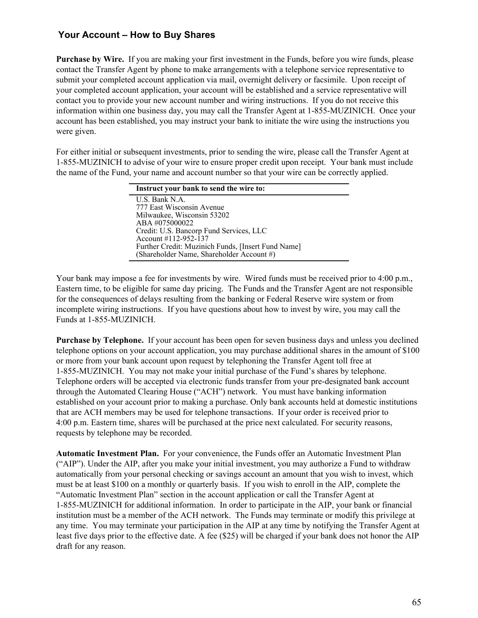**Purchase by Wire.** If you are making your first investment in the Funds, before you wire funds, please contact the Transfer Agent by phone to make arrangements with a telephone service representative to submit your completed account application via mail, overnight delivery or facsimile. Upon receipt of your completed account application, your account will be established and a service representative will contact you to provide your new account number and wiring instructions. If you do not receive this information within one business day, you may call the Transfer Agent at 1-855-MUZINICH. Once your account has been established, you may instruct your bank to initiate the wire using the instructions you were given.

For either initial or subsequent investments, prior to sending the wire, please call the Transfer Agent at 1-855-MUZINICH to advise of your wire to ensure proper credit upon receipt. Your bank must include the name of the Fund, your name and account number so that your wire can be correctly applied.

| Instruct your bank to send the wire to:            |  |  |
|----------------------------------------------------|--|--|
| U.S. Bank N.A.                                     |  |  |
| 777 East Wisconsin Avenue                          |  |  |
| Milwaukee, Wisconsin 53202                         |  |  |
| ABA #075000022                                     |  |  |
| Credit: U.S. Bancorp Fund Services, LLC            |  |  |
| Account #112-952-137                               |  |  |
| Further Credit: Muzinich Funds, [Insert Fund Name] |  |  |
| (Shareholder Name, Shareholder Account #)          |  |  |

Your bank may impose a fee for investments by wire. Wired funds must be received prior to 4:00 p.m., Eastern time, to be eligible for same day pricing. The Funds and the Transfer Agent are not responsible for the consequences of delays resulting from the banking or Federal Reserve wire system or from incomplete wiring instructions. If you have questions about how to invest by wire, you may call the Funds at 1-855-MUZINICH.

**Purchase by Telephone.** If your account has been open for seven business days and unless you declined telephone options on your account application, you may purchase additional shares in the amount of \$100 or more from your bank account upon request by telephoning the Transfer Agent toll free at 1-855-MUZINICH. You may not make your initial purchase of the Fund's shares by telephone. Telephone orders will be accepted via electronic funds transfer from your pre-designated bank account through the Automated Clearing House ("ACH") network. You must have banking information established on your account prior to making a purchase. Only bank accounts held at domestic institutions that are ACH members may be used for telephone transactions. If your order is received prior to 4:00 p.m. Eastern time, shares will be purchased at the price next calculated. For security reasons, requests by telephone may be recorded.

**Automatic Investment Plan.** For your convenience, the Funds offer an Automatic Investment Plan ("AIP"). Under the AIP, after you make your initial investment, you may authorize a Fund to withdraw automatically from your personal checking or savings account an amount that you wish to invest, which must be at least \$100 on a monthly or quarterly basis. If you wish to enroll in the AIP, complete the "Automatic Investment Plan" section in the account application or call the Transfer Agent at 1-855-MUZINICH for additional information. In order to participate in the AIP, your bank or financial institution must be a member of the ACH network. The Funds may terminate or modify this privilege at any time. You may terminate your participation in the AIP at any time by notifying the Transfer Agent at least five days prior to the effective date. A fee (\$25) will be charged if your bank does not honor the AIP draft for any reason.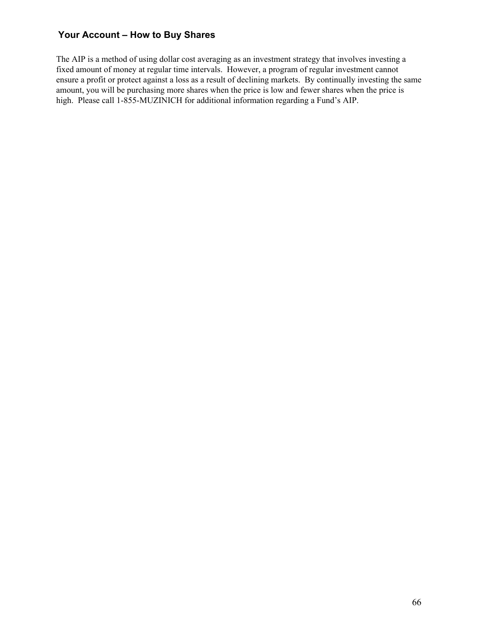The AIP is a method of using dollar cost averaging as an investment strategy that involves investing a fixed amount of money at regular time intervals. However, a program of regular investment cannot ensure a profit or protect against a loss as a result of declining markets. By continually investing the same amount, you will be purchasing more shares when the price is low and fewer shares when the price is high. Please call 1-855-MUZINICH for additional information regarding a Fund's AIP.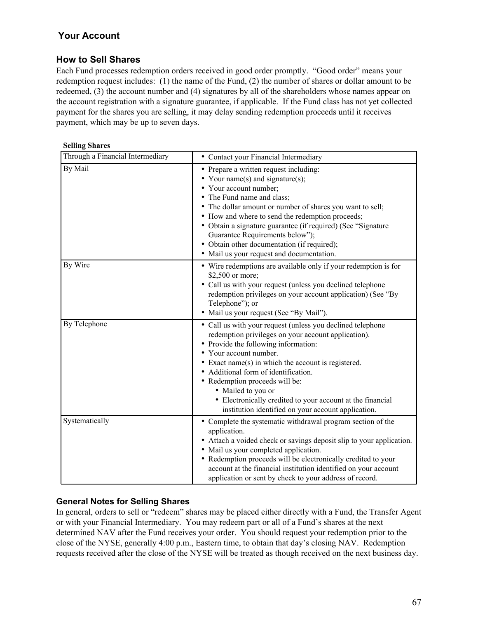## **How to Sell Shares**

Each Fund processes redemption orders received in good order promptly. "Good order" means your redemption request includes: (1) the name of the Fund, (2) the number of shares or dollar amount to be redeemed, (3) the account number and (4) signatures by all of the shareholders whose names appear on the account registration with a signature guarantee, if applicable. If the Fund class has not yet collected payment for the shares you are selling, it may delay sending redemption proceeds until it receives payment, which may be up to seven days.

| <b>Selling Shares</b> |  |
|-----------------------|--|
|-----------------------|--|

| Through a Financial Intermediary | • Contact your Financial Intermediary                                                                                                                                                                                                                                                                                                                                                                                                                        |
|----------------------------------|--------------------------------------------------------------------------------------------------------------------------------------------------------------------------------------------------------------------------------------------------------------------------------------------------------------------------------------------------------------------------------------------------------------------------------------------------------------|
| By Mail                          | • Prepare a written request including:<br>• Your name(s) and signature(s);<br>Your account number;<br>The Fund name and class;<br>The dollar amount or number of shares you want to sell;<br>• How and where to send the redemption proceeds;<br>• Obtain a signature guarantee (if required) (See "Signature"<br>Guarantee Requirements below");<br>• Obtain other documentation (if required);<br>• Mail us your request and documentation.                |
| By Wire                          | • Wire redemptions are available only if your redemption is for<br>\$2,500 or more;<br>• Call us with your request (unless you declined telephone<br>redemption privileges on your account application) (See "By<br>Telephone"); or<br>• Mail us your request (See "By Mail").                                                                                                                                                                               |
| By Telephone                     | • Call us with your request (unless you declined telephone<br>redemption privileges on your account application).<br>Provide the following information:<br>Your account number.<br>Exact name $(s)$ in which the account is registered.<br>• Additional form of identification.<br>• Redemption proceeds will be:<br>• Mailed to you or<br>• Electronically credited to your account at the financial<br>institution identified on your account application. |
| Systematically                   | • Complete the systematic withdrawal program section of the<br>application.<br>• Attach a voided check or savings deposit slip to your application.<br>• Mail us your completed application.<br>• Redemption proceeds will be electronically credited to your<br>account at the financial institution identified on your account<br>application or sent by check to your address of record.                                                                  |

#### **General Notes for Selling Shares**

In general, orders to sell or "redeem" shares may be placed either directly with a Fund, the Transfer Agent or with your Financial Intermediary. You may redeem part or all of a Fund's shares at the next determined NAV after the Fund receives your order. You should request your redemption prior to the close of the NYSE, generally 4:00 p.m., Eastern time, to obtain that day's closing NAV. Redemption requests received after the close of the NYSE will be treated as though received on the next business day.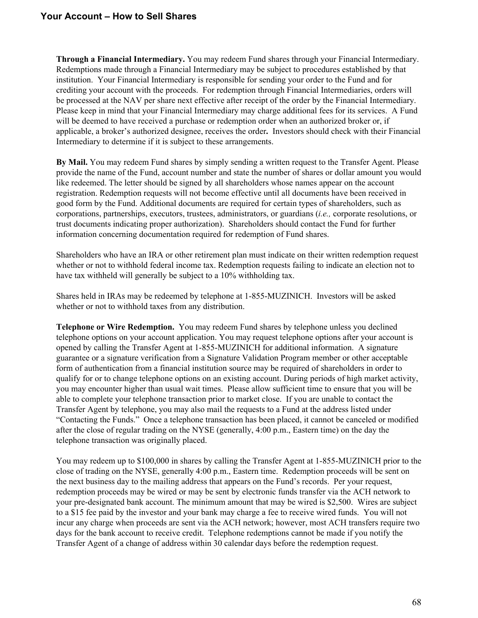## **Your Account – How to Sell Shares**

**Through a Financial Intermediary.** You may redeem Fund shares through your Financial Intermediary. Redemptions made through a Financial Intermediary may be subject to procedures established by that institution. Your Financial Intermediary is responsible for sending your order to the Fund and for crediting your account with the proceeds. For redemption through Financial Intermediaries, orders will be processed at the NAV per share next effective after receipt of the order by the Financial Intermediary. Please keep in mind that your Financial Intermediary may charge additional fees for its services. A Fund will be deemed to have received a purchase or redemption order when an authorized broker or, if applicable, a broker's authorized designee, receives the order**.** Investors should check with their Financial Intermediary to determine if it is subject to these arrangements.

**By Mail.** You may redeem Fund shares by simply sending a written request to the Transfer Agent. Please provide the name of the Fund, account number and state the number of shares or dollar amount you would like redeemed. The letter should be signed by all shareholders whose names appear on the account registration. Redemption requests will not become effective until all documents have been received in good form by the Fund. Additional documents are required for certain types of shareholders, such as corporations, partnerships, executors, trustees, administrators, or guardians (*i.e.,* corporate resolutions, or trust documents indicating proper authorization). Shareholders should contact the Fund for further information concerning documentation required for redemption of Fund shares.

Shareholders who have an IRA or other retirement plan must indicate on their written redemption request whether or not to withhold federal income tax. Redemption requests failing to indicate an election not to have tax withheld will generally be subject to a 10% withholding tax.

Shares held in IRAs may be redeemed by telephone at 1-855-MUZINICH. Investors will be asked whether or not to withhold taxes from any distribution.

**Telephone or Wire Redemption.** You may redeem Fund shares by telephone unless you declined telephone options on your account application. You may request telephone options after your account is opened by calling the Transfer Agent at 1-855-MUZINICH for additional information. A signature guarantee or a signature verification from a Signature Validation Program member or other acceptable form of authentication from a financial institution source may be required of shareholders in order to qualify for or to change telephone options on an existing account. During periods of high market activity, you may encounter higher than usual wait times. Please allow sufficient time to ensure that you will be able to complete your telephone transaction prior to market close. If you are unable to contact the Transfer Agent by telephone, you may also mail the requests to a Fund at the address listed under "Contacting the Funds." Once a telephone transaction has been placed, it cannot be canceled or modified after the close of regular trading on the NYSE (generally, 4:00 p.m., Eastern time) on the day the telephone transaction was originally placed.

You may redeem up to \$100,000 in shares by calling the Transfer Agent at 1-855-MUZINICH prior to the close of trading on the NYSE, generally 4:00 p.m., Eastern time. Redemption proceeds will be sent on the next business day to the mailing address that appears on the Fund's records. Per your request, redemption proceeds may be wired or may be sent by electronic funds transfer via the ACH network to your pre-designated bank account. The minimum amount that may be wired is \$2,500. Wires are subject to a \$15 fee paid by the investor and your bank may charge a fee to receive wired funds. You will not incur any charge when proceeds are sent via the ACH network; however, most ACH transfers require two days for the bank account to receive credit. Telephone redemptions cannot be made if you notify the Transfer Agent of a change of address within 30 calendar days before the redemption request.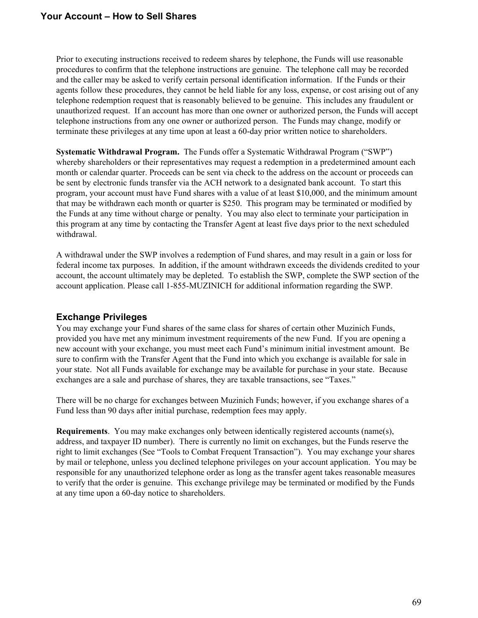Prior to executing instructions received to redeem shares by telephone, the Funds will use reasonable procedures to confirm that the telephone instructions are genuine. The telephone call may be recorded and the caller may be asked to verify certain personal identification information. If the Funds or their agents follow these procedures, they cannot be held liable for any loss, expense, or cost arising out of any telephone redemption request that is reasonably believed to be genuine. This includes any fraudulent or unauthorized request. If an account has more than one owner or authorized person, the Funds will accept telephone instructions from any one owner or authorized person. The Funds may change, modify or terminate these privileges at any time upon at least a 60-day prior written notice to shareholders.

**Systematic Withdrawal Program.** The Funds offer a Systematic Withdrawal Program ("SWP") whereby shareholders or their representatives may request a redemption in a predetermined amount each month or calendar quarter. Proceeds can be sent via check to the address on the account or proceeds can be sent by electronic funds transfer via the ACH network to a designated bank account. To start this program, your account must have Fund shares with a value of at least \$10,000, and the minimum amount that may be withdrawn each month or quarter is \$250. This program may be terminated or modified by the Funds at any time without charge or penalty. You may also elect to terminate your participation in this program at any time by contacting the Transfer Agent at least five days prior to the next scheduled withdrawal.

A withdrawal under the SWP involves a redemption of Fund shares, and may result in a gain or loss for federal income tax purposes. In addition, if the amount withdrawn exceeds the dividends credited to your account, the account ultimately may be depleted. To establish the SWP, complete the SWP section of the account application. Please call 1-855-MUZINICH for additional information regarding the SWP.

# **Exchange Privileges**

You may exchange your Fund shares of the same class for shares of certain other Muzinich Funds, provided you have met any minimum investment requirements of the new Fund. If you are opening a new account with your exchange, you must meet each Fund's minimum initial investment amount. Be sure to confirm with the Transfer Agent that the Fund into which you exchange is available for sale in your state. Not all Funds available for exchange may be available for purchase in your state. Because exchanges are a sale and purchase of shares, they are taxable transactions, see "Taxes."

There will be no charge for exchanges between Muzinich Funds; however, if you exchange shares of a Fund less than 90 days after initial purchase, redemption fees may apply.

**Requirements**. You may make exchanges only between identically registered accounts (name(s), address, and taxpayer ID number). There is currently no limit on exchanges, but the Funds reserve the right to limit exchanges (See "Tools to Combat Frequent Transaction"). You may exchange your shares by mail or telephone, unless you declined telephone privileges on your account application. You may be responsible for any unauthorized telephone order as long as the transfer agent takes reasonable measures to verify that the order is genuine. This exchange privilege may be terminated or modified by the Funds at any time upon a 60-day notice to shareholders.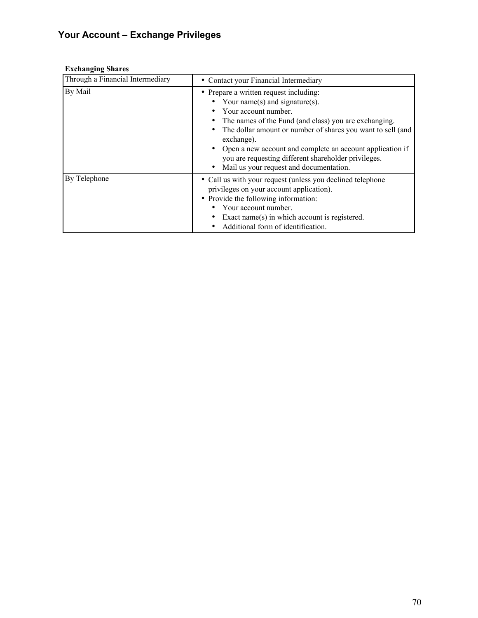# **Your Account – Exchange Privileges**

## **Exchanging Shares**

| Through a Financial Intermediary | Contact your Financial Intermediary                                                                                                                                                                                                                                                                                                                                                                    |
|----------------------------------|--------------------------------------------------------------------------------------------------------------------------------------------------------------------------------------------------------------------------------------------------------------------------------------------------------------------------------------------------------------------------------------------------------|
| By Mail                          | • Prepare a written request including:<br>Your name(s) and signature(s).<br>Your account number.<br>The names of the Fund (and class) you are exchanging.<br>The dollar amount or number of shares you want to sell (and<br>exchange).<br>Open a new account and complete an account application if<br>you are requesting different shareholder privileges.<br>Mail us your request and documentation. |
| By Telephone                     | • Call us with your request (unless you declined telephone<br>privileges on your account application).<br>• Provide the following information:<br>Your account number.<br>Exact name(s) in which account is registered.<br>Additional form of identification.                                                                                                                                          |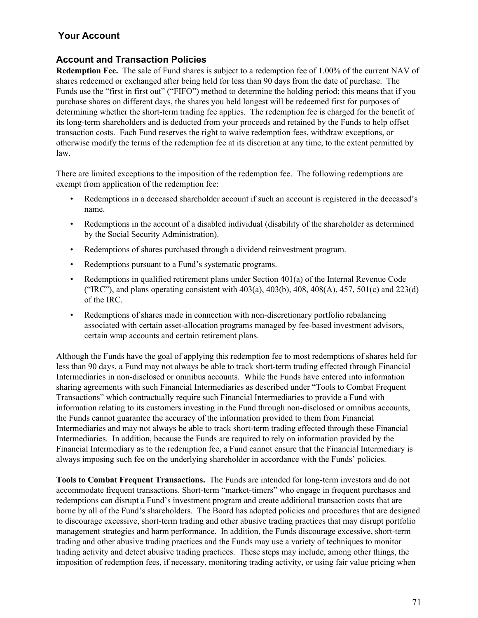# **Your Account**

## **Account and Transaction Policies**

**Redemption Fee.** The sale of Fund shares is subject to a redemption fee of 1.00% of the current NAV of shares redeemed or exchanged after being held for less than 90 days from the date of purchase. The Funds use the "first in first out" ("FIFO") method to determine the holding period; this means that if you purchase shares on different days, the shares you held longest will be redeemed first for purposes of determining whether the short-term trading fee applies. The redemption fee is charged for the benefit of its long-term shareholders and is deducted from your proceeds and retained by the Funds to help offset transaction costs. Each Fund reserves the right to waive redemption fees, withdraw exceptions, or otherwise modify the terms of the redemption fee at its discretion at any time, to the extent permitted by law.

There are limited exceptions to the imposition of the redemption fee. The following redemptions are exempt from application of the redemption fee:

- Redemptions in a deceased shareholder account if such an account is registered in the deceased's name.
- Redemptions in the account of a disabled individual (disability of the shareholder as determined by the Social Security Administration).
- Redemptions of shares purchased through a dividend reinvestment program.
- Redemptions pursuant to a Fund's systematic programs.
- Redemptions in qualified retirement plans under Section 401(a) of the Internal Revenue Code ("IRC"), and plans operating consistent with  $403(a)$ ,  $403(b)$ ,  $408$ ,  $408(A)$ ,  $457$ ,  $501(c)$  and  $223(d)$ of the IRC.
- Redemptions of shares made in connection with non-discretionary portfolio rebalancing associated with certain asset-allocation programs managed by fee-based investment advisors, certain wrap accounts and certain retirement plans.

Although the Funds have the goal of applying this redemption fee to most redemptions of shares held for less than 90 days, a Fund may not always be able to track short-term trading effected through Financial Intermediaries in non-disclosed or omnibus accounts. While the Funds have entered into information sharing agreements with such Financial Intermediaries as described under "Tools to Combat Frequent Transactions" which contractually require such Financial Intermediaries to provide a Fund with information relating to its customers investing in the Fund through non-disclosed or omnibus accounts, the Funds cannot guarantee the accuracy of the information provided to them from Financial Intermediaries and may not always be able to track short-term trading effected through these Financial Intermediaries. In addition, because the Funds are required to rely on information provided by the Financial Intermediary as to the redemption fee, a Fund cannot ensure that the Financial Intermediary is always imposing such fee on the underlying shareholder in accordance with the Funds' policies.

**Tools to Combat Frequent Transactions.** The Funds are intended for long-term investors and do not accommodate frequent transactions. Short-term "market-timers" who engage in frequent purchases and redemptions can disrupt a Fund's investment program and create additional transaction costs that are borne by all of the Fund's shareholders. The Board has adopted policies and procedures that are designed to discourage excessive, short-term trading and other abusive trading practices that may disrupt portfolio management strategies and harm performance. In addition, the Funds discourage excessive, short-term trading and other abusive trading practices and the Funds may use a variety of techniques to monitor trading activity and detect abusive trading practices. These steps may include, among other things, the imposition of redemption fees, if necessary, monitoring trading activity, or using fair value pricing when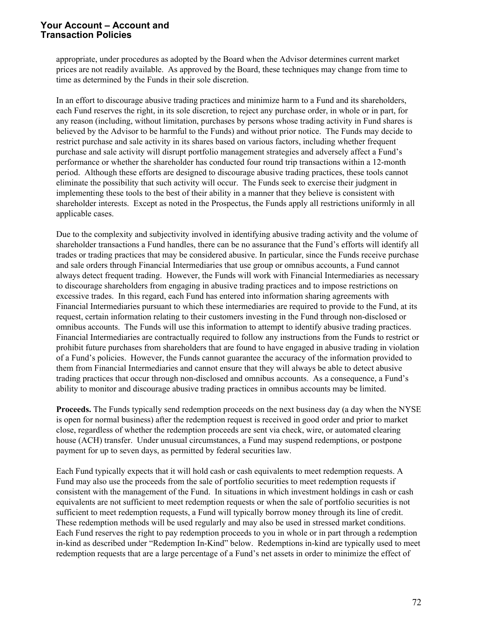appropriate, under procedures as adopted by the Board when the Advisor determines current market prices are not readily available. As approved by the Board, these techniques may change from time to time as determined by the Funds in their sole discretion.

In an effort to discourage abusive trading practices and minimize harm to a Fund and its shareholders, each Fund reserves the right, in its sole discretion, to reject any purchase order, in whole or in part, for any reason (including, without limitation, purchases by persons whose trading activity in Fund shares is believed by the Advisor to be harmful to the Funds) and without prior notice. The Funds may decide to restrict purchase and sale activity in its shares based on various factors, including whether frequent purchase and sale activity will disrupt portfolio management strategies and adversely affect a Fund's performance or whether the shareholder has conducted four round trip transactions within a 12-month period. Although these efforts are designed to discourage abusive trading practices, these tools cannot eliminate the possibility that such activity will occur. The Funds seek to exercise their judgment in implementing these tools to the best of their ability in a manner that they believe is consistent with shareholder interests. Except as noted in the Prospectus, the Funds apply all restrictions uniformly in all applicable cases.

Due to the complexity and subjectivity involved in identifying abusive trading activity and the volume of shareholder transactions a Fund handles, there can be no assurance that the Fund's efforts will identify all trades or trading practices that may be considered abusive. In particular, since the Funds receive purchase and sale orders through Financial Intermediaries that use group or omnibus accounts, a Fund cannot always detect frequent trading. However, the Funds will work with Financial Intermediaries as necessary to discourage shareholders from engaging in abusive trading practices and to impose restrictions on excessive trades. In this regard, each Fund has entered into information sharing agreements with Financial Intermediaries pursuant to which these intermediaries are required to provide to the Fund, at its request, certain information relating to their customers investing in the Fund through non-disclosed or omnibus accounts. The Funds will use this information to attempt to identify abusive trading practices. Financial Intermediaries are contractually required to follow any instructions from the Funds to restrict or prohibit future purchases from shareholders that are found to have engaged in abusive trading in violation of a Fund's policies. However, the Funds cannot guarantee the accuracy of the information provided to them from Financial Intermediaries and cannot ensure that they will always be able to detect abusive trading practices that occur through non-disclosed and omnibus accounts. As a consequence, a Fund's ability to monitor and discourage abusive trading practices in omnibus accounts may be limited.

**Proceeds.** The Funds typically send redemption proceeds on the next business day (a day when the NYSE is open for normal business) after the redemption request is received in good order and prior to market close, regardless of whether the redemption proceeds are sent via check, wire, or automated clearing house (ACH) transfer. Under unusual circumstances, a Fund may suspend redemptions, or postpone payment for up to seven days, as permitted by federal securities law.

Each Fund typically expects that it will hold cash or cash equivalents to meet redemption requests. A Fund may also use the proceeds from the sale of portfolio securities to meet redemption requests if consistent with the management of the Fund. In situations in which investment holdings in cash or cash equivalents are not sufficient to meet redemption requests or when the sale of portfolio securities is not sufficient to meet redemption requests, a Fund will typically borrow money through its line of credit. These redemption methods will be used regularly and may also be used in stressed market conditions. Each Fund reserves the right to pay redemption proceeds to you in whole or in part through a redemption in-kind as described under "Redemption In-Kind" below. Redemptions in-kind are typically used to meet redemption requests that are a large percentage of a Fund's net assets in order to minimize the effect of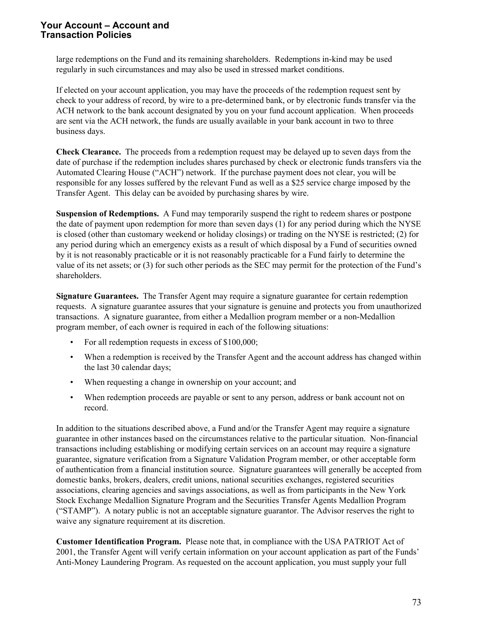large redemptions on the Fund and its remaining shareholders. Redemptions in-kind may be used regularly in such circumstances and may also be used in stressed market conditions.

If elected on your account application, you may have the proceeds of the redemption request sent by check to your address of record, by wire to a pre-determined bank, or by electronic funds transfer via the ACH network to the bank account designated by you on your fund account application. When proceeds are sent via the ACH network, the funds are usually available in your bank account in two to three business days.

**Check Clearance.** The proceeds from a redemption request may be delayed up to seven days from the date of purchase if the redemption includes shares purchased by check or electronic funds transfers via the Automated Clearing House ("ACH") network. If the purchase payment does not clear, you will be responsible for any losses suffered by the relevant Fund as well as a \$25 service charge imposed by the Transfer Agent. This delay can be avoided by purchasing shares by wire.

**Suspension of Redemptions.** A Fund may temporarily suspend the right to redeem shares or postpone the date of payment upon redemption for more than seven days (1) for any period during which the NYSE is closed (other than customary weekend or holiday closings) or trading on the NYSE is restricted; (2) for any period during which an emergency exists as a result of which disposal by a Fund of securities owned by it is not reasonably practicable or it is not reasonably practicable for a Fund fairly to determine the value of its net assets; or (3) for such other periods as the SEC may permit for the protection of the Fund's shareholders.

**Signature Guarantees.** The Transfer Agent may require a signature guarantee for certain redemption requests. A signature guarantee assures that your signature is genuine and protects you from unauthorized transactions. A signature guarantee, from either a Medallion program member or a non-Medallion program member, of each owner is required in each of the following situations:

- For all redemption requests in excess of \$100,000;
- When a redemption is received by the Transfer Agent and the account address has changed within the last 30 calendar days;
- When requesting a change in ownership on your account; and
- When redemption proceeds are payable or sent to any person, address or bank account not on record.

In addition to the situations described above, a Fund and/or the Transfer Agent may require a signature guarantee in other instances based on the circumstances relative to the particular situation. Non-financial transactions including establishing or modifying certain services on an account may require a signature guarantee, signature verification from a Signature Validation Program member, or other acceptable form of authentication from a financial institution source. Signature guarantees will generally be accepted from domestic banks, brokers, dealers, credit unions, national securities exchanges, registered securities associations, clearing agencies and savings associations, as well as from participants in the New York Stock Exchange Medallion Signature Program and the Securities Transfer Agents Medallion Program ("STAMP"). A notary public is not an acceptable signature guarantor. The Advisor reserves the right to waive any signature requirement at its discretion.

**Customer Identification Program.** Please note that, in compliance with the USA PATRIOT Act of 2001, the Transfer Agent will verify certain information on your account application as part of the Funds' Anti-Money Laundering Program. As requested on the account application, you must supply your full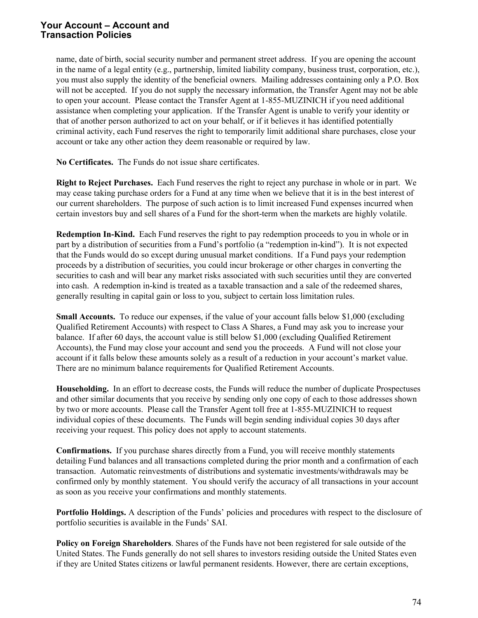name, date of birth, social security number and permanent street address. If you are opening the account in the name of a legal entity (e.g., partnership, limited liability company, business trust, corporation, etc.), you must also supply the identity of the beneficial owners. Mailing addresses containing only a P.O. Box will not be accepted. If you do not supply the necessary information, the Transfer Agent may not be able to open your account. Please contact the Transfer Agent at 1-855-MUZINICH if you need additional assistance when completing your application. If the Transfer Agent is unable to verify your identity or that of another person authorized to act on your behalf, or if it believes it has identified potentially criminal activity, each Fund reserves the right to temporarily limit additional share purchases, close your account or take any other action they deem reasonable or required by law.

**No Certificates.** The Funds do not issue share certificates.

**Right to Reject Purchases.** Each Fund reserves the right to reject any purchase in whole or in part. We may cease taking purchase orders for a Fund at any time when we believe that it is in the best interest of our current shareholders. The purpose of such action is to limit increased Fund expenses incurred when certain investors buy and sell shares of a Fund for the short-term when the markets are highly volatile.

**Redemption In-Kind.** Each Fund reserves the right to pay redemption proceeds to you in whole or in part by a distribution of securities from a Fund's portfolio (a "redemption in-kind"). It is not expected that the Funds would do so except during unusual market conditions. If a Fund pays your redemption proceeds by a distribution of securities, you could incur brokerage or other charges in converting the securities to cash and will bear any market risks associated with such securities until they are converted into cash. A redemption in-kind is treated as a taxable transaction and a sale of the redeemed shares, generally resulting in capital gain or loss to you, subject to certain loss limitation rules.

**Small Accounts.** To reduce our expenses, if the value of your account falls below \$1,000 (excluding Qualified Retirement Accounts) with respect to Class A Shares, a Fund may ask you to increase your balance. If after 60 days, the account value is still below \$1,000 (excluding Qualified Retirement Accounts), the Fund may close your account and send you the proceeds. A Fund will not close your account if it falls below these amounts solely as a result of a reduction in your account's market value. There are no minimum balance requirements for Qualified Retirement Accounts.

**Householding.** In an effort to decrease costs, the Funds will reduce the number of duplicate Prospectuses and other similar documents that you receive by sending only one copy of each to those addresses shown by two or more accounts. Please call the Transfer Agent toll free at 1-855-MUZINICH to request individual copies of these documents. The Funds will begin sending individual copies 30 days after receiving your request. This policy does not apply to account statements.

**Confirmations.** If you purchase shares directly from a Fund, you will receive monthly statements detailing Fund balances and all transactions completed during the prior month and a confirmation of each transaction. Automatic reinvestments of distributions and systematic investments/withdrawals may be confirmed only by monthly statement. You should verify the accuracy of all transactions in your account as soon as you receive your confirmations and monthly statements.

Portfolio Holdings. A description of the Funds' policies and procedures with respect to the disclosure of portfolio securities is available in the Funds' SAI.

**Policy on Foreign Shareholders**. Shares of the Funds have not been registered for sale outside of the United States. The Funds generally do not sell shares to investors residing outside the United States even if they are United States citizens or lawful permanent residents. However, there are certain exceptions,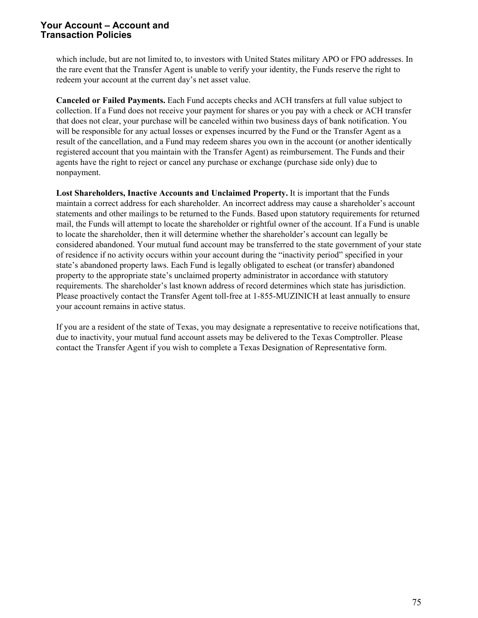which include, but are not limited to, to investors with United States military APO or FPO addresses. In the rare event that the Transfer Agent is unable to verify your identity, the Funds reserve the right to redeem your account at the current day's net asset value.

**Canceled or Failed Payments.** Each Fund accepts checks and ACH transfers at full value subject to collection. If a Fund does not receive your payment for shares or you pay with a check or ACH transfer that does not clear, your purchase will be canceled within two business days of bank notification. You will be responsible for any actual losses or expenses incurred by the Fund or the Transfer Agent as a result of the cancellation, and a Fund may redeem shares you own in the account (or another identically registered account that you maintain with the Transfer Agent) as reimbursement. The Funds and their agents have the right to reject or cancel any purchase or exchange (purchase side only) due to nonpayment.

**Lost Shareholders, Inactive Accounts and Unclaimed Property.** It is important that the Funds maintain a correct address for each shareholder. An incorrect address may cause a shareholder's account statements and other mailings to be returned to the Funds. Based upon statutory requirements for returned mail, the Funds will attempt to locate the shareholder or rightful owner of the account. If a Fund is unable to locate the shareholder, then it will determine whether the shareholder's account can legally be considered abandoned. Your mutual fund account may be transferred to the state government of your state of residence if no activity occurs within your account during the "inactivity period" specified in your state's abandoned property laws. Each Fund is legally obligated to escheat (or transfer) abandoned property to the appropriate state's unclaimed property administrator in accordance with statutory requirements. The shareholder's last known address of record determines which state has jurisdiction. Please proactively contact the Transfer Agent toll-free at 1-855-MUZINICH at least annually to ensure your account remains in active status.

If you are a resident of the state of Texas, you may designate a representative to receive notifications that, due to inactivity, your mutual fund account assets may be delivered to the Texas Comptroller. Please contact the Transfer Agent if you wish to complete a Texas Designation of Representative form.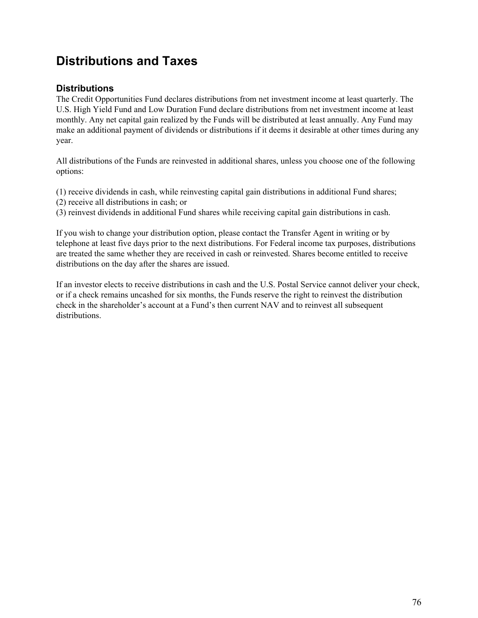# **Distributions and Taxes**

# **Distributions**

The Credit Opportunities Fund declares distributions from net investment income at least quarterly. The U.S. High Yield Fund and Low Duration Fund declare distributions from net investment income at least monthly. Any net capital gain realized by the Funds will be distributed at least annually. Any Fund may make an additional payment of dividends or distributions if it deems it desirable at other times during any year.

All distributions of the Funds are reinvested in additional shares, unless you choose one of the following options:

- (1) receive dividends in cash, while reinvesting capital gain distributions in additional Fund shares;
- (2) receive all distributions in cash; or
- (3) reinvest dividends in additional Fund shares while receiving capital gain distributions in cash.

If you wish to change your distribution option, please contact the Transfer Agent in writing or by telephone at least five days prior to the next distributions. For Federal income tax purposes, distributions are treated the same whether they are received in cash or reinvested. Shares become entitled to receive distributions on the day after the shares are issued.

If an investor elects to receive distributions in cash and the U.S. Postal Service cannot deliver your check, or if a check remains uncashed for six months, the Funds reserve the right to reinvest the distribution check in the shareholder's account at a Fund's then current NAV and to reinvest all subsequent distributions.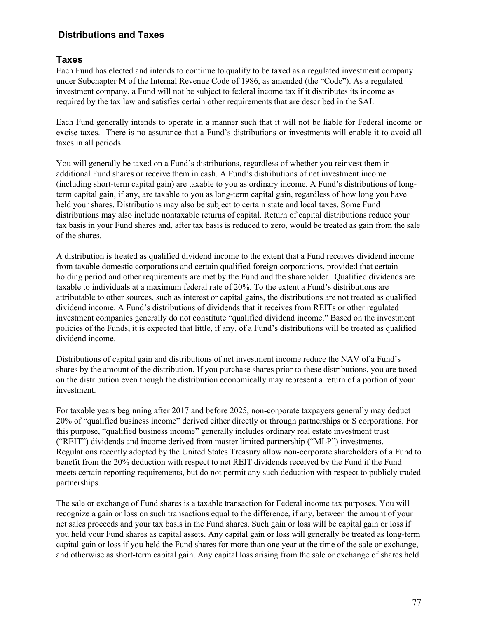# **Distributions and Taxes**

## **Taxes**

Each Fund has elected and intends to continue to qualify to be taxed as a regulated investment company under Subchapter M of the Internal Revenue Code of 1986, as amended (the "Code"). As a regulated investment company, a Fund will not be subject to federal income tax if it distributes its income as required by the tax law and satisfies certain other requirements that are described in the SAI.

Each Fund generally intends to operate in a manner such that it will not be liable for Federal income or excise taxes. There is no assurance that a Fund's distributions or investments will enable it to avoid all taxes in all periods.

You will generally be taxed on a Fund's distributions, regardless of whether you reinvest them in additional Fund shares or receive them in cash. A Fund's distributions of net investment income (including short-term capital gain) are taxable to you as ordinary income. A Fund's distributions of longterm capital gain, if any, are taxable to you as long-term capital gain, regardless of how long you have held your shares. Distributions may also be subject to certain state and local taxes. Some Fund distributions may also include nontaxable returns of capital. Return of capital distributions reduce your tax basis in your Fund shares and, after tax basis is reduced to zero, would be treated as gain from the sale of the shares.

A distribution is treated as qualified dividend income to the extent that a Fund receives dividend income from taxable domestic corporations and certain qualified foreign corporations, provided that certain holding period and other requirements are met by the Fund and the shareholder. Qualified dividends are taxable to individuals at a maximum federal rate of 20%. To the extent a Fund's distributions are attributable to other sources, such as interest or capital gains, the distributions are not treated as qualified dividend income. A Fund's distributions of dividends that it receives from REITs or other regulated investment companies generally do not constitute "qualified dividend income." Based on the investment policies of the Funds, it is expected that little, if any, of a Fund's distributions will be treated as qualified dividend income.

Distributions of capital gain and distributions of net investment income reduce the NAV of a Fund's shares by the amount of the distribution. If you purchase shares prior to these distributions, you are taxed on the distribution even though the distribution economically may represent a return of a portion of your investment.

For taxable years beginning after 2017 and before 2025, non-corporate taxpayers generally may deduct 20% of "qualified business income" derived either directly or through partnerships or S corporations. For this purpose, "qualified business income" generally includes ordinary real estate investment trust ("REIT") dividends and income derived from master limited partnership ("MLP") investments. Regulations recently adopted by the United States Treasury allow non-corporate shareholders of a Fund to benefit from the 20% deduction with respect to net REIT dividends received by the Fund if the Fund meets certain reporting requirements, but do not permit any such deduction with respect to publicly traded partnerships.

The sale or exchange of Fund shares is a taxable transaction for Federal income tax purposes. You will recognize a gain or loss on such transactions equal to the difference, if any, between the amount of your net sales proceeds and your tax basis in the Fund shares. Such gain or loss will be capital gain or loss if you held your Fund shares as capital assets. Any capital gain or loss will generally be treated as long-term capital gain or loss if you held the Fund shares for more than one year at the time of the sale or exchange, and otherwise as short-term capital gain. Any capital loss arising from the sale or exchange of shares held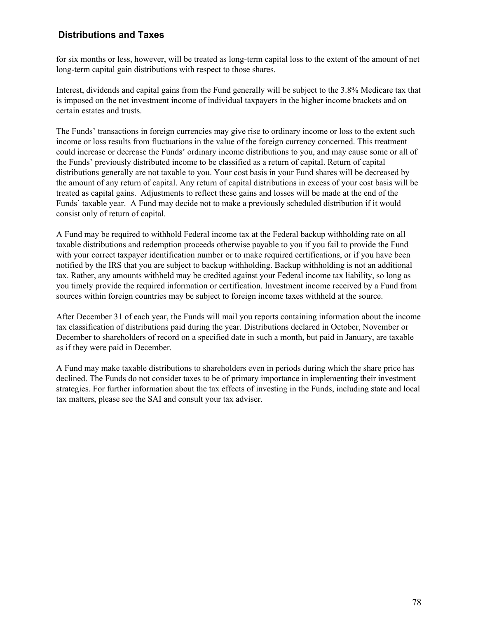# **Distributions and Taxes**

for six months or less, however, will be treated as long-term capital loss to the extent of the amount of net long-term capital gain distributions with respect to those shares.

Interest, dividends and capital gains from the Fund generally will be subject to the 3.8% Medicare tax that is imposed on the net investment income of individual taxpayers in the higher income brackets and on certain estates and trusts.

The Funds' transactions in foreign currencies may give rise to ordinary income or loss to the extent such income or loss results from fluctuations in the value of the foreign currency concerned. This treatment could increase or decrease the Funds' ordinary income distributions to you, and may cause some or all of the Funds' previously distributed income to be classified as a return of capital. Return of capital distributions generally are not taxable to you. Your cost basis in your Fund shares will be decreased by the amount of any return of capital. Any return of capital distributions in excess of your cost basis will be treated as capital gains. Adjustments to reflect these gains and losses will be made at the end of the Funds' taxable year. A Fund may decide not to make a previously scheduled distribution if it would consist only of return of capital.

A Fund may be required to withhold Federal income tax at the Federal backup withholding rate on all taxable distributions and redemption proceeds otherwise payable to you if you fail to provide the Fund with your correct taxpayer identification number or to make required certifications, or if you have been notified by the IRS that you are subject to backup withholding. Backup withholding is not an additional tax. Rather, any amounts withheld may be credited against your Federal income tax liability, so long as you timely provide the required information or certification. Investment income received by a Fund from sources within foreign countries may be subject to foreign income taxes withheld at the source.

After December 31 of each year, the Funds will mail you reports containing information about the income tax classification of distributions paid during the year. Distributions declared in October, November or December to shareholders of record on a specified date in such a month, but paid in January, are taxable as if they were paid in December.

A Fund may make taxable distributions to shareholders even in periods during which the share price has declined. The Funds do not consider taxes to be of primary importance in implementing their investment strategies. For further information about the tax effects of investing in the Funds, including state and local tax matters, please see the SAI and consult your tax adviser.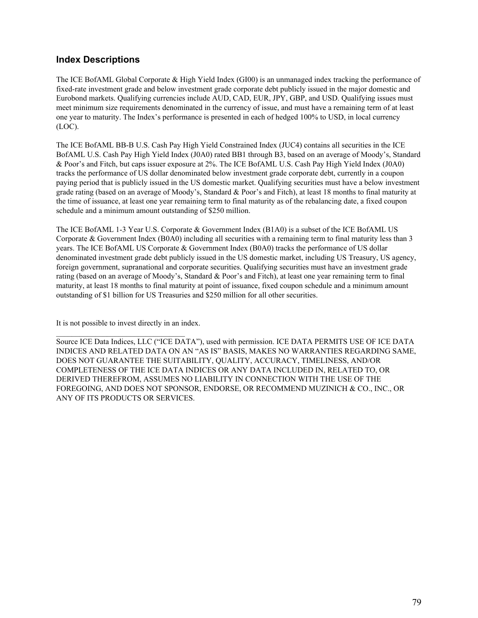## **Index Descriptions**

The ICE BofAML Global Corporate & High Yield Index (GI00) is an unmanaged index tracking the performance of fixed-rate investment grade and below investment grade corporate debt publicly issued in the major domestic and Eurobond markets. Qualifying currencies include AUD, CAD, EUR, JPY, GBP, and USD. Qualifying issues must meet minimum size requirements denominated in the currency of issue, and must have a remaining term of at least one year to maturity. The Index's performance is presented in each of hedged 100% to USD, in local currency (LOC).

The ICE BofAML BB-B U.S. Cash Pay High Yield Constrained Index (JUC4) contains all securities in the ICE BofAML U.S. Cash Pay High Yield Index (J0A0) rated BB1 through B3, based on an average of Moody's, Standard & Poor's and Fitch, but caps issuer exposure at 2%. The ICE BofAML U.S. Cash Pay High Yield Index (J0A0) tracks the performance of US dollar denominated below investment grade corporate debt, currently in a coupon paying period that is publicly issued in the US domestic market. Qualifying securities must have a below investment grade rating (based on an average of Moody's, Standard & Poor's and Fitch), at least 18 months to final maturity at the time of issuance, at least one year remaining term to final maturity as of the rebalancing date, a fixed coupon schedule and a minimum amount outstanding of \$250 million.

The ICE BofAML 1-3 Year U.S. Corporate & Government Index (B1A0) is a subset of the ICE BofAML US Corporate & Government Index (B0A0) including all securities with a remaining term to final maturity less than 3 years. The ICE BofAML US Corporate & Government Index (B0A0) tracks the performance of US dollar denominated investment grade debt publicly issued in the US domestic market, including US Treasury, US agency, foreign government, supranational and corporate securities. Qualifying securities must have an investment grade rating (based on an average of Moody's, Standard & Poor's and Fitch), at least one year remaining term to final maturity, at least 18 months to final maturity at point of issuance, fixed coupon schedule and a minimum amount outstanding of \$1 billion for US Treasuries and \$250 million for all other securities.

It is not possible to invest directly in an index.

 $\mathcal{L}_\text{max}$  and  $\mathcal{L}_\text{max}$  and  $\mathcal{L}_\text{max}$  and  $\mathcal{L}_\text{max}$ 

Source ICE Data Indices, LLC ("ICE DATA"), used with permission. ICE DATA PERMITS USE OF ICE DATA INDICES AND RELATED DATA ON AN "AS IS" BASIS, MAKES NO WARRANTIES REGARDING SAME, DOES NOT GUARANTEE THE SUITABILITY, QUALITY, ACCURACY, TIMELINESS, AND/OR COMPLETENESS OF THE ICE DATA INDICES OR ANY DATA INCLUDED IN, RELATED TO, OR DERIVED THEREFROM, ASSUMES NO LIABILITY IN CONNECTION WITH THE USE OF THE FOREGOING, AND DOES NOT SPONSOR, ENDORSE, OR RECOMMEND MUZINICH & CO., INC., OR ANY OF ITS PRODUCTS OR SERVICES.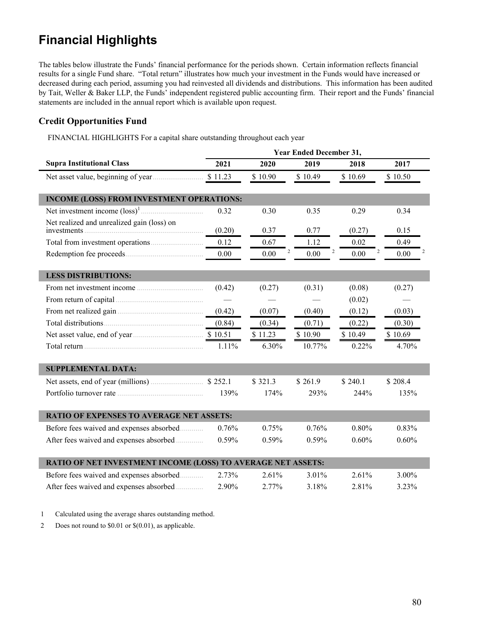# **Financial Highlights**

The tables below illustrate the Funds' financial performance for the periods shown. Certain information reflects financial results for a single Fund share. "Total return" illustrates how much your investment in the Funds would have increased or decreased during each period, assuming you had reinvested all dividends and distributions. This information has been audited by Tait, Weller & Baker LLP, the Funds' independent registered public accounting firm. Their report and the Funds' financial statements are included in the annual report which is available upon request.

## **Credit Opportunities Fund**

FINANCIAL HIGHLIGHTS For a capital share outstanding throughout each year

|                                                                                                        | <b>Year Ended December 31,</b> |           |         |               |           |  |  |  |
|--------------------------------------------------------------------------------------------------------|--------------------------------|-----------|---------|---------------|-----------|--|--|--|
| <b>Supra Institutional Class</b>                                                                       | 2021                           | 2020      | 2019    | 2018          | 2017      |  |  |  |
|                                                                                                        | \$11.23                        | \$10.90   | \$10.49 | \$10.69       | \$10.50   |  |  |  |
|                                                                                                        |                                |           |         |               |           |  |  |  |
| <b>INCOME (LOSS) FROM INVESTMENT OPERATIONS:</b>                                                       |                                |           |         |               |           |  |  |  |
|                                                                                                        | 0.32                           | 0.30      | 0.35    | 0.29          | 0.34      |  |  |  |
| Net realized and unrealized gain (loss) on<br>investments                                              | (0.20)                         | 0.37      | 0.77    | (0.27)        | 0.15      |  |  |  |
|                                                                                                        | 0.12                           | 0.67      | 1.12    | 0.02          | 0.49      |  |  |  |
|                                                                                                        | 0.00                           | 2<br>0.00 | 0.00    | 2<br>$0.00\,$ | 2<br>0.00 |  |  |  |
|                                                                                                        |                                |           |         |               |           |  |  |  |
| <b>LESS DISTRIBUTIONS:</b>                                                                             |                                |           |         |               |           |  |  |  |
|                                                                                                        | (0.42)                         | (0.27)    | (0.31)  | (0.08)        | (0.27)    |  |  |  |
|                                                                                                        |                                |           |         | (0.02)        |           |  |  |  |
|                                                                                                        | (0.42)                         | (0.07)    | (0.40)  | (0.12)        | (0.03)    |  |  |  |
|                                                                                                        | (0.84)                         | (0.34)    | (0.71)  | (0.22)        | (0.30)    |  |  |  |
|                                                                                                        |                                | \$11.23   | \$10.90 | \$10.49       | \$10.69   |  |  |  |
| Total return $\ldots$ $\ldots$ $\ldots$ $\ldots$ $\ldots$ $\ldots$ $\ldots$ $\ldots$ $\ldots$ $\ldots$ | 1.11%                          | 6.30%     | 10.77%  | 0.22%         | 4.70%     |  |  |  |
|                                                                                                        |                                |           |         |               |           |  |  |  |
| <b>SUPPLEMENTAL DATA:</b>                                                                              |                                |           |         |               |           |  |  |  |
| Net assets, end of year (millions) <b>S</b> 252.1                                                      |                                | \$321.3   | \$261.9 | \$240.1       | \$208.4   |  |  |  |
|                                                                                                        | 139%                           | 174%      | 293%    | 244%          | 135%      |  |  |  |
|                                                                                                        |                                |           |         |               |           |  |  |  |
| <b>RATIO OF EXPENSES TO AVERAGE NET ASSETS:</b>                                                        |                                |           |         |               |           |  |  |  |
| Before fees waived and expenses absorbed                                                               | 0.76%                          | 0.75%     | 0.76%   | 0.80%         | 0.83%     |  |  |  |
| After fees waived and expenses absorbed                                                                | 0.59%                          | 0.59%     | 0.59%   | 0.60%         | 0.60%     |  |  |  |
|                                                                                                        |                                |           |         |               |           |  |  |  |
| RATIO OF NET INVESTMENT INCOME (LOSS) TO AVERAGE NET ASSETS:                                           |                                |           |         |               |           |  |  |  |
| Before fees waived and expenses absorbed                                                               | 2.73%                          | 2.61%     | 3.01%   | 2.61%         | 3.00%     |  |  |  |
| After fees waived and expenses absorbed                                                                | 2.90%                          | 2.77%     | 3.18%   | 2.81%         | 3.23%     |  |  |  |

1 Calculated using the average shares outstanding method.

2 Does not round to \$0.01 or \$(0.01), as applicable.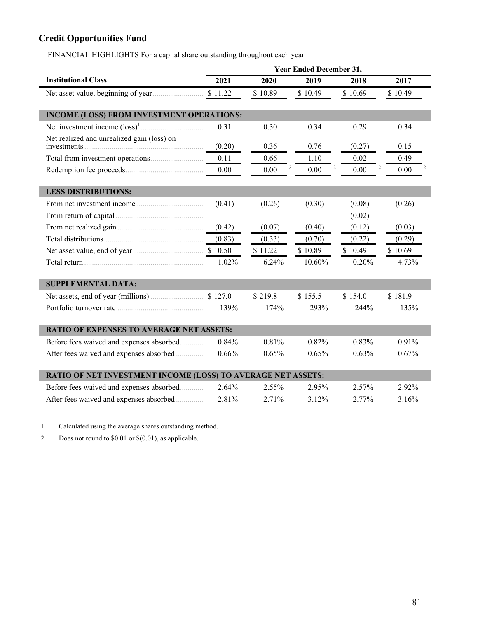# **Credit Opportunities Fund**

FINANCIAL HIGHLIGHTS For a capital share outstanding throughout each year

|                                                              | <b>Year Ended December 31,</b> |         |                |         |                |  |  |  |
|--------------------------------------------------------------|--------------------------------|---------|----------------|---------|----------------|--|--|--|
| <b>Institutional Class</b>                                   | 2021                           | 2020    | 2019           | 2018    | 2017           |  |  |  |
|                                                              | \$11.22                        | \$10.89 | \$10.49        | \$10.69 | \$10.49        |  |  |  |
| <b>INCOME (LOSS) FROM INVESTMENT OPERATIONS:</b>             |                                |         |                |         |                |  |  |  |
|                                                              | 0.31                           | 0.30    | 0.34           | 0.29    | 0.34           |  |  |  |
| Net realized and unrealized gain (loss) on                   | (0.20)                         | 0.36    | 0.76           | (0.27)  | 0.15           |  |  |  |
|                                                              | 0.11                           | 0.66    | 1.10           | 0.02    | 0.49           |  |  |  |
|                                                              | 0.00                           | 0.00    | 2<br>2<br>0.00 | 0.00    | 2<br>2<br>0.00 |  |  |  |
| <b>LESS DISTRIBUTIONS:</b>                                   |                                |         |                |         |                |  |  |  |
|                                                              | (0.41)                         | (0.26)  | (0.30)         | (0.08)  | (0.26)         |  |  |  |
|                                                              |                                |         |                | (0.02)  |                |  |  |  |
|                                                              | (0.42)                         | (0.07)  | (0.40)         | (0.12)  | (0.03)         |  |  |  |
|                                                              | (0.83)                         | (0.33)  | (0.70)         | (0.22)  | (0.29)         |  |  |  |
|                                                              |                                | \$11.22 | \$10.89        | \$10.49 | \$10.69        |  |  |  |
|                                                              | 1.02%                          | 6.24%   | 10.60%         | 0.20%   | 4.73%          |  |  |  |
| <b>SUPPLEMENTAL DATA:</b>                                    |                                |         |                |         |                |  |  |  |
|                                                              |                                | \$219.8 | \$155.5        | \$154.0 | \$181.9        |  |  |  |
|                                                              | 139%                           | 174%    | 293%           | 244%    | 135%           |  |  |  |
| <b>RATIO OF EXPENSES TO AVERAGE NET ASSETS:</b>              |                                |         |                |         |                |  |  |  |
| Before fees waived and expenses absorbed                     | 0.84%                          | 0.81%   | 0.82%          | 0.83%   | 0.91%          |  |  |  |
| After fees waived and expenses absorbed                      | 0.66%                          | 0.65%   | 0.65%          | 0.63%   | 0.67%          |  |  |  |
| RATIO OF NET INVESTMENT INCOME (LOSS) TO AVERAGE NET ASSETS: |                                |         |                |         |                |  |  |  |
| Before fees waived and expenses absorbed                     | 2.64%                          | 2.55%   | 2.95%          | 2.57%   | 2.92%          |  |  |  |
| After fees waived and expenses absorbed                      | 2.81%                          | 2.71%   | 3.12%          | 2.77%   | 3.16%          |  |  |  |

1 Calculated using the average shares outstanding method.

2 Does not round to \$0.01 or \$(0.01), as applicable.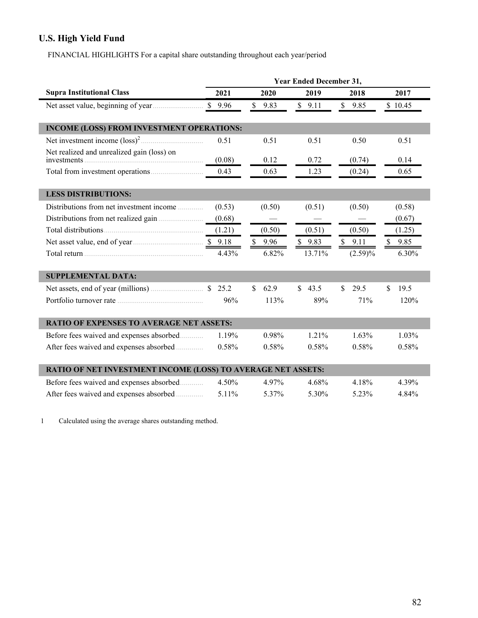# **U.S. High Yield Fund**

FINANCIAL HIGHLIGHTS For a capital share outstanding throughout each year/period

|                                                                                                                                                                                                                                | <b>Year Ended December 31,</b> |                      |                      |                      |                      |  |  |  |  |
|--------------------------------------------------------------------------------------------------------------------------------------------------------------------------------------------------------------------------------|--------------------------------|----------------------|----------------------|----------------------|----------------------|--|--|--|--|
| <b>Supra Institutional Class</b>                                                                                                                                                                                               | 2021                           | 2020                 | 2019                 | 2018                 | 2017                 |  |  |  |  |
|                                                                                                                                                                                                                                | \$9.96                         | $\mathbb{S}$<br>9.83 | \$9.11               | $\mathbb{S}$<br>9.85 | \$10.45              |  |  |  |  |
| <b>INCOME (LOSS) FROM INVESTMENT OPERATIONS:</b>                                                                                                                                                                               |                                |                      |                      |                      |                      |  |  |  |  |
|                                                                                                                                                                                                                                | 0.51                           | 0.51                 | 0.51                 | 0.50                 | 0.51                 |  |  |  |  |
| Net realized and unrealized gain (loss) on                                                                                                                                                                                     | (0.08)                         | 0.12                 | 0.72                 | (0.74)               | 0.14                 |  |  |  |  |
|                                                                                                                                                                                                                                | 0.43                           | 0.63                 | 1.23                 | (0.24)               | 0.65                 |  |  |  |  |
| <b>LESS DISTRIBUTIONS:</b>                                                                                                                                                                                                     |                                |                      |                      |                      |                      |  |  |  |  |
| Distributions from net investment income                                                                                                                                                                                       | (0.53)                         | (0.50)               | (0.51)               | (0.50)               | (0.58)               |  |  |  |  |
| Distributions from net realized gain                                                                                                                                                                                           | (0.68)                         |                      |                      |                      | (0.67)               |  |  |  |  |
|                                                                                                                                                                                                                                | (1.21)                         | (0.50)               | (0.51)               | (0.50)               | (1.25)               |  |  |  |  |
|                                                                                                                                                                                                                                |                                | \$<br>9.96           | \$9.83               | \$9.11               | $\mathbb{S}$<br>9.85 |  |  |  |  |
| Total return entertainment of the continuum of the continuum of the continuum of the continuum of the continuum of the continuum of the continuum of the continuum of the continuum of the continuum of the continuum of the c | 4.43%                          | 6.82%                | 13.71%               | $(2.59)\%$           | 6.30%                |  |  |  |  |
| <b>SUPPLEMENTAL DATA:</b>                                                                                                                                                                                                      |                                |                      |                      |                      |                      |  |  |  |  |
| Net assets, end of year (millions) <b>\$25.2</b>                                                                                                                                                                               |                                | 62.9<br>S.           | 43.5<br>$\mathbb{S}$ | 29.5<br>$\mathbf{s}$ | \$<br>19.5           |  |  |  |  |
|                                                                                                                                                                                                                                | 96%                            | 113%                 | 89%                  | 71%                  | 120%                 |  |  |  |  |
| <b>RATIO OF EXPENSES TO AVERAGE NET ASSETS:</b>                                                                                                                                                                                |                                |                      |                      |                      |                      |  |  |  |  |
| Before fees waived and expenses absorbed                                                                                                                                                                                       | 1.19%                          | 0.98%                | 1.21%                | 1.63%                | 1.03%                |  |  |  |  |
| After fees waived and expenses absorbed                                                                                                                                                                                        | 0.58%                          | 0.58%                | 0.58%                | 0.58%                | 0.58%                |  |  |  |  |
| RATIO OF NET INVESTMENT INCOME (LOSS) TO AVERAGE NET ASSETS:                                                                                                                                                                   |                                |                      |                      |                      |                      |  |  |  |  |
| Before fees waived and expenses absorbed                                                                                                                                                                                       | 4.50%                          | 4.97%                | 4.68%                | 4.18%                | 4.39%                |  |  |  |  |
| After fees waived and expenses absorbed                                                                                                                                                                                        | 5.11%                          | 5.37%                | 5.30%                | 5.23%                | 4.84%                |  |  |  |  |

1 Calculated using the average shares outstanding method.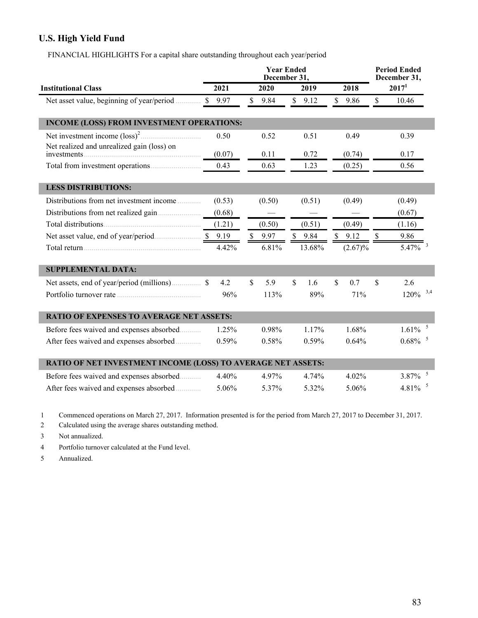# **U.S. High Yield Fund**

FINANCIAL HIGHLIGHTS For a capital share outstanding throughout each year/period

|                                                              |        | <b>Year Ended</b><br>December 31, | <b>Period Ended</b><br>December 31, |                       |                        |  |
|--------------------------------------------------------------|--------|-----------------------------------|-------------------------------------|-----------------------|------------------------|--|
| <b>Institutional Class</b>                                   | 2021   | 2020                              | 2019                                | 2018                  | 2017 <sup>1</sup>      |  |
| Net asset value, beginning of year/period<br>$\mathbf S$     | 9.97   | \$<br>9.84                        | \$9.12                              | $\mathsf{\$}$<br>9.86 | $\mathsf{\$}$<br>10.46 |  |
| <b>INCOME (LOSS) FROM INVESTMENT OPERATIONS:</b>             |        |                                   |                                     |                       |                        |  |
|                                                              | 0.50   | 0.52                              | 0.51                                | 0.49                  | 0.39                   |  |
| Net realized and unrealized gain (loss) on                   | (0.07) | 0.11                              | 0.72                                | (0.74)                | 0.17                   |  |
|                                                              | 0.43   | 0.63                              | 1.23                                | (0.25)                | 0.56                   |  |
| <b>LESS DISTRIBUTIONS:</b>                                   |        |                                   |                                     |                       |                        |  |
| Distributions from net investment income                     | (0.53) | (0.50)                            | (0.51)                              | (0.49)                | (0.49)                 |  |
|                                                              | (0.68) |                                   |                                     |                       | (0.67)                 |  |
|                                                              | (1.21) | (0.50)                            | (0.51)                              | (0.49)                | (1.16)                 |  |
|                                                              |        | $\mathbb S$<br>9.97               | $\mathbb{S}$<br>9.84                | \$<br>9.12            | \$<br>9.86             |  |
|                                                              | 4.42%  | 6.81%                             | 13.68%                              | (2.67)%               | $5.47\%$ <sup>3</sup>  |  |
| <b>SUPPLEMENTAL DATA:</b>                                    |        |                                   |                                     |                       |                        |  |
|                                                              | 4.2    | 5.9<br>\$                         | $\mathbb{S}$<br>1.6                 | \$<br>0.7             | \$<br>2.6              |  |
|                                                              | 96%    | 113%                              | 89%                                 | 71%                   | $120\%$ <sup>3,4</sup> |  |
| <b>RATIO OF EXPENSES TO AVERAGE NET ASSETS:</b>              |        |                                   |                                     |                       |                        |  |
| Before fees waived and expenses absorbed                     | 1.25%  | 0.98%                             | 1.17%                               | 1.68%                 | 1.61%                  |  |
| After fees waived and expenses absorbed                      | 0.59%  | 0.58%                             | 0.59%                               | 0.64%                 | $0.68\%$ <sup>5</sup>  |  |
| RATIO OF NET INVESTMENT INCOME (LOSS) TO AVERAGE NET ASSETS: |        |                                   |                                     |                       |                        |  |
| Before fees waived and expenses absorbed                     | 4.40%  | 4.97%                             | 4.74%                               | 4.02%                 | $3.87\%$ <sup>5</sup>  |  |
| After fees waived and expenses absorbed                      | 5.06%  | 5.37%                             | 5.32%                               | 5.06%                 | 4.81%                  |  |

1 Commenced operations on March 27, 2017. Information presented is for the period from March 27, 2017 to December 31, 2017.

2 Calculated using the average shares outstanding method.

3 Not annualized.

4 Portfolio turnover calculated at the Fund level.

5 Annualized.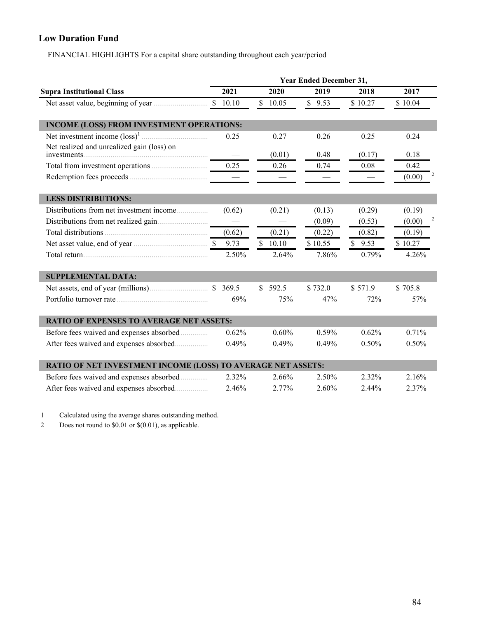# **Low Duration Fund**

FINANCIAL HIGHLIGHTS For a capital share outstanding throughout each year/period

|                                                              | <b>Year Ended December 31,</b> |              |         |         |                                   |  |  |  |  |
|--------------------------------------------------------------|--------------------------------|--------------|---------|---------|-----------------------------------|--|--|--|--|
| <b>Supra Institutional Class</b>                             | 2021                           | 2020         | 2019    | 2018    | 2017                              |  |  |  |  |
|                                                              | \$10.10                        | \$10.05      | \$9.53  | \$10.27 | \$10.04                           |  |  |  |  |
| <b>INCOME (LOSS) FROM INVESTMENT OPERATIONS:</b>             |                                |              |         |         |                                   |  |  |  |  |
|                                                              | 0.25                           | 0.27         | 0.26    | 0.25    | 0.24                              |  |  |  |  |
| Net realized and unrealized gain (loss) on<br>investments.   |                                | (0.01)       | 0.48    | (0.17)  | 0.18                              |  |  |  |  |
|                                                              | 0.25                           | 0.26         | 0.74    | 0.08    | 0.42                              |  |  |  |  |
|                                                              |                                |              |         |         | (0.00)                            |  |  |  |  |
| <b>LESS DISTRIBUTIONS:</b>                                   |                                |              |         |         |                                   |  |  |  |  |
| Distributions from net investment income                     | (0.62)                         | (0.21)       | (0.13)  | (0.29)  | (0.19)                            |  |  |  |  |
|                                                              |                                |              | (0.09)  | (0.53)  | $\overline{\mathbf{c}}$<br>(0.00) |  |  |  |  |
|                                                              | (0.62)                         | (0.21)       | (0.22)  | (0.82)  | (0.19)                            |  |  |  |  |
|                                                              | 9.73                           | \$10.10      | \$10.55 | \$9.53  | \$10.27                           |  |  |  |  |
|                                                              | 2.50%                          | 2.64%        | 7.86%   | 0.79%   | 4.26%                             |  |  |  |  |
| <b>SUPPLEMENTAL DATA:</b>                                    |                                |              |         |         |                                   |  |  |  |  |
|                                                              |                                | \$.<br>592.5 | \$732.0 | \$571.9 | \$705.8                           |  |  |  |  |
|                                                              | 69%                            | 75%          | 47%     | 72%     | 57%                               |  |  |  |  |
| <b>RATIO OF EXPENSES TO AVERAGE NET ASSETS:</b>              |                                |              |         |         |                                   |  |  |  |  |
| Before fees waived and expenses absorbed                     | 0.62%                          | 0.60%        | 0.59%   | 0.62%   | 0.71%                             |  |  |  |  |
| After fees waived and expenses absorbed                      | 0.49%                          | 0.49%        | 0.49%   | 0.50%   | 0.50%                             |  |  |  |  |
| RATIO OF NET INVESTMENT INCOME (LOSS) TO AVERAGE NET ASSETS: |                                |              |         |         |                                   |  |  |  |  |
| Before fees waived and expenses absorbed                     | 2.32%                          | 2.66%        | 2.50%   | 2.32%   | 2.16%                             |  |  |  |  |
| After fees waived and expenses absorbed                      | 2.46%                          | 2.77%        | 2.60%   | 2.44%   | 2.37%                             |  |  |  |  |

1 Calculated using the average shares outstanding method.

2 Does not round to \$0.01 or \$(0.01), as applicable.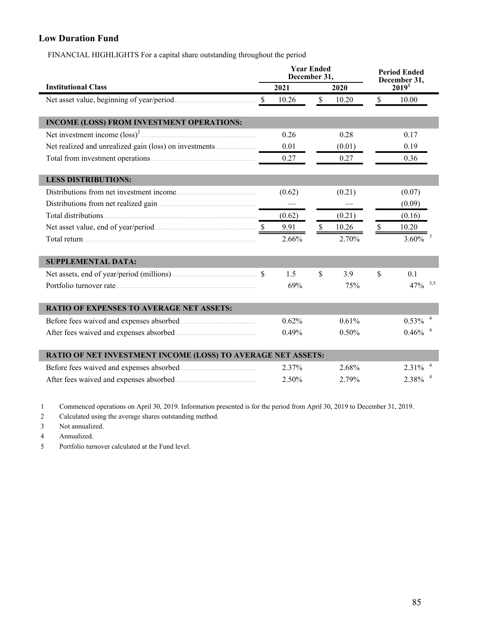## **Low Duration Fund**

FINANCIAL HIGHLIGHTS For a capital share outstanding throughout the period

|                                                              |               | <b>Year Ended</b><br>December 31, |               |        |                         | <b>Period Ended</b>        |  |
|--------------------------------------------------------------|---------------|-----------------------------------|---------------|--------|-------------------------|----------------------------|--|
| <b>Institutional Class</b>                                   | 2021          |                                   | 2020          |        | December 31,<br>$20191$ |                            |  |
|                                                              | $\mathcal{S}$ | 10.26                             | $\mathsf{\$}$ | 10.20  | $\mathcal{S}$           | 10.00                      |  |
| INCOME (LOSS) FROM INVESTMENT OPERATIONS:                    |               |                                   |               |        |                         |                            |  |
|                                                              |               | 0.26                              |               | 0.28   |                         | 0.17                       |  |
|                                                              |               | 0.01                              |               | (0.01) |                         | 0.19                       |  |
|                                                              |               | 0.27                              |               | 0.27   |                         | 0.36                       |  |
| <b>LESS DISTRIBUTIONS:</b>                                   |               |                                   |               |        |                         |                            |  |
|                                                              |               | (0.62)                            |               | (0.21) |                         | (0.07)                     |  |
|                                                              |               |                                   |               |        |                         | (0.09)                     |  |
|                                                              |               | (0.62)                            |               | (0.21) |                         | (0.16)                     |  |
|                                                              |               | 9.91                              | $\mathcal{S}$ | 10.26  | $\mathbb{S}$            | 10.20                      |  |
|                                                              |               | 2.66%                             |               | 2.70%  |                         | $\overline{3}$<br>$3.60\%$ |  |
| <b>SUPPLEMENTAL DATA:</b>                                    |               |                                   |               |        |                         |                            |  |
|                                                              |               | 1.5                               | \$            | 3.9    | \$                      | 0.1                        |  |
|                                                              |               | 69%                               |               | 75%    |                         | $47\%$ $3.5$               |  |
| <b>RATIO OF EXPENSES TO AVERAGE NET ASSETS:</b>              |               |                                   |               |        |                         |                            |  |
|                                                              |               | 0.62%                             |               | 0.61%  |                         | 0.53%                      |  |
|                                                              |               | 0.49%                             |               | 0.50%  |                         | 0.46%                      |  |
| RATIO OF NET INVESTMENT INCOME (LOSS) TO AVERAGE NET ASSETS: |               |                                   |               |        |                         |                            |  |
|                                                              |               | 2.37%                             |               | 2.68%  |                         | 2.31%                      |  |
|                                                              |               | 2.50%                             |               | 2.79%  |                         | 2.38%                      |  |

1 Commenced operations on April 30, 2019. Information presented is for the period from April 30, 2019 to December 31, 2019.

2 Calculated using the average shares outstanding method.

3 Not annualized.

4 Annualized.

5 Portfolio turnover calculated at the Fund level.